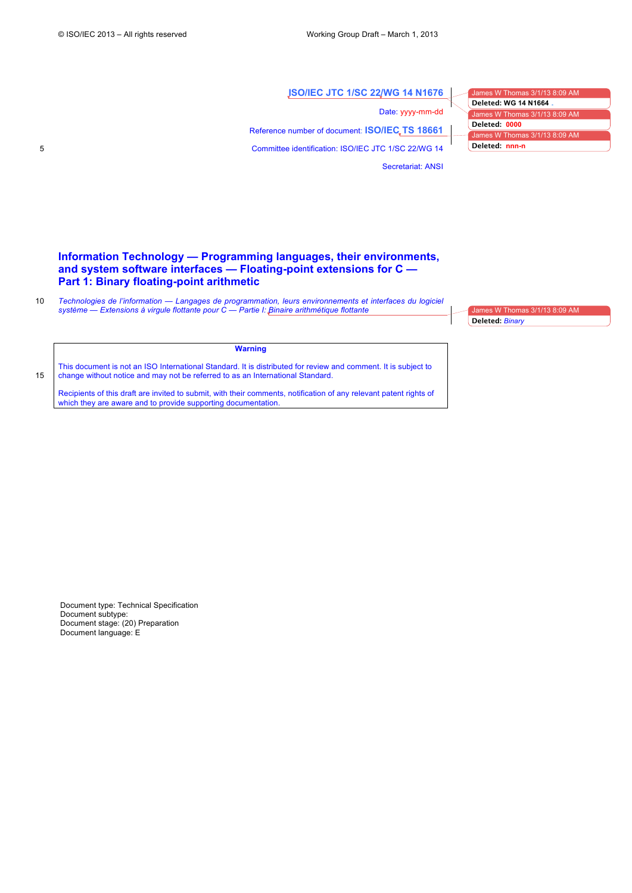# **ISO/IEC JTC 1/SC 22/WG 14 N1676**

Secretariat: ANSI

Date: yyyy-mm-dd Reference number of document: **ISO/IEC TS 18661** 5 Committee identification: ISO/IEC JTC 1/SC 22/WG 14

 $nes W$  Thomas  $3/1/13$  8:09 AM James W Thomas 3/1/13 8:09 AM James W Thomas 3/1/13 8:09 AM **Deleted: WG 14 N1664 Deleted: 0000 Deleted: nnn-n**

# **Information Technology — Programming languages, their environments, and system software interfaces — Floating-point extensions for C — Part 1: Binary floating-point arithmetic**

10 *Technologies de l'information — Langages de programmation, leurs environnements et interfaces du logiciel système — Extensions à virgule flottante pour C — Partie I: Binaire arithmétique flottante*

1es W Thomas 3/1/13 8:09 AM **Deleted:** *Binary*

This document is not an ISO International Standard. It is distributed for review and comment. It is subject to 15 change without notice and may not be referred to as an International Standard.

Recipients of this draft are invited to submit, with their comments, notification of any relevant patent rights of which they are aware and to provide supporting documentation.

**Warning**

Document type: Technical Specification Document subtype: Document stage: (20) Preparation Document language: E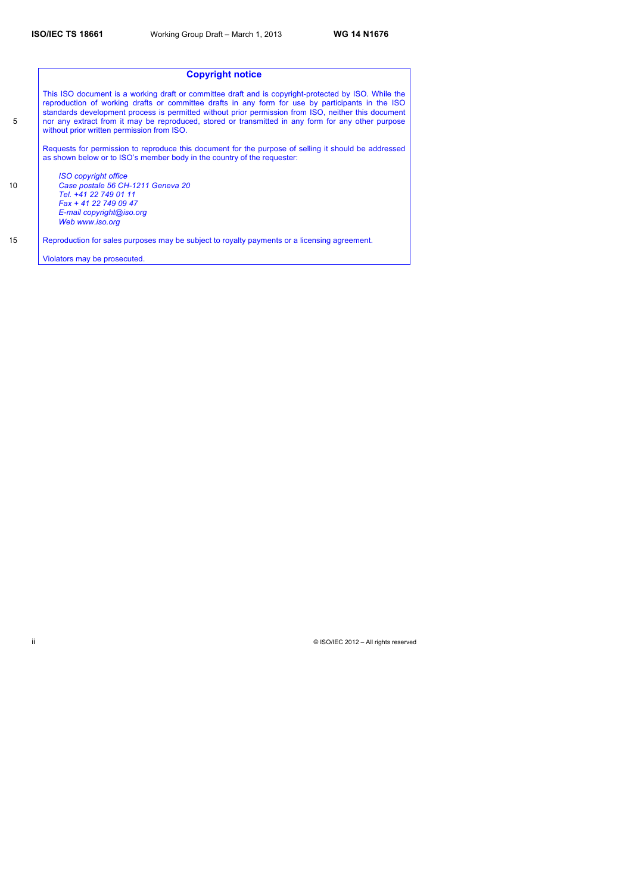|                  | <b>Copyright notice</b>                                                                                                                                                                                                                                                                                                                                                                                                                                              |
|------------------|----------------------------------------------------------------------------------------------------------------------------------------------------------------------------------------------------------------------------------------------------------------------------------------------------------------------------------------------------------------------------------------------------------------------------------------------------------------------|
| 5                | This ISO document is a working draft or committee draft and is copyright-protected by ISO. While the<br>reproduction of working drafts or committee drafts in any form for use by participants in the ISO<br>standards development process is permitted without prior permission from ISO, neither this document<br>nor any extract from it may be reproduced, stored or transmitted in any form for any other purpose<br>without prior written permission from ISO. |
|                  | Requests for permission to reproduce this document for the purpose of selling it should be addressed<br>as shown below or to ISO's member body in the country of the requester:                                                                                                                                                                                                                                                                                      |
|                  | <b>ISO copyright office</b>                                                                                                                                                                                                                                                                                                                                                                                                                                          |
| 10 <sup>10</sup> | Case postale 56 CH-1211 Geneva 20                                                                                                                                                                                                                                                                                                                                                                                                                                    |
|                  | Tel. +41 22 749 01 11                                                                                                                                                                                                                                                                                                                                                                                                                                                |
|                  | Fax + 41 22 749 09 47                                                                                                                                                                                                                                                                                                                                                                                                                                                |
|                  | E-mail copyright@iso.org                                                                                                                                                                                                                                                                                                                                                                                                                                             |
|                  | Web www.iso.org                                                                                                                                                                                                                                                                                                                                                                                                                                                      |
| 15               | Reproduction for sales purposes may be subject to royalty payments or a licensing agreement.                                                                                                                                                                                                                                                                                                                                                                         |
|                  | Violators may be prosecuted.                                                                                                                                                                                                                                                                                                                                                                                                                                         |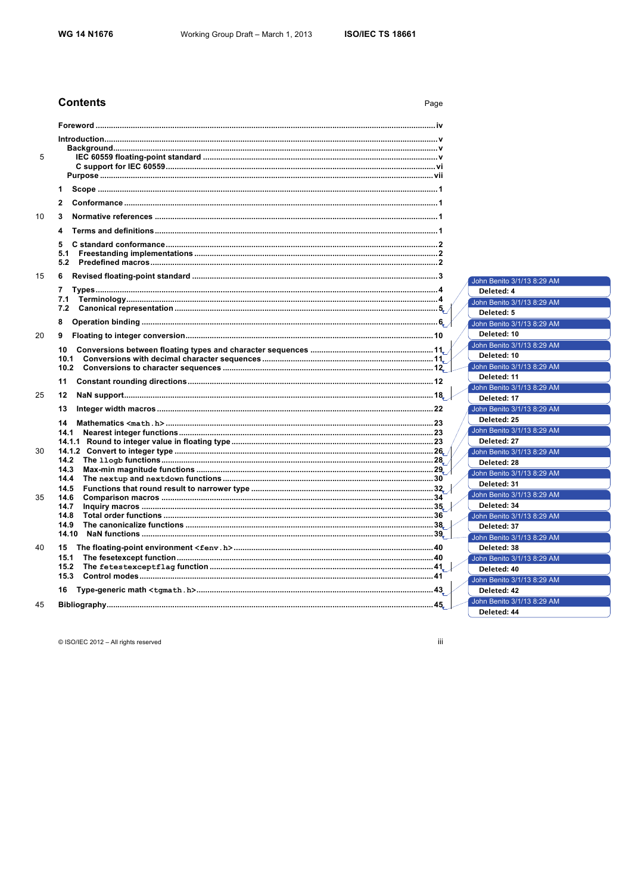Page

# **Contents**

| 5  |               |                                           |
|----|---------------|-------------------------------------------|
|    |               |                                           |
|    |               |                                           |
|    | 1             |                                           |
|    | $\mathbf{2}$  |                                           |
| 10 | 3             |                                           |
|    | 4             |                                           |
|    | 5             |                                           |
|    | 5.1           |                                           |
|    | 5.2           |                                           |
| 15 | 6             | John Benito 3/1/13 8:29 AM                |
|    | 7             | Deleted: 4                                |
|    | 7.1           | John Benito 3/1/13 8:29 AM                |
|    | 7.2           | Deleted: 5                                |
|    | 8             |                                           |
|    |               | John Benito 3/1/13 8:29 AM<br>Deleted: 10 |
| 20 | 9             |                                           |
|    | 10            | John Benito 3/1/13 8:29 AM<br>Deleted: 10 |
|    | 10.1          |                                           |
|    |               | John Benito 3/1/13 8:29 AM                |
|    | 11            | Deleted: 11                               |
| 25 | 12            | John Benito 3/1/13 8:29 AM<br>Deleted: 17 |
|    |               |                                           |
|    | 13            | John Benito 3/1/13 8:29 AM                |
|    | 14            | Deleted: 25                               |
|    | 14.1          | John Benito 3/1/13 8:29 AM                |
|    |               | Deleted: 27                               |
| 30 | 14.2          | John Benito 3/1/13 8:29 AM                |
|    | 14.3          | Deleted: 28                               |
|    | 14.4          | John Benito 3/1/13 8:29 AM                |
|    | 14.5          | Deleted: 31                               |
| 35 | 14.6          | John Benito 3/1/13 8:29 AM                |
|    | 14.7          | Deleted: 34                               |
|    | 14.8          | John Benito 3/1/13 8:29 AM                |
|    | 14.9<br>14.10 | Deleted: 37                               |
|    |               | John Benito 3/1/13 8:29 AM                |
| 40 | 15            | Deleted: 38                               |
|    | 15.1          | John Benito 3/1/13 8:29 AM                |
|    | 15.2<br>15.3  | Deleted: 40                               |
|    |               | John Benito 3/1/13 8:29 AM                |
|    | 16            | Deleted: 42                               |
| 45 |               | John Benito 3/1/13 8:29 AM                |
|    |               | Deleted: 44                               |

© ISO/IEC 2012 - All rights reserved

iii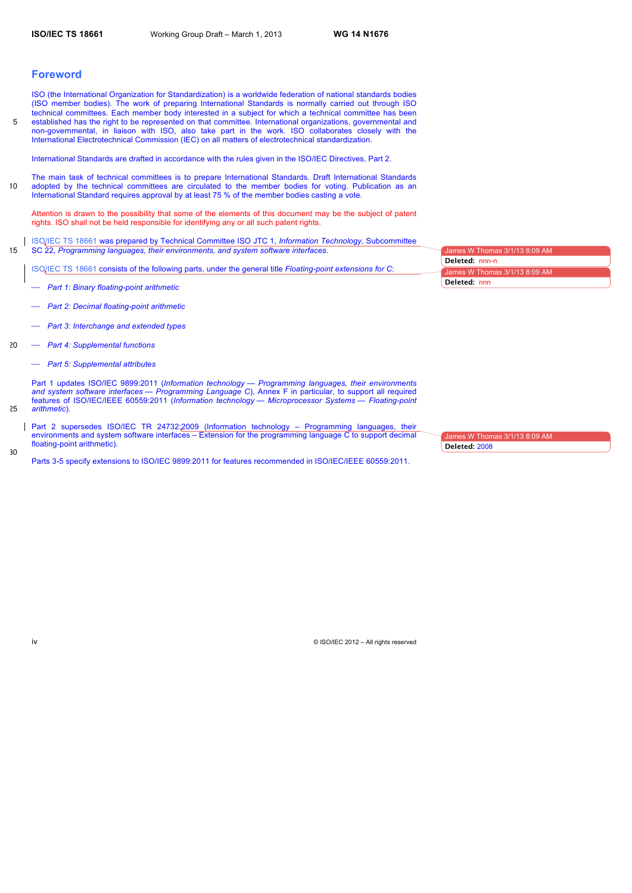# **Foreword**

ISO (the International Organization for Standardization) is a worldwide federation of national standards bodies (ISO member bodies). The work of preparing International Standards is normally carried out through ISO technical committees. Each member body interested in a subject for which a technical committee has been 5 established has the right to be represented on that committee. International organizations, governmental and non-governmental, in liaison with ISO, also take part in the work. ISO collaborates closely with the International Electrotechnical Commission (IEC) on all matters of electrotechnical standardization.

International Standards are drafted in accordance with the rules given in the ISO/IEC Directives, Part 2.

The main task of technical committees is to prepare International Standards. Draft International Standards 10 adopted by the technical committees are circulated to the member bodies for voting. Publication as an International Standard requires approval by at least 75 % of the member bodies casting a vote.

Attention is drawn to the possibility that some of the elements of this document may be the subject of patent rights. ISO shall not be held responsible for identifying any or all such patent rights.

ISO/IEC TS 18661 was prepared by Technical Committee ISO JTC 1, *Information Technology*, Subcommittee 15 SC 22, *Programming languages, their environments, and system software interfaces*.

ISO/IEC TS 18661 consists of the following parts, under the general title *Floating-point extensions for C*:

- ⎯ *Part 1: Binary floating-point arithmetic*
- ⎯ *Part 2: Decimal floating-point arithmetic*
- ⎯ *Part 3: Interchange and extended types*
- 20 ⎯ *Part 4: Supplemental functions*
	- ⎯ *Part 5: Supplemental attributes*

Part 1 updates ISO/IEC 9899:2011 (*Information technology — Programming languages, their environments and system software interfaces — Programming Language C*), Annex F in particular, to support all required features of ISO/IEC/IEEE 60559:2011 (*Information technology — Microprocessor Systems — Floating-point*  25 *arithmetic*).

Part 2 supersedes ISO/IEC TR 24732:2009 (Information technology – Programming languages, their environments and system software interfaces – Extension for the programming language C to support decimal floating-point arithmetic).

Parts 3-5 specify extensions to ISO/IEC 9899:2011 for features recommended in ISO/IEC/IEEE 60559:2011.

nes W Thomas 3/1 ames W Thomas  $3/1/13$   $8.09$ **Deleted:** nnn-n **Deleted:** nnn

James W Thomas 3/1/13 8:09 AM

**Deleted:** 2008

30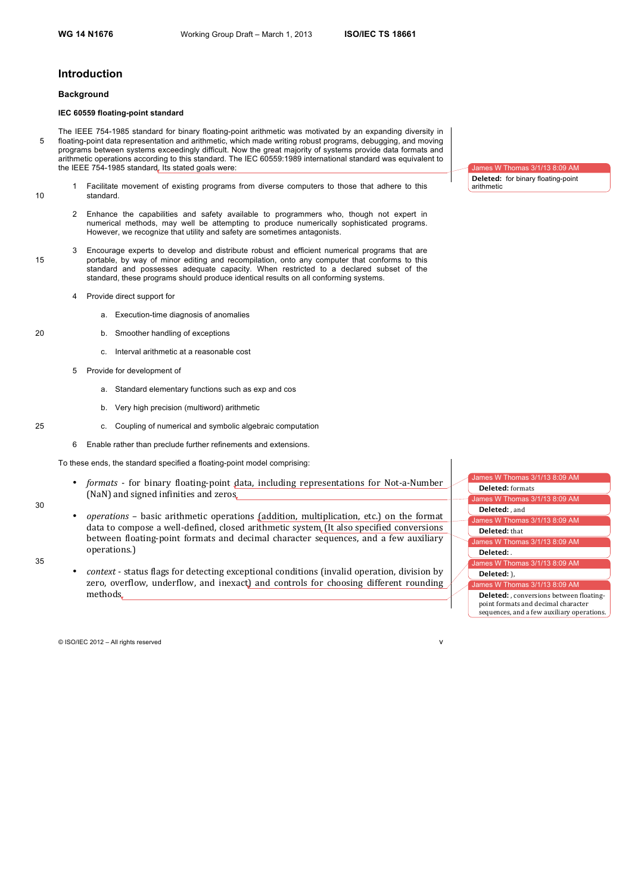# **Introduction**

#### **Background**

# **IEC 60559 floating-point standard**

- The IEEE 754-1985 standard for binary floating-point arithmetic was motivated by an expanding diversity in 5 floating-point data representation and arithmetic, which made writing robust programs, debugging, and moving programs between systems exceedingly difficult. Now the great majority of systems provide data formats and arithmetic operations according to this standard. The IEC 60559:1989 international standard was equivalent to the IEEE 754-1985 standard, Its stated goals were:
- 1 Facilitate movement of existing programs from diverse computers to those that adhere to this 10 standard.
	- 2 Enhance the capabilities and safety available to programmers who, though not expert in numerical methods, may well be attempting to produce numerically sophisticated programs. However, we recognize that utility and safety are sometimes antagonists.
- 3 Encourage experts to develop and distribute robust and efficient numerical programs that are 15 portable, by way of minor editing and recompilation, onto any computer that conforms to this standard and possesses adequate capacity. When restricted to a declared subset of the standard, these programs should produce identical results on all conforming systems.
	- 4 Provide direct support for
		- a. Execution-time diagnosis of anomalies
- 20 b. Smoother handling of exceptions
	- c. Interval arithmetic at a reasonable cost
	- 5 Provide for development of
		- a. Standard elementary functions such as exp and cos
		- b. Very high precision (multiword) arithmetic
- 25 c. Coupling of numerical and symbolic algebraic computation
	- 6 Enable rather than preclude further refinements and extensions.
	- To these ends, the standard specified a floating-point model comprising:
		- *formats* for binary floating-point data, including representations for Not-a-Number (NaN) and signed infinities and zeros.
- 30
- *operations* basic arithmetic operations (addition, multiplication, etc.) on the format data to compose a well-defined, closed arithmetic system (It also specified conversions between floating-point formats and decimal character sequences, and a few auxiliary operations.)
- 35
- context status flags for detecting exceptional conditions (invalid operation, division by zero, overflow, underflow, and inexact) and controls for choosing different rounding methods

mes W Thomas 3/1/13 8:09 AM Is W Thomas 3/1/13 8:09 AM ames W Thomas  $3/1/13$  8:09 AM ames W Thomas  $3/1/13$  8:09 AM mes W Thomas  $3/1/13$  8:09 AM  $\frac{1}{2}$ ames W Thomas 3/1/13 8:09 AM **Deleted:** formats **Deleted:** , and **Deleted:** that **Deleted:** . **Deleted:** ),

**Deleted:** , conversions between floatingpoint formats and decimal character sequences, and a few auxiliary operations.

© ISO/IEC 2012 – All rights reserved v



**Deleted:** for binary floating-point arithmetic

 $s$  3/1/13 8:09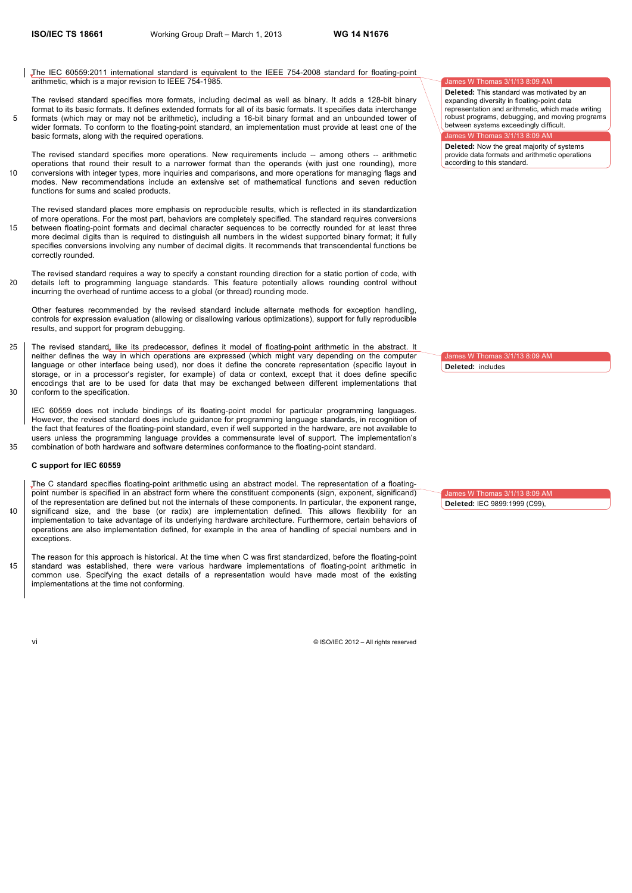The IEC 60559:2011 international standard is equivalent to the IEEE 754-2008 standard for floating-point arithmetic, which is a major revision to IEEE 754-1985.

The revised standard specifies more formats, including decimal as well as binary. It adds a 128-bit binary format to its basic formats. It defines extended formats for all of its basic formats. It specifies data interchange 5 formats (which may or may not be arithmetic), including a 16-bit binary format and an unbounded tower of wider formats. To conform to the floating-point standard, an implementation must provide at least one of the basic formats, along with the required operations.

The revised standard specifies more operations. New requirements include -- among others -- arithmetic operations that round their result to a narrower format than the operands (with just one rounding), more 10 conversions with integer types, more inquiries and comparisons, and more operations for managing flags and modes. New recommendations include an extensive set of mathematical functions and seven reduction functions for sums and scaled products.

The revised standard places more emphasis on reproducible results, which is reflected in its standardization of more operations. For the most part, behaviors are completely specified. The standard requires conversions 15 between floating-point formats and decimal character sequences to be correctly rounded for at least three more decimal digits than is required to distinguish all numbers in the widest supported binary format; it fully specifies conversions involving any number of decimal digits. It recommends that transcendental functions be correctly rounded.

The revised standard requires a way to specify a constant rounding direction for a static portion of code, with 20 details left to programming language standards. This feature potentially allows rounding control without incurring the overhead of runtime access to a global (or thread) rounding mode.

Other features recommended by the revised standard include alternate methods for exception handling, controls for expression evaluation (allowing or disallowing various optimizations), support for fully reproducible results, and support for program debugging.

25 | The revised standard, like its predecessor, defines it model of floating-point arithmetic in the abstract. It neither defines the way in which operations are expressed (which might vary depending on the computer language or other interface being used), nor does it define the concrete representation (specific layout in storage, or in a processor's register, for example) of data or context, except that it does define specific encodings that are to be used for data that may be exchanged between different implementations that 30 conform to the specification.

IEC 60559 does not include bindings of its floating-point model for particular programming languages. However, the revised standard does include guidance for programming language standards, in recognition of the fact that features of the floating-point standard, even if well supported in the hardware, are not available to users unless the programming language provides a commensurate level of support. The implementation's 35 combination of both hardware and software determines conformance to the floating-point standard.

# **C support for IEC 60559**

The C standard specifies floating-point arithmetic using an abstract model. The representation of a floatingpoint number is specified in an abstract form where the constituent components (sign, exponent, significand) of the representation are defined but not the internals of these components. In particular, the exponent range, 40 significand size, and the base (or radix) are implementation defined. This allows flexibility for an implementation to take advantage of its underlying hardware architecture. Furthermore, certain behaviors of operations are also implementation defined, for example in the area of handling of special numbers and in exceptions.

The reason for this approach is historical. At the time when C was first standardized, before the floating-point 45 standard was established, there were various hardware implementations of floating-point arithmetic in common use. Specifying the exact details of a representation would have made most of the existing implementations at the time not conforming.

vi © ISO/IEC 2012 – All rights reserved

# es W Thomas 3/1/13 8:09 AM

**Deleted:** This standard was motivated by an expanding diversity in floating-point data representation and arithmetic, which made writing robust programs, debugging, and moving programs between systems exceedingly difficult.

# $\mathsf{es}\ \mathsf{W}\ \mathsf{Thomas}\ 3/1/13\ 8:09\ \mathsf{AN}$

**Deleted:** Now the great majority of systems provide data formats and arithmetic operations according to this standard.

 $\cos W$  Thomas 3/1/13 8:09 AM **Deleted:** includes

ames W Thomas 3/1/13 8:09 AM **Deleted:** IEC 9899:1999 (C99),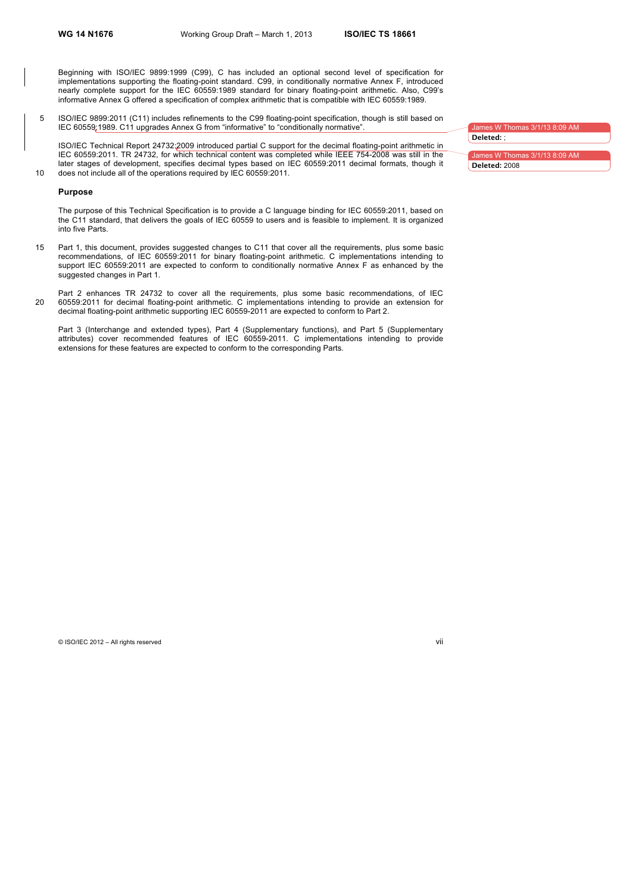Beginning with ISO/IEC 9899:1999 (C99), C has included an optional second level of specification for implementations supporting the floating-point standard. C99, in conditionally normative Annex F, introduced nearly complete support for the IEC 60559:1989 standard for binary floating-point arithmetic. Also, C99's informative Annex G offered a specification of complex arithmetic that is compatible with IEC 60559:1989.

5 ISO/IEC 9899:2011 (C11) includes refinements to the C99 floating-point specification, though is still based on IEC 60559:1989. C11 upgrades Annex G from "informative" to "conditionally normative".

ISO/IEC Technical Report 24732:2009 introduced partial C support for the decimal floating-point arithmetic in IEC 60559:2011. TR 24732, for which technical content was completed while IEEE 754-2008 was still in the later stages of development, specifies decimal types based on IEC 60559:2011 decimal formats, though it 10 does not include all of the operations required by IEC 60559:2011.

#### **Purpose**

The purpose of this Technical Specification is to provide a C language binding for IEC 60559:2011, based on the C11 standard, that delivers the goals of IEC 60559 to users and is feasible to implement. It is organized into five Parts.

15 Part 1, this document, provides suggested changes to C11 that cover all the requirements, plus some basic recommendations, of IEC 60559:2011 for binary floating-point arithmetic. C implementations intending to support IEC 60559:2011 are expected to conform to conditionally normative Annex F as enhanced by the suggested changes in Part 1.

Part 2 enhances TR 24732 to cover all the requirements, plus some basic recommendations, of IEC 20 60559:2011 for decimal floating-point arithmetic. C implementations intending to provide an extension for decimal floating-point arithmetic supporting IEC 60559-2011 are expected to conform to Part 2.

Part 3 (Interchange and extended types), Part 4 (Supplementary functions), and Part 5 (Supplementary attributes) cover recommended features of IEC 60559-2011. C implementations intending to provide extensions for these features are expected to conform to the corresponding Parts.

| James W Thomas 3/1/13 8:09 AM |  |
|-------------------------------|--|
| Deleted: :                    |  |
|                               |  |
| James W Thomas 3/1/13 8:09 AM |  |

**Deleted:** 2008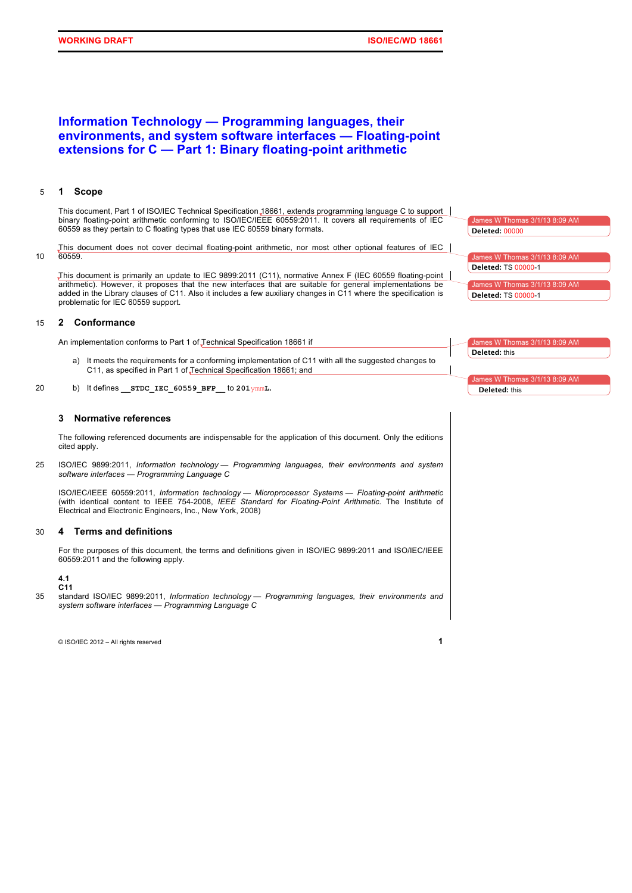# **Information Technology — Programming languages, their environments, and system software interfaces — Floating-point extensions for C — Part 1: Binary floating-point arithmetic**

# 5 **1 Scope**

This document, Part 1 of ISO/IEC Technical Specification 18661, extends programming language C to support binary floating-point arithmetic conforming to ISO/IEC/IEEE 60559:2011. It covers all requirements of IEC 60559 as they pertain to C floating types that use IEC 60559 binary formats.

This document does not cover decimal floating-point arithmetic, nor most other optional features of IEC 10 60559.

This document is primarily an update to IEC 9899:2011 (C11), normative Annex F (IEC 60559 floating-point arithmetic). However, it proposes that the new interfaces that are suitable for general implementations be added in the Library clauses of C11. Also it includes a few auxiliary changes in C11 where the specification is problematic for IEC 60559 support.

# 15 **2 Conformance**

An implementation conforms to Part 1 of Technical Specification 18661 if

- a) It meets the requirements for a conforming implementation of C11 with all the suggested changes to C11, as specified in Part 1 of Technical Specification 18661; and
- 20 b) It defines **\_\_STDC\_IEC\_60559\_BFP\_\_** to **201**ymm**L.**

# **3 Normative references**

The following referenced documents are indispensable for the application of this document. Only the editions cited apply.

25 ISO/IEC 9899:2011, *Information technology — Programming languages, their environments and system software interfaces — Programming Language C*

ISO/IEC/IEEE 60559:2011, *Information technology — Microprocessor Systems — Floating-point arithmetic* (with identical content to IEEE 754-2008, *IEEE Standard for Floating-Point Arithmetic*. The Institute of Electrical and Electronic Engineers, Inc., New York, 2008)

# 30 **4 Terms and definitions**

For the purposes of this document, the terms and definitions given in ISO/IEC 9899:2011 and ISO/IEC/IEEE 60559:2011 and the following apply.

**4.1 C11**

35 standard ISO/IEC 9899:2011, *Information technology — Programming languages, their environments and system software interfaces — Programming Language C*

© ISO/IEC 2012 – All rights reserved **1**

 $mes W$  Thomas 3/1/13 8:09 AM James W Thomas 3/1/13 8:09 AM es W Thomas 3/1/13 8:09 AM **Deleted:** 00000 **Deleted:** TS 00000-1 **Deleted:** TS 00000-1

mes W Thom **Deleted:** this

 $s$  W Thomas **Deleted:** this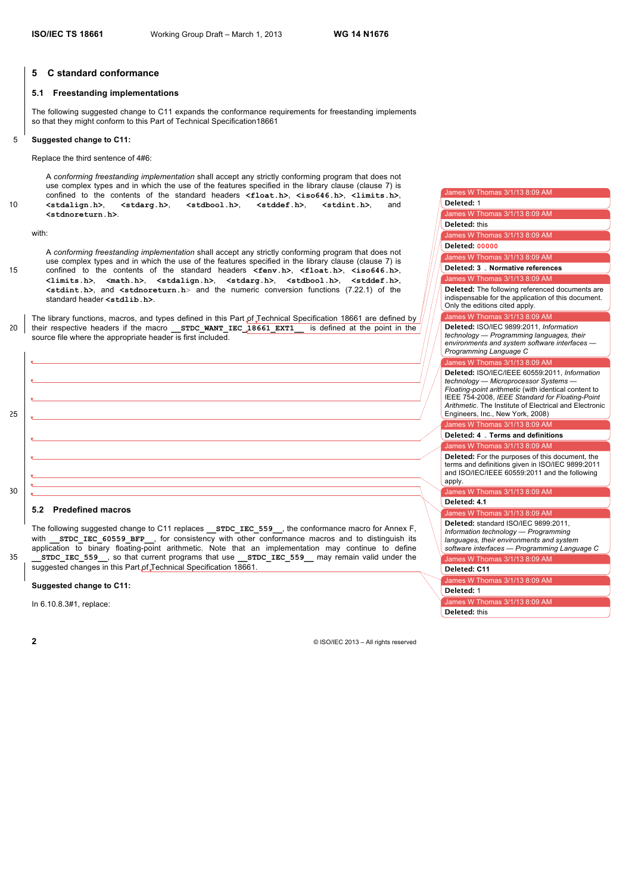James W Thomas 3/1/13 8:09 AM James W Thomas 3/1/13 8:09 AM

**Deleted:** 1

**Deleted:** this

**Deleted: 00000**

 $\frac{1}{2}$  M Thomas 3/1/13 8:09 AM

James W Thomas 3/1/13 8:09 AM

James W Thomas 3/1/13 8:09 AM

**Deleted: 3 Normative references**

**Deleted:** The following referenced documents are indispensable for the application of this document.

 $mes W$  Thomas 3/1/13 8:09

**Deleted:** ISO/IEC 9899:2011, *Information technology — Programming languages, their* 

Only the editions cited apply.

James W Thomas 3/1/13 8:09 AM James W Thomas 3/1/13 8:09 AM

**Deleted: C11**

**Deleted:** 1

**Deleted:** this

James W Thomas 3/1/13 8:09 AM

#### **5 C standard conformance**

#### **5.1 Freestanding implementations**

The following suggested change to C11 expands the conformance requirements for freestanding implements so that they might conform to this Part of Technical Specification18661

#### 5 **Suggested change to C11:**

Replace the third sentence of 4#6:

A *conforming freestanding implementation* shall accept any strictly conforming program that does not use complex types and in which the use of the features specified in the library clause (clause 7) is confined to the contents of the standard headers  $\langle$ float.h>,  $\langle$ iso646.h>,  $\langle$ limits.h>,  $\rangle$ ,  $\langle$ stdalign.h>,  $\langle$ stdarg.h>,  $\langle$ stdbool.h>,  $\langle$ stddef.h>,  $\langle$ stdint.h>, and 10 **<stdalign.h>**, **<stdarg.h>**, **<stdbool.h>**, **<stddef.h>**, **<stdint.h>**, and **<stdnoreturn.h>**.

with:

A *conforming freestanding implementation* shall accept any strictly conforming program that does not use complex types and in which the use of the features specified in the library clause (clause 7) is 15 confined to the contents of the standard headers **<fenv.h>**, **<float.h>**, **<iso646.h>**, **<limits.h>**, **<math.h>**, **<stdalign.h>**, **<stdarg.h>**, **<stdbool.h>**, **<stddef.h>**, **<stdint.h>**, and **<stdnoreturn.h**> and the numeric conversion functions (7.22.1) of the standard header **<stdlib.h>**.

The library functions, macros, and types defined in this Part of Technical Specification 18661 are defined by 20 their respective headers if the macro **\_\_STDC\_WANT\_IEC\_18661\_EXT1\_\_** is defined at the point in the source file where the appropriate header is first included.



# application to binary floating-point arithmetic. Note that an implementation may continue to define 35 **\_\_STDC\_IEC\_559\_\_**, so that current programs that use **\_\_STDC\_IEC\_559\_\_** may remain valid under the

suggested changes in this Part of Technical Specification 18661

# **Suggested change to C11:**

In 6.10.8.3#1, replace: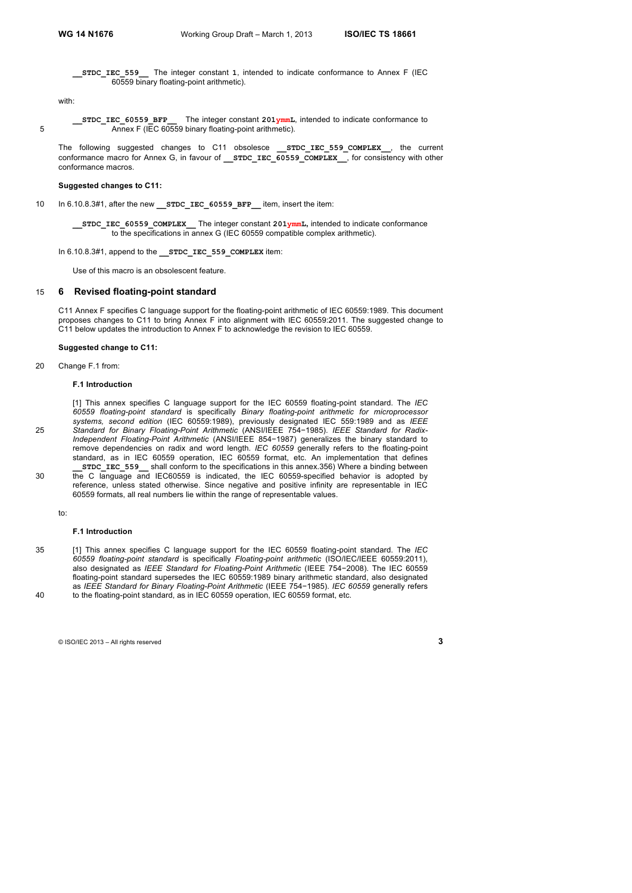**\_\_STDC\_IEC\_559\_\_** The integer constant **1**, intended to indicate conformance to Annex F (IEC 60559 binary floating-point arithmetic).

with:

**\_\_STDC\_IEC\_60559\_BFP\_\_** The integer constant **201ymmL**, intended to indicate conformance to 5 **Annex F** (IEC 60559 binary floating-point arithmetic).

The following suggested changes to C11 obsolesce **STDC IEC 559 COMPLEX**, the current conformance macro for Annex G, in favour of **STDC\_IEC\_60559\_COMPLEX**, for consistency with other conformance macros.

#### **Suggested changes to C11:**

10 In 6.10.8.3#1, after the new **STDC\_IEC\_60559\_BFP** item, insert the item:

**\_\_STDC\_IEC\_60559\_COMPLEX\_\_** The integer constant **201ymmL,** intended to indicate conformance to the specifications in annex G (IEC 60559 compatible complex arithmetic).

#### In 6.10.8.3#1, append to the **STDC** IEC 559 COMPLEX item:

Use of this macro is an obsolescent feature.

# 15 **6 Revised floating-point standard**

C11 Annex F specifies C language support for the floating-point arithmetic of IEC 60559:1989. This document proposes changes to C11 to bring Annex F into alignment with IEC 60559:2011. The suggested change to C11 below updates the introduction to Annex F to acknowledge the revision to IEC 60559.

#### **Suggested change to C11:**

20 Change F.1 from:

#### **F.1 Introduction**

[1] This annex specifies C language support for the IEC 60559 floating-point standard. The *IEC 60559 floating-point standard* is specifically *Binary floating-point arithmetic for microprocessor systems, second edition* (IEC 60559:1989), previously designated IEC 559:1989 and as *IEEE*  25 *Standard for Binary Floating-Point Arithmetic* (ANSI/IEEE 754−1985). *IEEE Standard for Radix-Independent Floating-Point Arithmetic* (ANSI/IEEE 854−1987) generalizes the binary standard to remove dependencies on radix and word length. *IEC 60559* generally refers to the floating-point standard, as in IEC 60559 operation, IEC 60559 format, etc. An implementation that defines **\_\_STDC\_IEC\_559\_\_** shall conform to the specifications in this annex.356) Where a binding between 30 the C language and IEC60559 is indicated, the IEC 60559-specified behavior is adopted by reference, unless stated otherwise. Since negative and positive infinity are representable in IEC 60559 formats, all real numbers lie within the range of representable values.

to:

#### **F.1 Introduction**

35 [1] This annex specifies C language support for the IEC 60559 floating-point standard. The *IEC 60559 floating-point standard* is specifically *Floating-point arithmetic* (ISO/IEC/IEEE 60559:2011), also designated as *IEEE Standard for Floating-Point Arithmetic* (IEEE 754−2008). The IEC 60559 floating-point standard supersedes the IEC 60559:1989 binary arithmetic standard, also designated as *IEEE Standard for Binary Floating-Point Arithmetic* (IEEE 754−1985). *IEC 60559* generally refers 40 to the floating-point standard, as in IEC 60559 operation, IEC 60559 format, etc.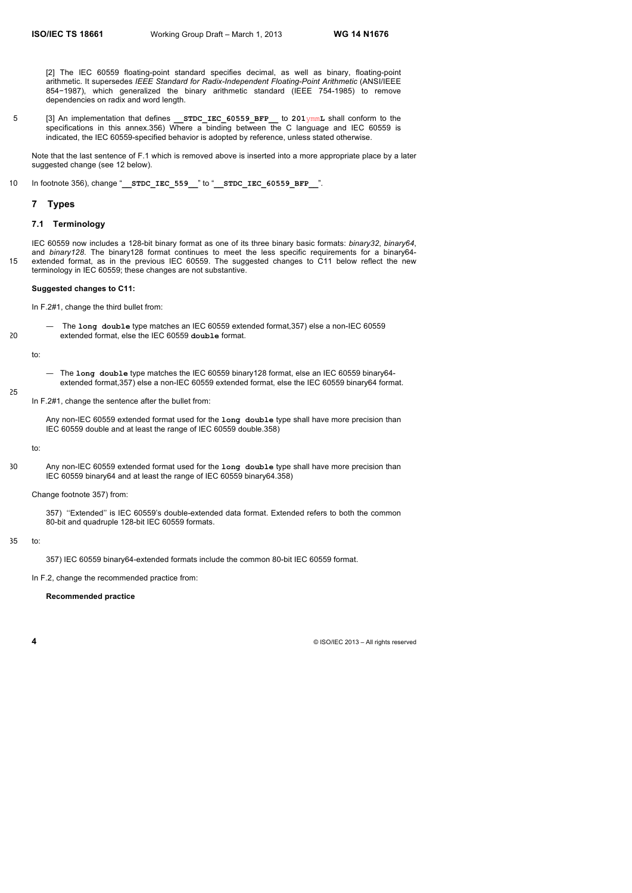[2] The IEC 60559 floating-point standard specifies decimal, as well as binary, floating-point arithmetic. It supersedes *IEEE Standard for Radix-Independent Floating-Point Arithmetic* (ANSI/IEEE 854−1987), which generalized the binary arithmetic standard (IEEE 754-1985) to remove dependencies on radix and word length.

5 [3] An implementation that defines **\_\_STDC\_IEC\_60559\_BFP\_\_** to **201**ymm**L** shall conform to the specifications in this annex.356) Where a binding between the C language and IEC 60559 is indicated, the IEC 60559-specified behavior is adopted by reference, unless stated otherwise.

Note that the last sentence of F.1 which is removed above is inserted into a more appropriate place by a later suggested change (see 12 below).

10 In footnote 356), change "**\_\_STDC\_IEC\_559\_\_**" to "**\_\_STDC\_IEC\_60559\_BFP\_\_**".

#### **7 Types**

# **7.1 Terminology**

IEC 60559 now includes a 128-bit binary format as one of its three binary basic formats: *binary32*, *binary64*, and *binary128*. The binary128 format continues to meet the less specific requirements for a binary64-15 extended format, as in the previous IEC 60559. The suggested changes to C11 below reflect the new terminology in IEC 60559; these changes are not substantive.

#### **Suggested changes to C11:**

In F.2#1, change the third bullet from:

— The **long double** type matches an IEC 60559 extended format,357) else a non-IEC 60559 20 extended format, else the IEC 60559 **double** format.

to:

25

- The **long double** type matches the IEC 60559 binary128 format, else an IEC 60559 binary64 extended format,357) else a non-IEC 60559 extended format, else the IEC 60559 binary64 format.
- In F.2#1, change the sentence after the bullet from:

Any non-IEC 60559 extended format used for the **long double** type shall have more precision than IEC 60559 double and at least the range of IEC 60559 double.358)

to:

30 Any non-IEC 60559 extended format used for the **long double** type shall have more precision than IEC 60559 binary64 and at least the range of IEC 60559 binary64.358)

## Change footnote 357) from:

357) ''Extended'' is IEC 60559's double-extended data format. Extended refers to both the common 80-bit and quadruple 128-bit IEC 60559 formats.

# 35 to:

357) IEC 60559 binary64-extended formats include the common 80-bit IEC 60559 format.

In F.2, change the recommended practice from:

#### **Recommended practice**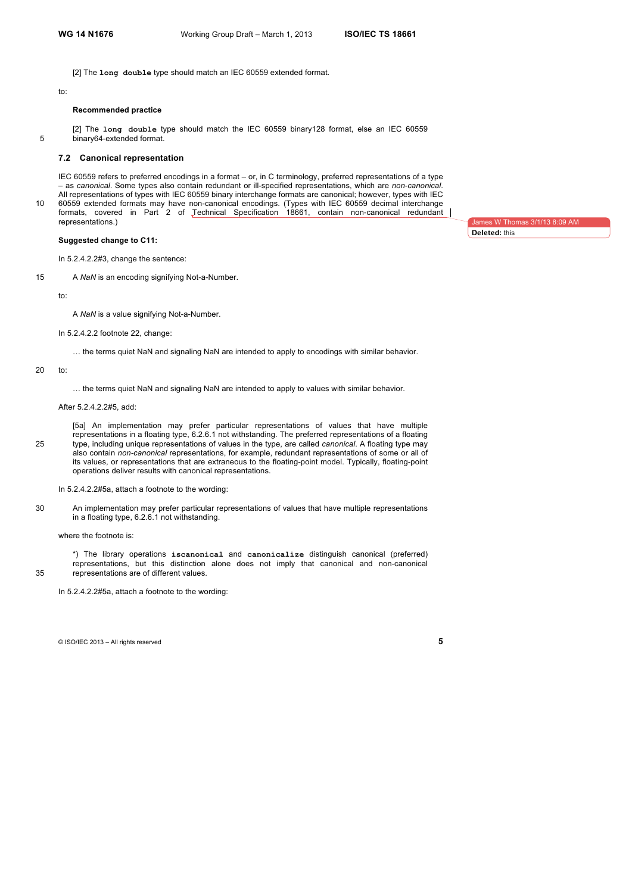[2] The **long double** type should match an IEC 60559 extended format.

#### to:

# **Recommended practice**

[2] The **long double** type should match the IEC 60559 binary128 format, else an IEC 60559 5 binary64-extended format.

# **7.2 Canonical representation**

IEC 60559 refers to preferred encodings in a format – or, in C terminology, preferred representations of a type – as *canonical*. Some types also contain redundant or ill-specified representations, which are *non-canonical*. All representations of types with IEC 60559 binary interchange formats are canonical; however, types with IEC 10 60559 extended formats may have non-canonical encodings. (Types with IEC 60559 decimal interchange formats, covered in Part 2 of Technical Specification 18661, contain non-canonical redundant representations.)

#### **Suggested change to C11:**

In 5.2.4.2.2#3, change the sentence:

15 A *NaN* is an encoding signifying Not-a-Number.

to:

A *NaN* is a value signifying Not-a-Number.

In 5.2.4.2.2 footnote 22, change:

… the terms quiet NaN and signaling NaN are intended to apply to encodings with similar behavior.

#### 20 to:

… the terms quiet NaN and signaling NaN are intended to apply to values with similar behavior.

After 5.2.4.2.2#5, add:

[5a] An implementation may prefer particular representations of values that have multiple representations in a floating type, 6.2.6.1 not withstanding. The preferred representations of a floating 25 type, including unique representations of values in the type, are called *canonical*. A floating type may also contain *non-canonical* representations, for example, redundant representations of some or all of its values, or representations that are extraneous to the floating-point model. Typically, floating-point operations deliver results with canonical representations.

In 5.2.4.2.2#5a, attach a footnote to the wording:

30 An implementation may prefer particular representations of values that have multiple representations in a floating type, 6.2.6.1 not withstanding.

where the footnote is:

\*) The library operations **iscanonical** and **canonicalize** distinguish canonical (preferred) representations, but this distinction alone does not imply that canonical and non-canonical 35 representations are of different values.

In 5.2.4.2.2#5a, attach a footnote to the wording:

© ISO/IEC 2013 – All rights reserved **5**

nes W Thomas 3/1/13 8:09 AM **Deleted:** this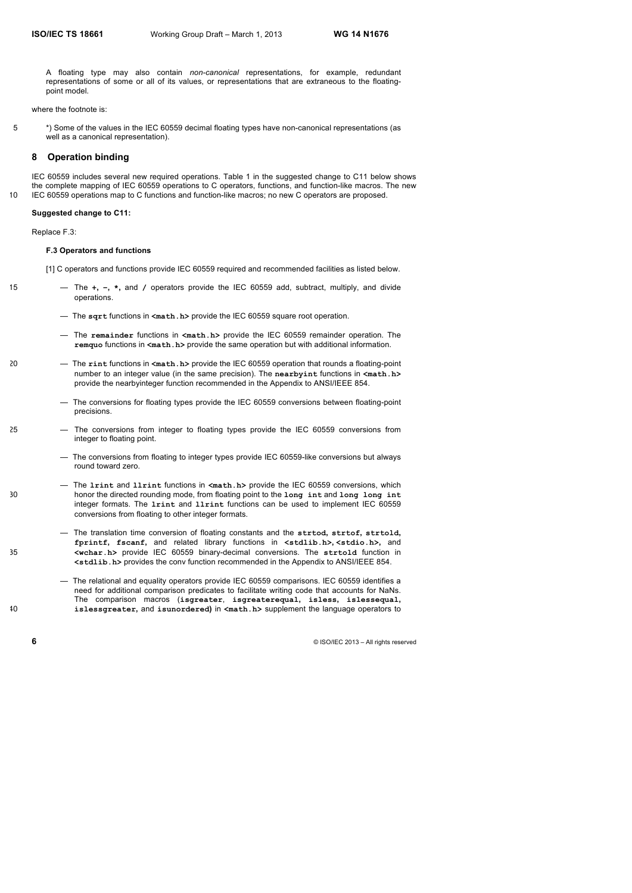A floating type may also contain *non-canonical* representations, for example, redundant representations of some or all of its values, or representations that are extraneous to the floatingpoint model.

where the footnote is:

5 \*) Some of the values in the IEC 60559 decimal floating types have non-canonical representations (as well as a canonical representation).

# **8 Operation binding**

IEC 60559 includes several new required operations. Table 1 in the suggested change to C11 below shows the complete mapping of IEC 60559 operations to C operators, functions, and function-like macros. The new 10 IEC 60559 operations map to C functions and function-like macros; no new C operators are proposed.

#### **Suggested change to C11:**

Replace F.3:

#### **F.3 Operators and functions**

[1] C operators and functions provide IEC 60559 required and recommended facilities as listed below.

- 15 The **+, −, \*,** and **/** operators provide the IEC 60559 add, subtract, multiply, and divide operations.
	- The **sqrt** functions in **<math.h>** provide the IEC 60559 square root operation.
	- The **remainder** functions in **<math.h>** provide the IEC 60559 remainder operation. The **remquo** functions in **<math.h>** provide the same operation but with additional information.
- 20 The **rint** functions in **<math.h>** provide the IEC 60559 operation that rounds a floating-point number to an integer value (in the same precision). The **nearbyint** functions in **<math.h>** provide the nearbyinteger function recommended in the Appendix to ANSI/IEEE 854.
	- The conversions for floating types provide the IEC 60559 conversions between floating-point precisions.
- 25 The conversions from integer to floating types provide the IEC 60559 conversions from integer to floating point.
	- The conversions from floating to integer types provide IEC 60559-like conversions but always round toward zero.
- The **lrint** and **llrint** functions in **<math.h>** provide the IEC 60559 conversions, which 30 honor the directed rounding mode, from floating point to the **long int** and **long long int** integer formats. The **lrint** and **llrint** functions can be used to implement IEC 60559 conversions from floating to other integer formats.
- The translation time conversion of floating constants and the **strtod, strtof, strtold, fprintf, fscanf,** and related library functions in **<stdlib.h>, <stdio.h>,** and 35 **<wchar.h>** provide IEC 60559 binary-decimal conversions. The **strtold** function in **<stdlib.h>** provides the conv function recommended in the Appendix to ANSI/IEEE 854.
- The relational and equality operators provide IEC 60559 comparisons. IEC 60559 identifies a need for additional comparison predicates to facilitate writing code that accounts for NaNs. The comparison macros (**isgreater**, **isgreaterequal, isless, islessequal,**  40 **islessgreater,** and **isunordered)** in **<math.h>** supplement the language operators to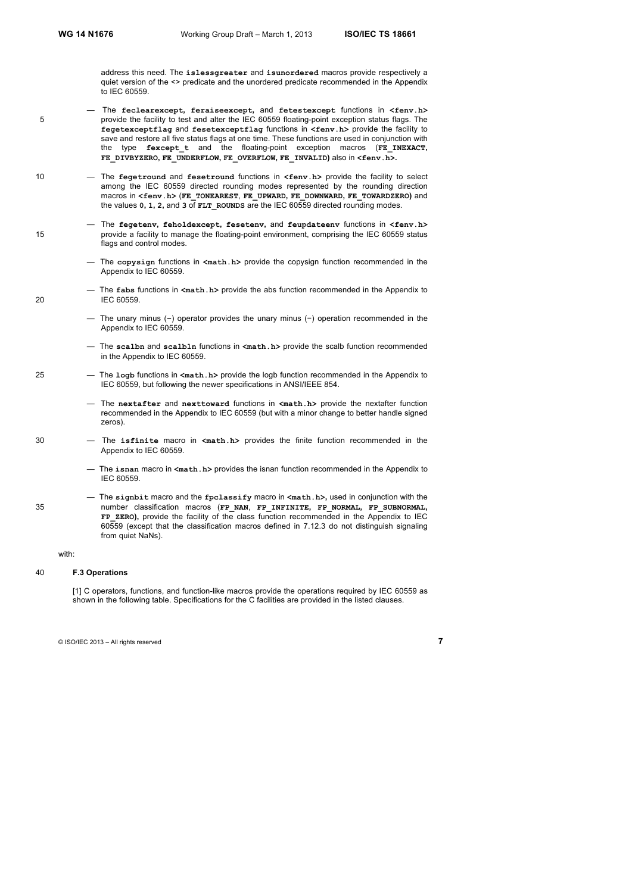address this need. The **islessgreater** and **isunordered** macros provide respectively a quiet version of the <> predicate and the unordered predicate recommended in the Appendix to IEC 60559.

- The **feclearexcept, feraiseexcept,** and **fetestexcept** functions in **<fenv.h>** 5 provide the facility to test and alter the IEC 60559 floating-point exception status flags. The **fegetexceptflag** and **fesetexceptflag** functions in **<fenv.h>** provide the facility to save and restore all five status flags at one time. These functions are used in conjunction with the type **fexcept\_t** and the floating-point exception macros (**FE\_INEXACT, FE\_DIVBYZERO, FE\_UNDERFLOW, FE\_OVERFLOW, FE\_INVALID)** also in **<fenv.h>.**
- 10 The **fegetround** and **fesetround** functions in **<fenv.h>** provide the facility to select among the IEC 60559 directed rounding modes represented by the rounding direction macros in **<fenv.h>** (**FE\_TONEAREST**, **FE\_UPWARD, FE\_DOWNWARD, FE\_TOWARDZERO)** and the values **0, 1, 2,** and **3** of **FLT\_ROUNDS** are the IEC 60559 directed rounding modes.
- The **fegetenv, feholdexcept, fesetenv,** and **feupdateenv** functions in **<fenv.h>** 15 provide a facility to manage the floating-point environment, comprising the IEC 60559 status flags and control modes.
	- The **copysign** functions in **<math.h>** provide the copysign function recommended in the Appendix to IEC 60559.
- The **fabs** functions in **<math.h>** provide the abs function recommended in the Appendix to 20 IEC 60559.
	- The unary minus (**−**) operator provides the unary minus (−) operation recommended in the Appendix to IEC 60559.
	- The **scalbn** and **scalbln** functions in **<math.h>** provide the scalb function recommended in the Appendix to IEC 60559.
- 25 The **logb** functions in **<math.h>** provide the logb function recommended in the Appendix to IEC 60559, but following the newer specifications in ANSI/IEEE 854.
	- The **nextafter** and **nexttoward** functions in **<math.h>** provide the nextafter function recommended in the Appendix to IEC 60559 (but with a minor change to better handle signed zeros).
- 30 The **isfinite** macro in **<math.h>** provides the finite function recommended in the Appendix to IEC 60559.
	- The **isnan** macro in **<math.h>** provides the isnan function recommended in the Appendix to IEC 60559.
- The **signbit** macro and the **fpclassify** macro in **<math.h>,** used in conjunction with the 35 number classification macros (**FP\_NAN**, **FP\_INFINITE, FP\_NORMAL, FP\_SUBNORMAL, FP\_ZERO),** provide the facility of the class function recommended in the Appendix to IEC 60559 (except that the classification macros defined in 7.12.3 do not distinguish signaling from quiet NaNs).

#### with:

#### 40 **F.3 Operations**

[1] C operators, functions, and function-like macros provide the operations required by IEC 60559 as shown in the following table. Specifications for the C facilities are provided in the listed clauses.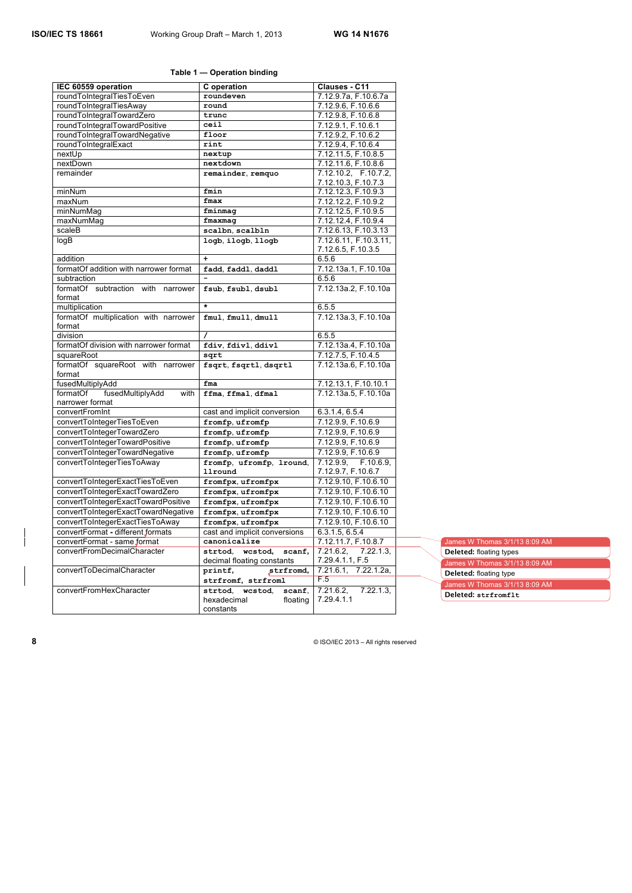# **Table 1 — Operation binding**

| IEC 60559 operation                      | C operation                   | Clauses - C11                      |
|------------------------------------------|-------------------------------|------------------------------------|
| roundToIntegralTiesToEven                | roundeven                     | 7.12.9.7a, F.10.6.7a               |
| roundToIntegralTiesAway                  | round                         | 7.12.9.6, F.10.6.6                 |
| roundToIntegralTowardZero                | trunc                         | 7.12.9.8, F.10.6.8                 |
| roundToIntegralTowardPositive            | ceil                          | 7.12.9.1, F.10.6.1                 |
| roundToIntegralTowardNegative            | floor                         | 7.12.9.2, F.10.6.2                 |
| roundToIntegralExact                     | rint                          | 7.12.9.4, F.10.6.4                 |
| nextUp                                   | nextup                        | 7.12.11.5, F.10.8.5                |
| nextDown                                 | nextdown                      | 7.12.11.6, F.10.8.6                |
| remainder                                | remainder, remquo             | 7.12.10.2, F.10.7.2,               |
|                                          |                               | 7.12.10.3, F.10.7.3                |
| minNum                                   | fmin                          | 7.12.12.3, F.10.9.3                |
| maxNum                                   | fmax                          | 7.12.12.2, F.10.9.2                |
| minNumMag                                | fminmag                       | 7.12.12.5, F.10.9.5                |
| maxNumMaq                                | fmaxmag                       | 7.12.12.4, F.10.9.4                |
| scaleB                                   | scalbn, scalbln               | 7.12.6.13, F.10.3.13               |
| logB                                     | logb, ilogb, llogb            | 7.12.6.11, F.10.3.11,              |
|                                          |                               | 7.12.6.5, F.10.3.5                 |
| addition                                 | $\ddot{}$                     | 6.5.6                              |
| formatOf addition with narrower format   | fadd, faddl, daddl            | 7.12.13a.1, F.10.10a               |
| subtraction                              |                               | 6.5.6                              |
| formatOf subtraction<br>with<br>narrower | fsub, fsubl, dsubl            | 7.12.13a.2, F.10.10a               |
| format                                   |                               |                                    |
| multiplication                           | ¥                             | 6.5.5                              |
| formatOf multiplication with narrower    | fmul, fmull, dmull            | 7.12.13a.3, F.10.10a               |
| format                                   |                               |                                    |
| division                                 | 7                             | 6.5.5                              |
| formatOf division with narrower format   | fdiv, fdivl, ddivl            | 7.12.13a.4, F.10.10a               |
| squareRoot                               | sqrt                          | 7.12.7.5, F.10.4.5                 |
| formatOf squareRoot with narrower        | fsqrt, fsqrtl, dsqrtl         | 7.12.13a.6, F.10.10a               |
| format                                   |                               |                                    |
| fusedMultiplyAdd                         | fma                           | 7.12.13.1, F.10.10.1               |
| fusedMultiplyAdd<br>formatOf<br>with     | ffma, ffmal, dfmal            | 7.12.13a.5, F.10.10a               |
| narrower format                          |                               |                                    |
| convertFromInt                           | cast and implicit conversion  | 6.3.1.4, 6.5.4                     |
| convertToIntegerTiesToEven               | fromfp, ufromfp               | 7.12.9.9, F.10.6.9                 |
| convertToIntegerTowardZero               | fromfp, ufromfp               | 7.12.9.9, F.10.6.9                 |
| convertToIntegerTowardPositive           | fromfp, ufromfp               | 7.12.9.9, F.10.6.9                 |
| convertToIntegerTowardNegative           | fromfp, ufromfp               | 7.12.9.9, F.10.6.9                 |
| convertToIntegerTiesToAway               | fromfp, ufromfp, lround,      | $F.10.6.\overline{9}$<br>7.12.9.9. |
|                                          | llround                       | 7.12.9.7, F.10.6.7                 |
| convertToIntegerExactTiesToEven          | fromfpx, ufromfpx             | 7.12.9.10, F.10.6.10               |
| convertToIntegerExactTowardZero          | fromfpx, ufromfpx             | 7.12.9.10, F.10.6.10               |
| convertToIntegerExactTowardPositive      | fromfpx, ufromfpx             | 7.12.9.10, F.10.6.10               |
| convertToIntegerExactTowardNegative      | fromfpx, ufromfpx             | 7.12.9.10, F.10.6.10               |
| convertToIntegerExactTiesToAway          | fromfpx, ufromfpx             | 7.12.9.10, F.10.6.10               |
| convertFormat - different formats        | cast and implicit conversions | 6.3.1.5, 6.5.4                     |
| convertFormat - same format              | canonicalize                  | 7.12.11.7, F.10.8.7                |
| convertFromDecimalCharacter              | strtod, wcstod,<br>scanf,     | 7.21.6.2,<br>7.22.1.3              |
|                                          | decimal floating constants    | 7.29.4.1.1, F.5                    |
| convertToDecimalCharacter                | strfromd,<br>printf,          | 7.21.6.1, 7.22.1.2a,               |
|                                          | strfromf, strfroml            | F.5                                |
| convertFromHexCharacter                  | strtod, wcstod,<br>scanf.     | 7.21.6.2<br>7.22.1.3               |
|                                          | hexadecimal<br>floating       | 7.29.4.1.1                         |
|                                          | constants                     |                                    |

| James W Thomas 3/1/13 8:09 AM  |
|--------------------------------|
| <b>Deleted: floating types</b> |
| James W Thomas 3/1/13 8:09 AM  |
| Deleted: floating type         |
| James W Thomas 3/1/13 8:09 AM  |
| Deleted: strfromflt            |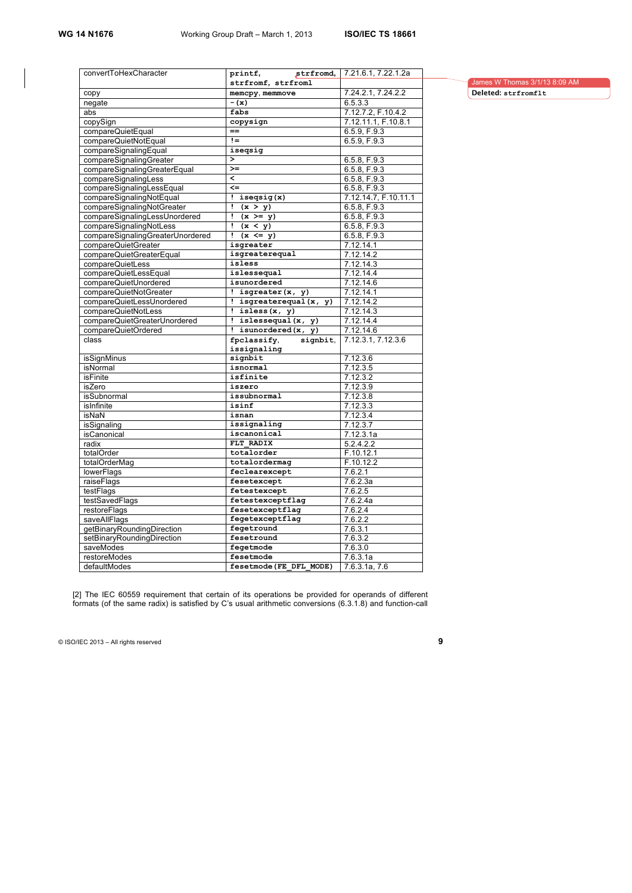| convertToHexCharacter            | strfromd,<br>printf,      | 7.21.6.1, 7.22.1.2a  |
|----------------------------------|---------------------------|----------------------|
|                                  | strfromf, strfroml        |                      |
| copy                             | memcpy, memmove           | 7.24.2.1, 7.24.2.2   |
| negate                           | $-(x)$                    | 6.5.3.3              |
| abs                              | fabs                      | 7.12.7.2, F.10.4.2   |
| copySign                         | copysign                  | 7.12.11.1, F.10.8.1  |
| compareQuietEqual                | $==$                      | 6.5.9, F.9.3         |
| compareQuietNotEqual             | $!=$                      | 6.5.9, F.9.3         |
| compareSignalingEqual            | iseqsig                   |                      |
| compareSignalingGreater          | $\rightarrow$             | 6.5.8, F.9.3         |
| compareSignalingGreaterEqual     | $>=$                      | 6.5.8, F.9.3         |
| compareSignalingLess             | $\overline{\phantom{a}}$  | 6.5.8, F.9.3         |
| compareSignalingLessEqual        | $\leftarrow$              | 6.5.8, F.9.3         |
| compareSignalingNotEqual         | : isegsig(x)              | 7.12.14.7, F.10.11.1 |
| compareSignalingNotGreater       | ï<br>$\overline{(x} > y)$ | 6.5.8, F.9.3         |
| compareSignalingLessUnordered    | Ţ<br>$(x \ge y)$          | 6.5.8, F.9.3         |
| compareSignalingNotLess          | Ţ<br>(x < y)              | 6.5.8, F.9.3         |
| compareSignalingGreaterUnordered | Ţ.<br>$(x \leq y)$        | 6.5.8, F.9.3         |
| compareQuietGreater              | isgreater                 | 7.12.14.1            |
| compareQuietGreaterEqual         | isgreaterequal            | 7.12.14.2            |
| compareQuietLess                 | isless                    | 7.12.14.3            |
| compareQuietLessEqual            | islessequal               | 7.12.14.4            |
| compareQuietUnordered            | isunordered               | 7.12.14.6            |
| compareQuietNotGreater           | $!$ isgreater $(x, y)$    | 7.12.14.1            |
| compareQuietLessUnordered        | ! isgreaterequal $(x, y)$ | 7.12.14.2            |
| compareQuietNotLess              | $!$ isless $(x, y)$       | 7.12.14.3            |
| compareQuietGreaterUnordered     | ! islessequal $(x, y)$    | 7.12.14.4            |
| compareQuietOrdered              | ! isunordered $(x, y)$    | 7.12.14.6            |
| class                            | fpclassify,<br>signbit,   | 7.12.3.1, 7.12.3.6   |
|                                  | issignaling               |                      |
| isSignMinus                      | signbit                   | 7.12.3.6             |
| isNormal                         | isnormal                  | 7.12.3.5             |
| <b>isFinite</b>                  | isfinite                  | 7.12.3.2             |
| isZero                           | iszero                    | 7.12.3.9             |
| isSubnormal                      | issubnormal               | 7.12.3.8             |
| isInfinite                       | isinf                     | 7.12.3.3             |
| isNaN                            | isnan                     | 7.12.3.4             |
| isSignaling                      | issignaling               | 7.12.3.7             |
| isCanonical                      | iscanonical               | 7.12.3.1a            |
| radix                            | FLT RADIX                 | 5.2.4.2.2            |
| totalOrder                       | totalorder                | F.10.12.1            |
| totalOrderMaq                    | totalordermag             | F.10.12.2            |
| lowerFlags                       | feclearexcept             | 7.6.2.1              |
| raiseFlags                       | fesetexcept               | 7.6.2.3a             |
| testFlags                        | fetestexcept              | 7.6.2.5              |
| testSavedFlags                   | fetestexceptflag          | 7.6.2.4a             |
| restoreFlags                     | fesetexceptflag           | 7.6.2.4              |
| saveAllFlags                     | fegetexceptflag           | 7.6.2.2              |
| getBinaryRoundingDirection       | fegetround                | 7.6.3.1              |
| setBinaryRoundingDirection       | fesetround                | 7.6.3.2              |
| saveModes                        | fegetmode                 | 7.6.3.0              |
| restoreModes                     | fesetmode                 | 7.6.3.1a             |
| defaultModes                     | fesetmode (FE DFL MODE)   | 7.6.3.1a, 7.6        |
|                                  |                           |                      |

James W Thomas 3/1/13 8:09 AM **Deleted: strfromflt**

[2] The IEC 60559 requirement that certain of its operations be provided for operands of different formats (of the same radix) is satisfied by C's usual arithmetic conversions (6.3.1.8) and function-call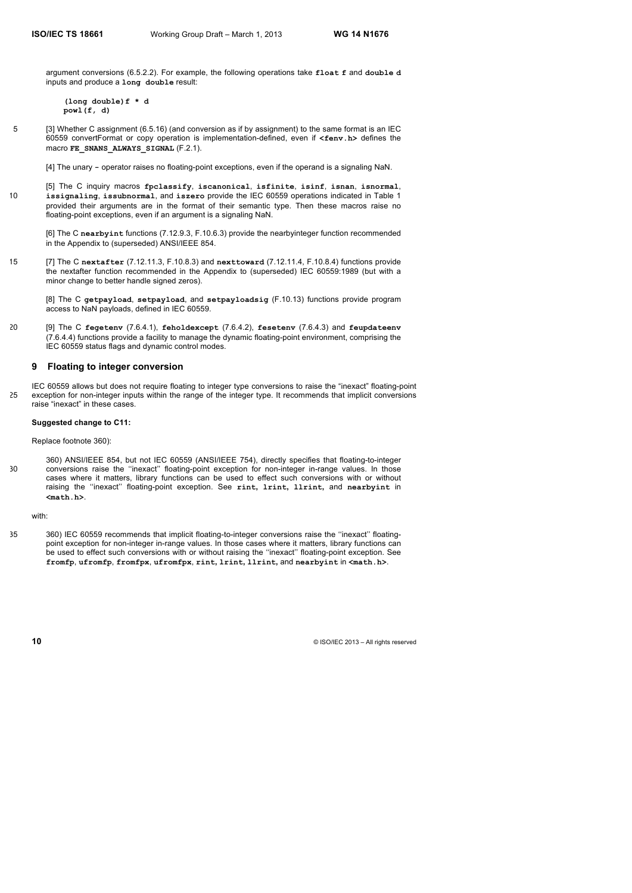argument conversions (6.5.2.2). For example, the following operations take **float f** and **double d** inputs and produce a **long double** result:

**(long double)f \* d powl(f, d)**

5 [3] Whether C assignment (6.5.16) (and conversion as if by assignment) to the same format is an IEC 60559 convertFormat or copy operation is implementation-defined, even if **<fenv.h>** defines the macro **FE\_SNANS\_ALWAYS\_SIGNAL** (F.2.1).

[4] The unary **-** operator raises no floating-point exceptions, even if the operand is a signaling NaN.

[5] The C inquiry macros **fpclassify**, **iscanonical**, **isfinite**, **isinf**, **isnan**, **isnormal**, 10 **issignaling**, **issubnormal**, and **iszero** provide the IEC 60559 operations indicated in Table 1 provided their arguments are in the format of their semantic type. Then these macros raise no floating-point exceptions, even if an argument is a signaling NaN.

[6] The C **nearbyint** functions (7.12.9.3, F.10.6.3) provide the nearbyinteger function recommended in the Appendix to (superseded) ANSI/IEEE 854.

15 [7] The C **nextafter** (7.12.11.3, F.10.8.3) and **nexttoward** (7.12.11.4, F.10.8.4) functions provide the nextafter function recommended in the Appendix to (superseded) IEC 60559:1989 (but with a minor change to better handle signed zeros).

[8] The C **getpayload**, **setpayload**, and **setpayloadsig** (F.10.13) functions provide program access to NaN payloads, defined in IEC 60559.

20 [9] The C **fegetenv** (7.6.4.1), **feholdexcept** (7.6.4.2), **fesetenv** (7.6.4.3) and **feupdateenv** (7.6.4.4) functions provide a facility to manage the dynamic floating-point environment, comprising the IEC 60559 status flags and dynamic control modes.

# **9 Floating to integer conversion**

IEC 60559 allows but does not require floating to integer type conversions to raise the "inexact" floating-point 25 exception for non-integer inputs within the range of the integer type. It recommends that implicit conversions raise "inexact" in these cases.

# **Suggested change to C11:**

Replace footnote 360):

360) ANSI/IEEE 854, but not IEC 60559 (ANSI/IEEE 754), directly specifies that floating-to-integer 30 conversions raise the ''inexact'' floating-point exception for non-integer in-range values. In those cases where it matters, library functions can be used to effect such conversions with or without raising the ''inexact'' floating-point exception. See **rint, lrint, llrint,** and **nearbyint** in **<math.h>**.

with:

35 360) IEC 60559 recommends that implicit floating-to-integer conversions raise the ''inexact'' floatingpoint exception for non-integer in-range values. In those cases where it matters, library functions can be used to effect such conversions with or without raising the ''inexact'' floating-point exception. See **fromfp**, **ufromfp**, **fromfpx**, **ufromfpx**, **rint, lrint, llrint,** and **nearbyint** in **<math.h>**.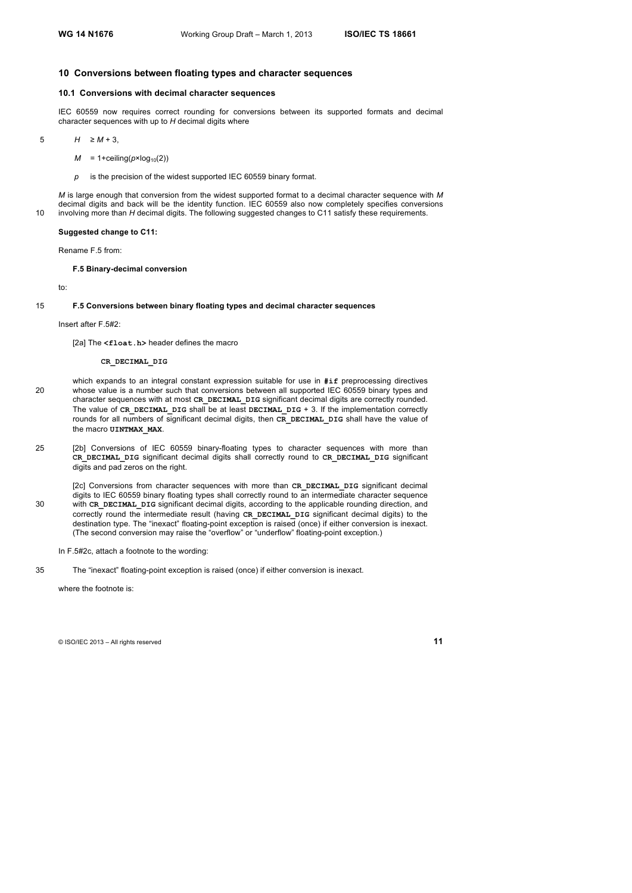# **10 Conversions between floating types and character sequences**

# **10.1 Conversions with decimal character sequences**

IEC 60559 now requires correct rounding for conversions between its supported formats and decimal character sequences with up to *H* decimal digits where

5 *H* ≥ *M* + 3,

- $M = 1 +$ ceiling( $p \times log_{10}(2)$ )
- *p* is the precision of the widest supported IEC 60559 binary format.

*M* is large enough that conversion from the widest supported format to a decimal character sequence with *M* decimal digits and back will be the identity function. IEC 60559 also now completely specifies conversions 10 involving more than *H* decimal digits. The following suggested changes to C11 satisfy these requirements.

#### **Suggested change to C11:**

Rename F.5 from:

#### **F.5 Binary-decimal conversion**

to:

# 15 **F.5 Conversions between binary floating types and decimal character sequences**

#### Insert after F.5#2:

[2a] The <float.h> header defines the macro

# **CR\_DECIMAL\_DIG**

- which expands to an integral constant expression suitable for use in **#if** preprocessing directives 20 whose value is a number such that conversions between all supported IEC 60559 binary types and character sequences with at most **CR\_DECIMAL\_DIG** significant decimal digits are correctly rounded. The value of **CR\_DECIMAL\_DIG** shall be at least **DECIMAL\_DIG** + 3. If the implementation correctly rounds for all numbers of significant decimal digits, then **CR\_DECIMAL\_DIG** shall have the value of the macro **UINTMAX\_MAX**.
- 25 [2b] Conversions of IEC 60559 binary-floating types to character sequences with more than **CR\_DECIMAL\_DIG** significant decimal digits shall correctly round to **CR\_DECIMAL\_DIG** significant digits and pad zeros on the right.

[2c] Conversions from character sequences with more than CR\_DECIMAL\_DIG significant decimal digits to IEC 60559 binary floating types shall correctly round to an intermediate character sequence 30 with **CR\_DECIMAL\_DIG** significant decimal digits, according to the applicable rounding direction, and correctly round the intermediate result (having **CR\_DECIMAL\_DIG** significant decimal digits) to the destination type. The "inexact" floating-point exception is raised (once) if either conversion is inexact. (The second conversion may raise the "overflow" or "underflow" floating-point exception.)

- In F.5#2c, attach a footnote to the wording:
- 35 The "inexact" floating-point exception is raised (once) if either conversion is inexact.

where the footnote is: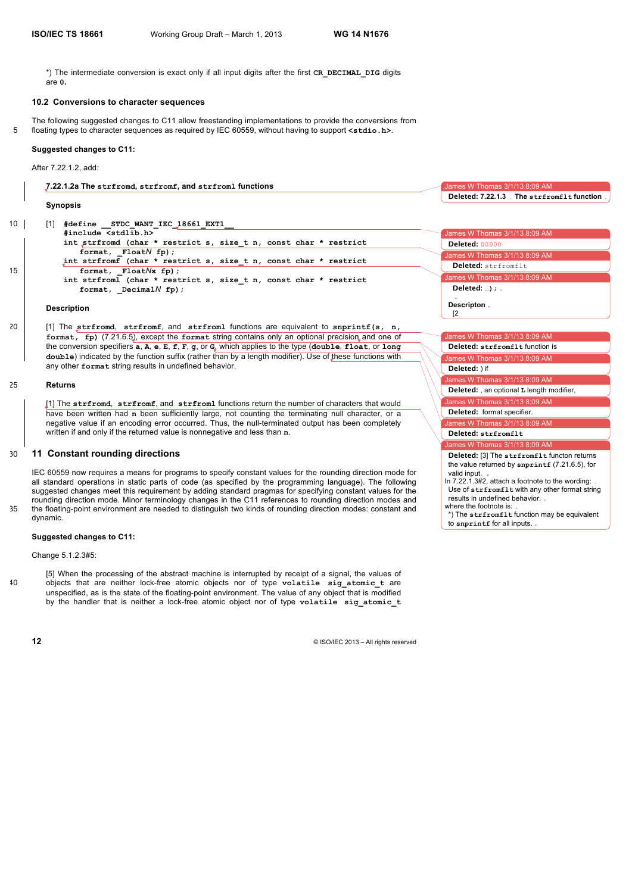mes W Thomas 3/1/13 8:09 AM

**Deleted: 7.22.1.3 The strfromflt function**

 $\mathsf{M}$  S W Thomas 3/1/13 8:09 AM

**Deleted:** , an optional **L** length modifier,

James W Thomas 3/1/13 8:09 AM James W Thomas 3/1/13 8:09 AM

**Deleted:** format specifier. **Deleted: strfromflt**

**Deleted:** ) if

valid input.

es W Thomas 3/1/13 8:09 AM

results in undefined behavior. where the footnote is:

to **snprintf** for all inputs.

**Deleted:** [3] The **strfromflt** functon returns the value returned by **snprintf** (7.21.6.5), for

In 7.22.1.3#2, attach a footnote to the wording: Use of **strfromflt** with any other format string

\*) The **strfromflt** function may be equivalent

\*) The intermediate conversion is exact only if all input digits after the first **CR\_DECIMAL\_DIG** digits are **0.**

# **10.2 Conversions to character sequences**

The following suggested changes to C11 allow freestanding implementations to provide the conversions from 5 floating types to character sequences as required by IEC 60559, without having to support **<stdio.h>**.

#### **Suggested changes to C11:**

After 7.22.1.2, add:

**7.22.1.2a The strfromd, strfromf, and strfroml functions**

any other **format** string results in undefined behavior.

#### **Synopsis**

| 10 | #define STDC WANT IEC 18661 EXT1                                                                         |                                 |
|----|----------------------------------------------------------------------------------------------------------|---------------------------------|
|    | #include <stdlib.h></stdlib.h>                                                                           | James W Thomas 3/1/13 8:09 AM   |
|    | int strfromd (char * restrict s, size t n, const char * restrict                                         | <b>Deleted: 00000</b>           |
|    | format, $F$ loat $N$ fp);                                                                                | James W Thomas 3/1/13 8:09 AM   |
|    | int strfromf (char * restrict s, size t n, const char * restrict                                         | Deleted: strfromflt             |
| 15 | format, $F$ loat $N$ x fp $)$ ;                                                                          | James W Thomas 3/1/13 8:09 AM   |
|    | int strfroml (char * restrict s, size t n, const char * restrict                                         |                                 |
|    | format, Decimal $N$ fp);                                                                                 | Deleted: $\ldots$ ) : .         |
|    | <b>Description</b>                                                                                       | Descripton.                     |
| 20 | [1] The strfromd, strfromf, and strfroml functions are equivalent to snprintf(s, $n$ ,                   |                                 |
|    | format, fp) (7.21.6.5), except the format string contains only an optional precision and one of          | James W Thomas 3/1/13 8:09 AM   |
|    | the conversion specifiers a, A, e, E, f, F, g, or G, which applies to the type (double, float, or long   | Deleted: strfromflt function is |
|    | double) indicated by the function suffix (rather than by a length modifier). Use of these functions with | James W Thomas 3/1/13 8:09 AM   |

25 **Returns**

[1] The **strfromd**, **strfromf**, and **strfroml** functions return the number of characters that would have been written had **n** been sufficiently large, not counting the terminating null character, or a negative value if an encoding error occurred. Thus, the null-terminated output has been completely written if and only if the returned value is nonnegative and less than **n**.

## 30 **11 Constant rounding directions**

IEC 60559 now requires a means for programs to specify constant values for the rounding direction mode for all standard operations in static parts of code (as specified by the programming language). The following suggested changes meet this requirement by adding standard pragmas for specifying constant values for the rounding direction mode. Minor terminology changes in the C11 references to rounding direction modes and 35 the floating-point environment are needed to distinguish two kinds of rounding direction modes: constant and dynamic.

#### **Suggested changes to C11:**

Change 5.1.2.3#5:

[5] When the processing of the abstract machine is interrupted by receipt of a signal, the values of 40 objects that are neither lock-free atomic objects nor of type **volatile sig\_atomic\_t** are unspecified, as is the state of the floating-point environment. The value of any object that is modified by the handler that is neither a lock-free atomic object nor of type **volatile sig\_atomic\_t**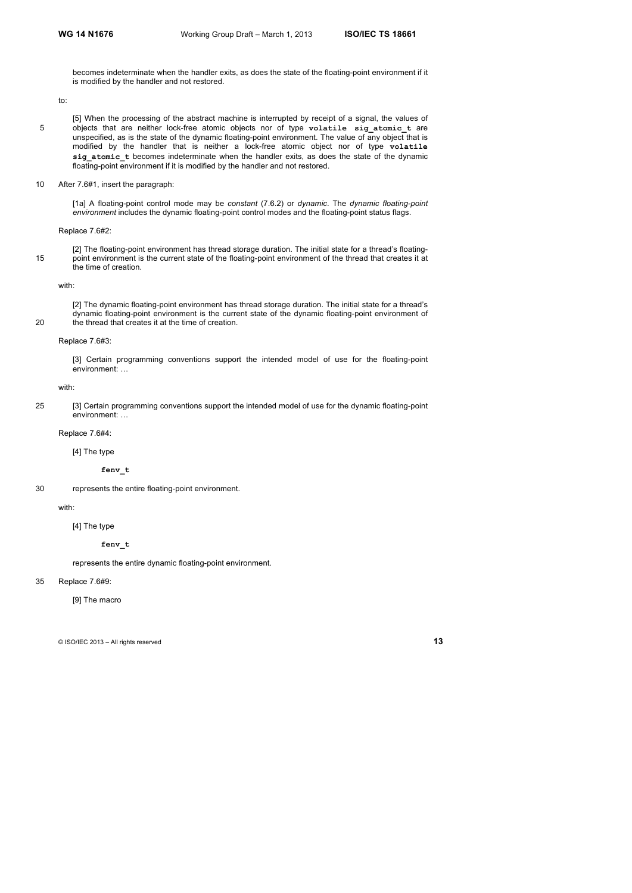becomes indeterminate when the handler exits, as does the state of the floating-point environment if it is modified by the handler and not restored.

to:

- [5] When the processing of the abstract machine is interrupted by receipt of a signal, the values of 5 objects that are neither lock-free atomic objects nor of type volatile sig atomic t are unspecified, as is the state of the dynamic floating-point environment. The value of any object that is modified by the handler that is neither a lock-free atomic object nor of type **volatile sig\_atomic\_t** becomes indeterminate when the handler exits, as does the state of the dynamic floating-point environment if it is modified by the handler and not restored.
- 10 After 7.6#1, insert the paragraph:

[1a] A floating-point control mode may be *constant* (7.6.2) or *dynamic*. The *dynamic floating-point environment* includes the dynamic floating-point control modes and the floating-point status flags.

#### Replace 7.6#2:

[2] The floating-point environment has thread storage duration. The initial state for a thread's floating-15 point environment is the current state of the floating-point environment of the thread that creates it at the time of creation.

with:

[2] The dynamic floating-point environment has thread storage duration. The initial state for a thread's dynamic floating-point environment is the current state of the dynamic floating-point environment of 20 the thread that creates it at the time of creation.

#### Replace 7.6#3:

[3] Certain programming conventions support the intended model of use for the floating-point environment: …

# with:

25 [3] Certain programming conventions support the intended model of use for the dynamic floating-point environment: …

Replace 7.6#4:

[4] The type

**fenv\_t**

30 represents the entire floating-point environment.

## with:

[4] The type

#### **fenv\_t**

represents the entire dynamic floating-point environment.

# 35 Replace 7.6#9:

[9] The macro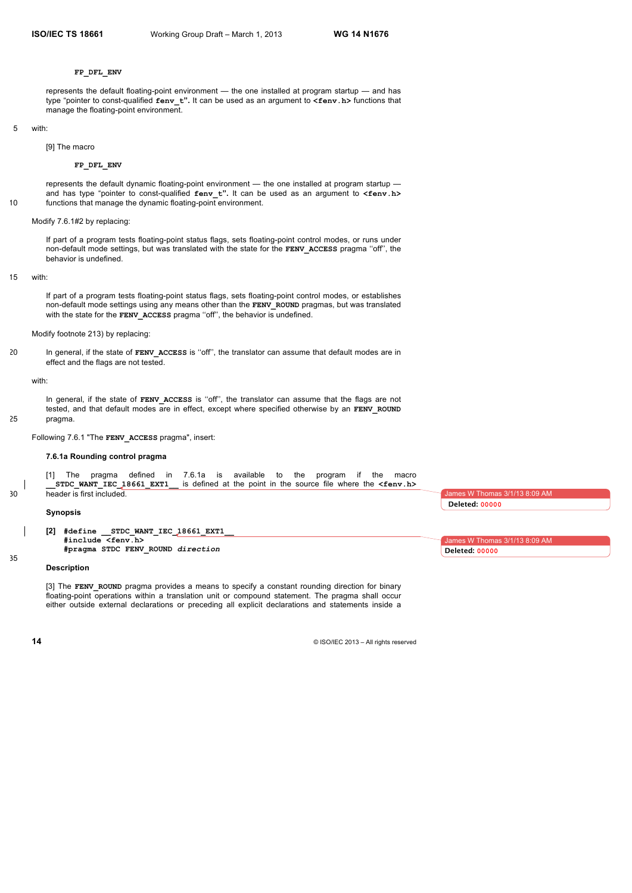#### **FP\_DFL\_ENV**

represents the default floating-point environment — the one installed at program startup — and has type "pointer to const-qualified **fenv\_t".** It can be used as an argument to **<fenv.h>** functions that manage the floating-point environment.

# 5 with:

[9] The macro

# **FP\_DFL\_ENV**

represents the default dynamic floating-point environment — the one installed at program startup and has type "pointer to const-qualified **fenv\_t".** It can be used as an argument to **<fenv.h>** 10 functions that manage the dynamic floating-point environment.

#### Modify 7.6.1#2 by replacing:

If part of a program tests floating-point status flags, sets floating-point control modes, or runs under non-default mode settings, but was translated with the state for the **FENV\_ACCESS** pragma ''off'', the behavior is undefined.

#### 15 with:

If part of a program tests floating-point status flags, sets floating-point control modes, or establishes non-default mode settings using any means other than the **FENV\_ROUND** pragmas, but was translated with the state for the FENV ACCESS pragma "off", the behavior is undefined.

Modify footnote 213) by replacing:

20 In general, if the state of **FENV\_ACCESS** is ''off'', the translator can assume that default modes are in effect and the flags are not tested.

#### with:

In general, if the state of **FENV** ACCESS is "off", the translator can assume that the flags are not tested, and that default modes are in effect, except where specified otherwise by an **FENV** ROUND 25 pragma.

# Following 7.6.1 "The **FENV\_ACCESS** pragma", insert:

#### **7.6.1a Rounding control pragma**

[1] The pragma defined in 7.6.1a is available to the program if the macro structural at the point in the source file where the  $\le$  fenv.h> is defined at the point in the source file where the **<fenv.h>** 30 header is first included.

#### **Synopsis**

**[2] #define \_\_STDC\_WANT\_IEC\_18661\_EXT1\_\_ #include <fenv.h> #pragma STDC FENV\_ROUND** *direction*

#### **Description**

[3] The **FENV\_ROUND** pragma provides a means to specify a constant rounding direction for binary floating-point operations within a translation unit or compound statement. The pragma shall occur either outside external declarations or preceding all explicit declarations and statements inside a

**14** © ISO/IEC 2013 – All rights reserved

ames W Thomas **Deleted: 00000**

James W Thomas 3/1/13 8:09 AM **Deleted: 00000**

35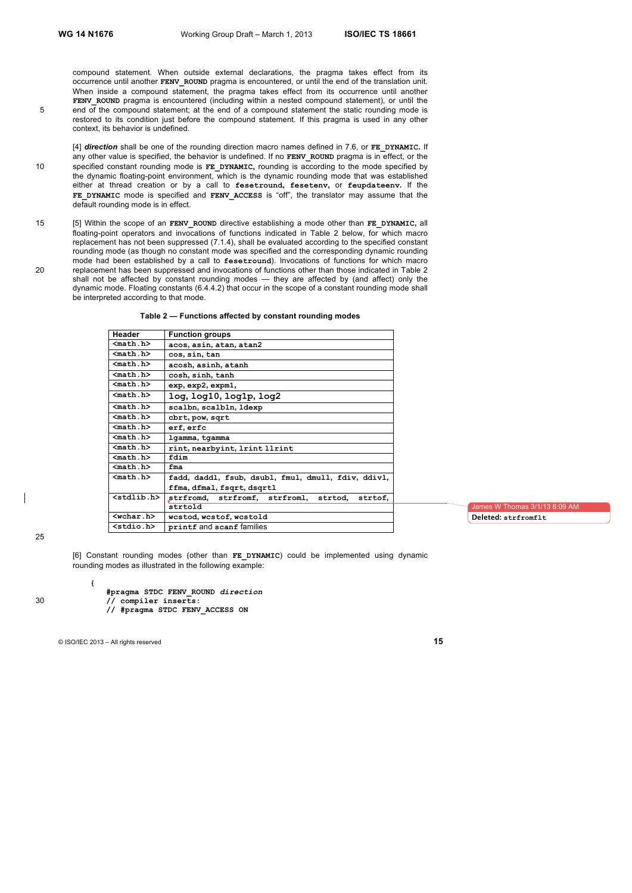compound statement. When outside external declarations, the pragma takes effect from its occurrence until another **FENV\_ROUND** pragma is encountered, or until the end of the translation unit. When inside a compound statement, the pragma takes effect from its occurrence until another FENV ROUND pragma is encountered (including within a nested compound statement), or until the 5 end of the compound statement; at the end of a compound statement the static rounding mode is restored to its condition just before the compound statement. If this pragma is used in any other context, its behavior is undefined.

[4] *direction* shall be one of the rounding direction macro names defined in 7.6, or **FE\_DYNAMIC.** If any other value is specified, the behavior is undefined. If no **FENV\_ROUND** pragma is in effect, or the 10 specified constant rounding mode is **FE\_DYNAMIC,** rounding is according to the mode specified by the dynamic floating-point environment, which is the dynamic rounding mode that was established either at thread creation or by a call to **fesetround, fesetenv,** or **feupdateenv.** If the **FE\_DYNAMIC** mode is specified and **FENV\_ACCESS** is "off", the translator may assume that the default rounding mode is in effect.

15 [5] Within the scope of an **FENV\_ROUND** directive establishing a mode other than **FE\_DYNAMIC,** all floating-point operators and invocations of functions indicated in Table 2 below, for which macro replacement has not been suppressed (7.1.4), shall be evaluated according to the specified constant rounding mode (as though no constant mode was specified and the corresponding dynamic rounding mode had been established by a call to **fesetround**). Invocations of functions for which macro 20 replacement has been suppressed and invocations of functions other than those indicated in Table 2 shall not be affected by constant rounding modes — they are affected by (and affect) only the dynamic mode. Floating constants (6.4.4.2) that occur in the scope of a constant rounding mode shall be interpreted according to that mode.

| Header                | <b>Function groups</b>                                 |
|-----------------------|--------------------------------------------------------|
| $nath.h$              | acos, asin, atan, atan2                                |
| $nath.h>$             | cos, sin, tan                                          |
| $nath.h>$             | acosh, asinh, atanh                                    |
| <math.h></math.h>     | cosh, sinh, tanh                                       |
| $nath.h>$             | exp, exp2, expm1,                                      |
| $nath.h>$             | log, log10, log1p, log2                                |
| $nath.h>$             | scalbn, scalbln, ldexp                                 |
| $nath.h>$             | cbrt, pow, sqrt                                        |
| $math. h>$            | erf, erfc                                              |
| $nath.h>$             | lgamma, tgamma                                         |
| $nath.h$              | rint, nearbyint, 1rint 11rint                          |
| $math. h>$            | fdim                                                   |
| $nath.h$              | fma                                                    |
| $math. h>$            | fadd, daddl, fsub, dsubl, fmul, dmull, fdiv, ddivl,    |
|                       | ffma, dfmal, fsqrt, dsqrtl                             |
| <stdlib.h></stdlib.h> | strfromd,<br>strfromf, strfroml,<br>strtod,<br>strtof. |
|                       | strtold                                                |
| $wchar.b>$            | wcstod, wcstof, wcstold                                |
| $<$ stdio.h $>$       | printf and scanf families                              |

nes W Thomas 3/1/13 8:09 AM **Deleted: strfromflt**

25

[6] Constant rounding modes (other than **FE\_DYNAMIC**) could be implemented using dynamic rounding modes as illustrated in the following example:

**#pragma STDC FENV\_ROUND** *direction*

30 **// compiler inserts: // #pragma STDC FENV\_ACCESS ON**

© ISO/IEC 2013 – All rights reserved **15**

**{**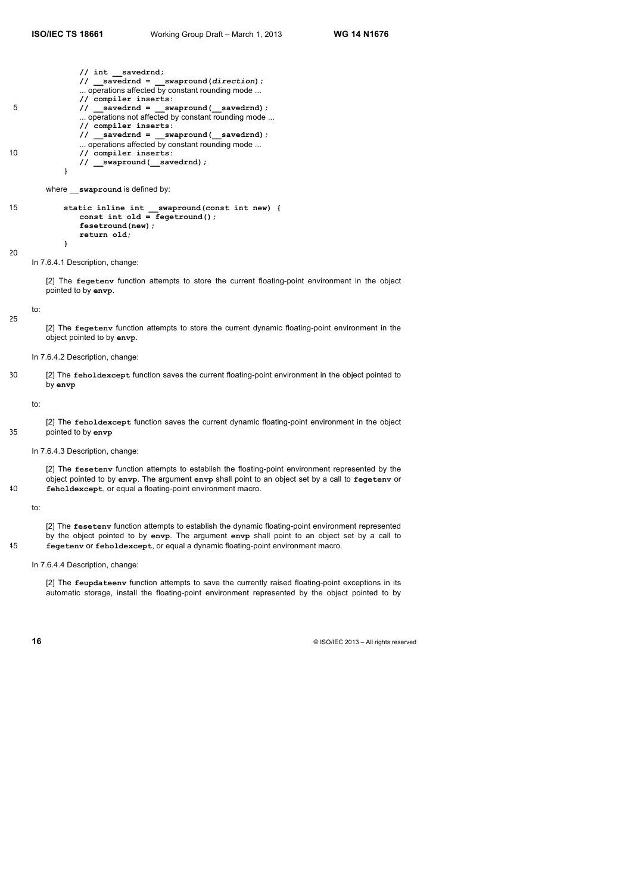**// int \_\_savedrnd; // \_\_savedrnd = \_\_swapround(***direction***);** ... operations affected by constant rounding mode ... **// compiler inserts:** 5 **// \_\_savedrnd = \_\_swapround(\_\_savedrnd);** ... operations not affected by constant rounding mode ... **// compiler inserts: // \_\_savedrnd = \_\_swapround(\_\_savedrnd);** ... operations affected by constant rounding mode ... 10 **// compiler inserts: // \_\_swapround(\_\_savedrnd); }** where \_\_**swapround** is defined by: 15 **static inline int \_\_swapround(const int new) { const int old = fegetround(); fesetround(new); return old; }** 20 In 7.6.4.1 Description, change: [2] The **fegetenv** function attempts to store the current floating-point environment in the object pointed to by **envp**. to: 25 [2] The **fegetenv** function attempts to store the current dynamic floating-point environment in the object pointed to by **envp**. In 7.6.4.2 Description, change: 30 [2] The **feholdexcept** function saves the current floating-point environment in the object pointed to by **envp** to: [2] The **feholdexcept** function saves the current dynamic floating-point environment in the object 35 pointed to by **envp** In 7.6.4.3 Description, change: [2] The **fesetenv** function attempts to establish the floating-point environment represented by the object pointed to by **envp**. The argument **envp** shall point to an object set by a call to **fegetenv** or 40 **feholdexcept**, or equal a floating-point environment macro. to: [2] The **fesetenv** function attempts to establish the dynamic floating-point environment represented by the object pointed to by **envp**. The argument **envp** shall point to an object set by a call to 45 **fegetenv** or **feholdexcept**, or equal a dynamic floating-point environment macro.

#### In 7.6.4.4 Description, change:

[2] The **feupdateenv** function attempts to save the currently raised floating-point exceptions in its automatic storage, install the floating-point environment represented by the object pointed to by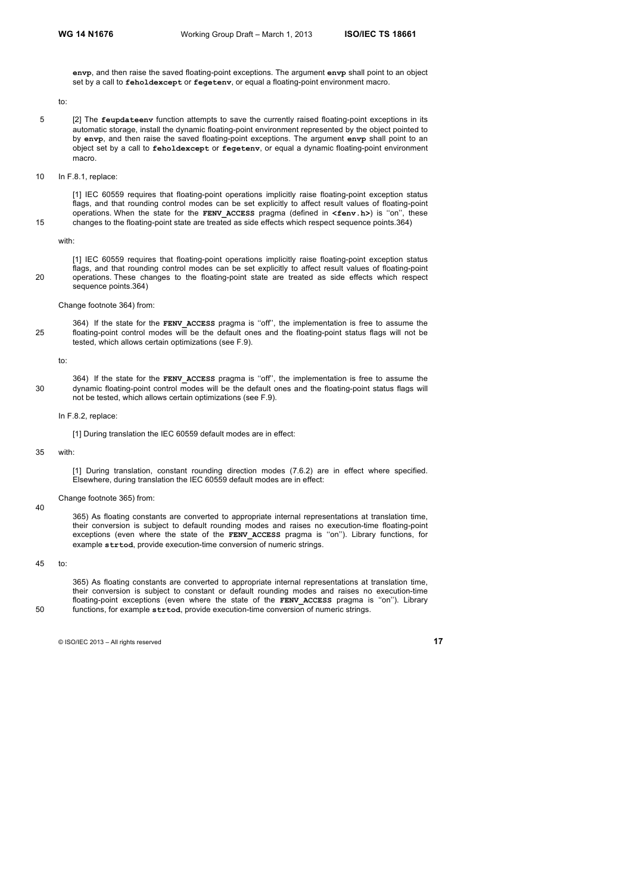**envp**, and then raise the saved floating-point exceptions. The argument **envp** shall point to an object set by a call to **feholdexcept** or **fegetenv**, or equal a floating-point environment macro.

to:

- 5 [2] The **feupdateenv** function attempts to save the currently raised floating-point exceptions in its automatic storage, install the dynamic floating-point environment represented by the object pointed to by **envp**, and then raise the saved floating-point exceptions. The argument **envp** shall point to an object set by a call to **feholdexcept** or **fegetenv**, or equal a dynamic floating-point environment macro.
- 10 In F.8.1, replace:

[1] IEC 60559 requires that floating-point operations implicitly raise floating-point exception status flags, and that rounding control modes can be set explicitly to affect result values of floating-point operations. When the state for the **FENV\_ACCESS** pragma (defined in **<fenv.h>**) is ''on'', these 15 changes to the floating-point state are treated as side effects which respect sequence points.364)

#### with:

[1] IEC 60559 requires that floating-point operations implicitly raise floating-point exception status flags, and that rounding control modes can be set explicitly to affect result values of floating-point 20 operations. These changes to the floating-point state are treated as side effects which respect sequence points.364)

364) If the state for the **FENV\_ACCESS** pragma is ''off'', the implementation is free to assume the

#### Change footnote 364) from:

25 floating-point control modes will be the default ones and the floating-point status flags will not be

to:

364) If the state for the **FENV\_ACCESS** pragma is ''off'', the implementation is free to assume the 30 dynamic floating-point control modes will be the default ones and the floating-point status flags will not be tested, which allows certain optimizations (see F.9).

#### In F.8.2, replace:

[1] During translation the IEC 60559 default modes are in effect:

tested, which allows certain optimizations (see F.9).

#### 35 with:

[1] During translation, constant rounding direction modes (7.6.2) are in effect where specified. Elsewhere, during translation the IEC 60559 default modes are in effect:

#### Change footnote 365) from:

365) As floating constants are converted to appropriate internal representations at translation time, their conversion is subject to default rounding modes and raises no execution-time floating-point exceptions (even where the state of the **FENV\_ACCESS** pragma is ''on''). Library functions, for example **strtod**, provide execution-time conversion of numeric strings.

# 45 to:

365) As floating constants are converted to appropriate internal representations at translation time, their conversion is subject to constant or default rounding modes and raises no execution-time floating-point exceptions (even where the state of the **FENV ACCESS** pragma is "on"). Library 50 functions, for example **strtod**, provide execution-time conversion of numeric strings.

40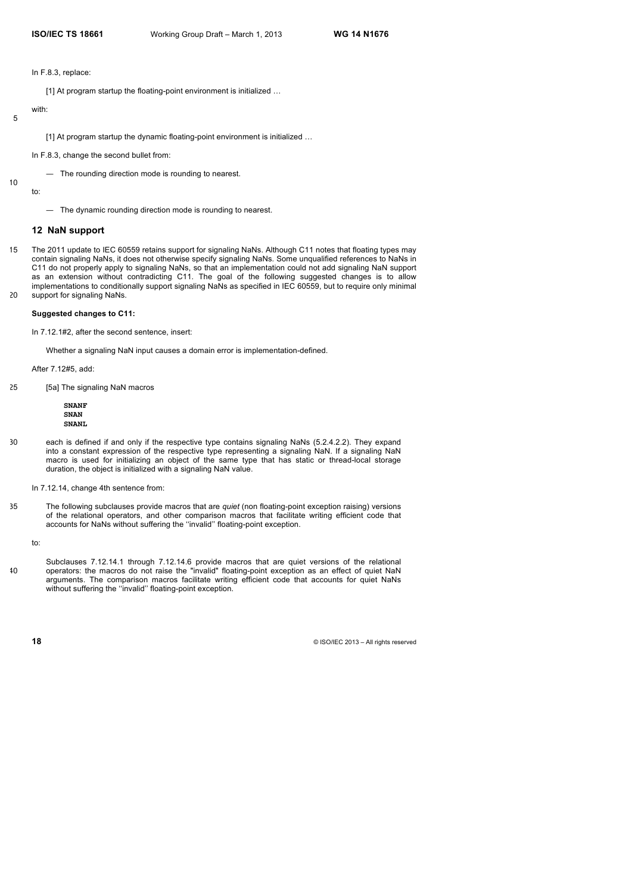In F.8.3, replace:

[1] At program startup the floating-point environment is initialized …

# 5

with:

[1] At program startup the dynamic floating-point environment is initialized ...

In F.8.3, change the second bullet from:

— The rounding direction mode is rounding to nearest.

10 to:

— The dynamic rounding direction mode is rounding to nearest.

# **12 NaN support**

15 The 2011 update to IEC 60559 retains support for signaling NaNs. Although C11 notes that floating types may contain signaling NaNs, it does not otherwise specify signaling NaNs. Some unqualified references to NaNs in C11 do not properly apply to signaling NaNs, so that an implementation could not add signaling NaN support as an extension without contradicting C11. The goal of the following suggested changes is to allow implementations to conditionally support signaling NaNs as specified in IEC 60559, but to require only minimal 20 support for signaling NaNs.

#### **Suggested changes to C11:**

In 7.12.1#2, after the second sentence, insert:

Whether a signaling NaN input causes a domain error is implementation-defined.

After 7.12#5, add:

25 [5a] The signaling NaN macros

**SNANF SNAN SNANL**

30 each is defined if and only if the respective type contains signaling NaNs (5.2.4.2.2). They expand into a constant expression of the respective type representing a signaling NaN. If a signaling NaN macro is used for initializing an object of the same type that has static or thread-local storage duration, the object is initialized with a signaling NaN value.

In 7.12.14, change 4th sentence from:

35 The following subclauses provide macros that are *quiet* (non floating-point exception raising) versions of the relational operators, and other comparison macros that facilitate writing efficient code that accounts for NaNs without suffering the ''invalid'' floating-point exception.

to:

Subclauses 7.12.14.1 through 7.12.14.6 provide macros that are quiet versions of the relational 40 operators: the macros do not raise the "invalid" floating-point exception as an effect of quiet NaN arguments. The comparison macros facilitate writing efficient code that accounts for quiet NaNs without suffering the ''invalid'' floating-point exception.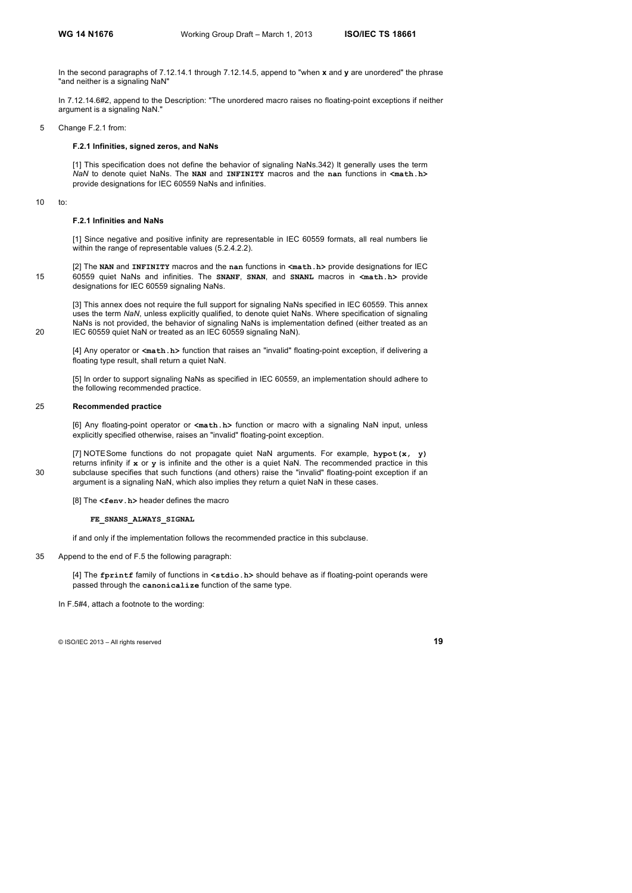In the second paragraphs of 7.12.14.1 through 7.12.14.5, append to "when **x** and **y** are unordered" the phrase "and neither is a signaling NaN"

In 7.12.14.6#2, append to the Description: "The unordered macro raises no floating-point exceptions if neither argument is a signaling NaN."

5 Change F.2.1 from:

#### **F.2.1 Infinities, signed zeros, and NaNs**

[1] This specification does not define the behavior of signaling NaNs.342) It generally uses the term *NaN* to denote quiet NaNs. The **NAN** and **INFINITY** macros and the **nan** functions in **<math.h>** provide designations for IEC 60559 NaNs and infinities.

10 to:

#### **F.2.1 Infinities and NaNs**

[1] Since negative and positive infinity are representable in IEC 60559 formats, all real numbers lie within the range of representable values (5.2.4.2.2).

[2] The **NAN** and **INFINITY** macros and the **nan** functions in **<math.h>** provide designations for IEC 15 60559 quiet NaNs and infinities. The **SNANF**, **SNAN**, and **SNANL** macros in **<math.h>** provide designations for IEC 60559 signaling NaNs.

[3] This annex does not require the full support for signaling NaNs specified in IEC 60559. This annex uses the term *NaN*, unless explicitly qualified, to denote quiet NaNs. Where specification of signaling NaNs is not provided, the behavior of signaling NaNs is implementation defined (either treated as an 20 IEC 60559 quiet NaN or treated as an IEC 60559 signaling NaN).

[4] Any operator or **<math.h>** function that raises an "invalid" floating-point exception, if delivering a floating type result, shall return a quiet NaN.

[5] In order to support signaling NaNs as specified in IEC 60559, an implementation should adhere to the following recommended practice.

#### 25 **Recommended practice**

[6] Any floating-point operator or **<math.h>** function or macro with a signaling NaN input, unless explicitly specified otherwise, raises an "invalid" floating-point exception.

[7] NOTESome functions do not propagate quiet NaN arguments. For example, **hypot(x, y)** returns infinity if **x** or **y** is infinite and the other is a quiet NaN. The recommended practice in this 30 subclause specifies that such functions (and others) raise the "invalid" floating-point exception if an argument is a signaling NaN, which also implies they return a quiet NaN in these cases.

[8] The **<fenv.h>** header defines the macro

#### **FE\_SNANS\_ALWAYS\_SIGNAL**

if and only if the implementation follows the recommended practice in this subclause.

35 Append to the end of F.5 the following paragraph:

[4] The **fprintf** family of functions in **<stdio.h>** should behave as if floating-point operands were passed through the **canonicalize** function of the same type.

In F.5#4, attach a footnote to the wording: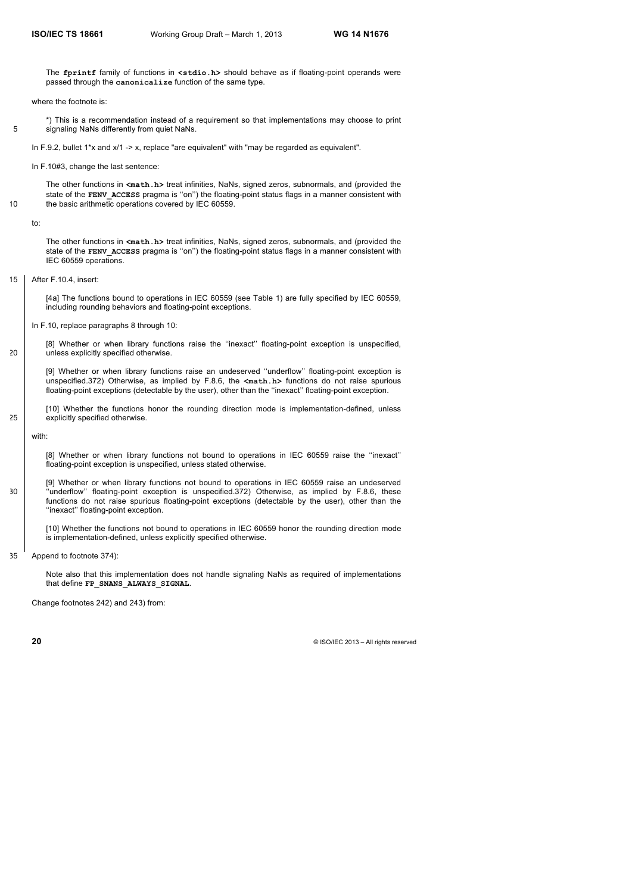The **fprintf** family of functions in **<stdio.h>** should behave as if floating-point operands were passed through the **canonicalize** function of the same type.

where the footnote is:

\*) This is a recommendation instead of a requirement so that implementations may choose to print 5 signaling NaNs differently from quiet NaNs.

In F.9.2, bullet 1<sup>\*</sup>x and x/1 -> x, replace "are equivalent" with "may be regarded as equivalent".

In F.10#3, change the last sentence:

The other functions in <math.h> treat infinities, NaNs, signed zeros, subnormals, and (provided the state of the **FENV** ACCESS pragma is "on") the floating-point status flags in a manner consistent with 10 the basic arithmetic operations covered by IEC 60559.

to:

The other functions in **<math.h>** treat infinities, NaNs, signed zeros, subnormals, and (provided the state of the **FENV** ACCESS pragma is "on") the floating-point status flags in a manner consistent with IEC 60559 operations.

15 After F.10.4, insert:

[4a] The functions bound to operations in IEC 60559 (see Table 1) are fully specified by IEC 60559, including rounding behaviors and floating-point exceptions.

In F.10, replace paragraphs 8 through 10:

[8] Whether or when library functions raise the ''inexact'' floating-point exception is unspecified, 20 unless explicitly specified otherwise.

[9] Whether or when library functions raise an undeserved ''underflow'' floating-point exception is unspecified.372) Otherwise, as implied by F.8.6, the **<math.h>** functions do not raise spurious floating-point exceptions (detectable by the user), other than the ''inexact'' floating-point exception.

[10] Whether the functions honor the rounding direction mode is implementation-defined, unless 25 explicitly specified otherwise.

with:

[8] Whether or when library functions not bound to operations in IEC 60559 raise the ''inexact'' floating-point exception is unspecified, unless stated otherwise.

[9] Whether or when library functions not bound to operations in IEC 60559 raise an undeserved 30 ''underflow'' floating-point exception is unspecified.372) Otherwise, as implied by F.8.6, these functions do not raise spurious floating-point exceptions (detectable by the user), other than the ''inexact'' floating-point exception.

[10] Whether the functions not bound to operations in IEC 60559 honor the rounding direction mode is implementation-defined, unless explicitly specified otherwise.

35 Append to footnote 374):

Note also that this implementation does not handle signaling NaNs as required of implementations that define **FP\_SNANS\_ALWAYS\_SIGNAL**.

Change footnotes 242) and 243) from: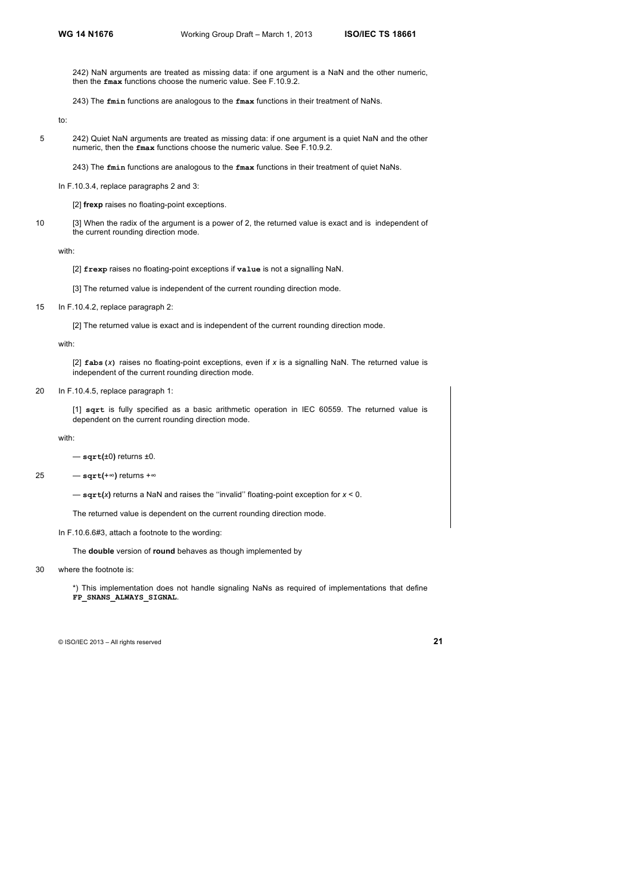242) NaN arguments are treated as missing data: if one argument is a NaN and the other numeric, then the **fmax** functions choose the numeric value. See F.10.9.2.

243) The **fmin** functions are analogous to the **fmax** functions in their treatment of NaNs.

to:

- 5 242) Quiet NaN arguments are treated as missing data: if one argument is a quiet NaN and the other numeric, then the **fmax** functions choose the numeric value. See F.10.9.2.
	- 243) The **fmin** functions are analogous to the **fmax** functions in their treatment of quiet NaNs.
	- In F.10.3.4, replace paragraphs 2 and 3:

[2] **frexp** raises no floating-point exceptions.

10 [3] When the radix of the argument is a power of 2, the returned value is exact and is independent of the current rounding direction mode.

with:

[2] **frexp** raises no floating-point exceptions if **value** is not a signalling NaN.

- [3] The returned value is independent of the current rounding direction mode.
- 15 In F.10.4.2, replace paragraph 2:

[2] The returned value is exact and is independent of the current rounding direction mode.

with:

[2] **fabs(***x***)** raises no floating-point exceptions, even if *x* is a signalling NaN. The returned value is independent of the current rounding direction mode.

20 In F.10.4.5, replace paragraph 1:

[1] **sqrt** is fully specified as a basic arithmetic operation in IEC 60559. The returned value is dependent on the current rounding direction mode.

with:

— **sqrt(**±0**)** returns ±0.

25 — **sqrt(**+∞**)** returns +∞

— **sqrt(***x***)** returns a NaN and raises the ''invalid'' floating-point exception for *x* < 0.

The returned value is dependent on the current rounding direction mode.

In F.10.6.6#3, attach a footnote to the wording:

The **double** version of **round** behaves as though implemented by

30 where the footnote is:

\*) This implementation does not handle signaling NaNs as required of implementations that define **FP\_SNANS\_ALWAYS\_SIGNAL**.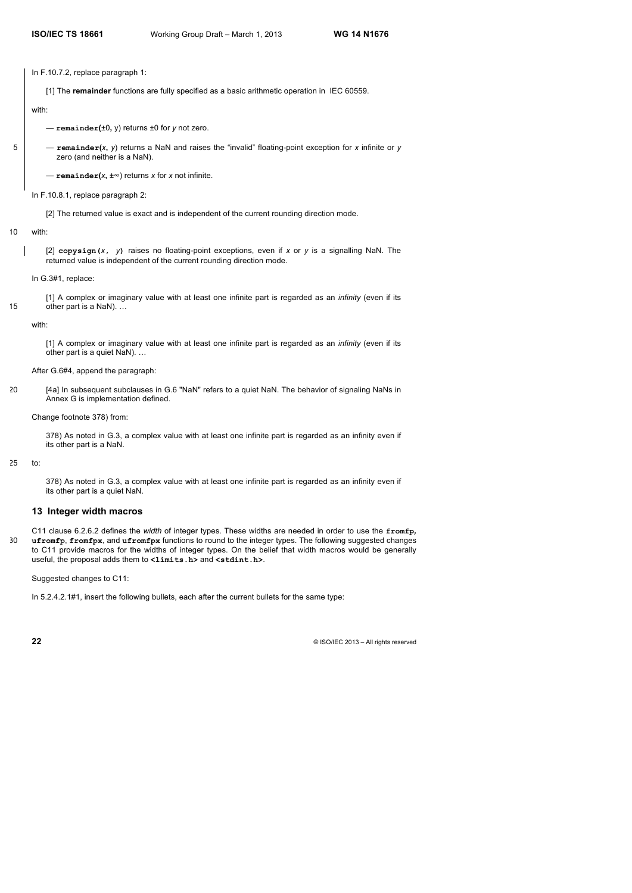In F.10.7.2, replace paragraph 1:

[1] The **remainder** functions are fully specified as a basic arithmetic operation in IEC 60559.

with:

— **remainder(**±0**,** y) returns ±0 for *y* not zero.

5 — **remainder(***x***,** *y*) returns a NaN and raises the "invalid" floating-point exception for *x* infinite or *y* zero (and neither is a NaN).

— **remainder(***x***,** ±∞) returns *x* for *x* not infinite.

In F.10.8.1, replace paragraph 2:

[2] The returned value is exact and is independent of the current rounding direction mode.

# 10 with:

[2] **copysign(***x***,** *y***)** raises no floating-point exceptions, even if *x* or *y* is a signalling NaN. The returned value is independent of the current rounding direction mode.

In G.3#1, replace:

[1] A complex or imaginary value with at least one infinite part is regarded as an *infinity* (even if its 15 other part is a NaN)...

with:

[1] A complex or imaginary value with at least one infinite part is regarded as an *infinity* (even if its other part is a quiet NaN). …

After G.6#4, append the paragraph:

20 [4a] In subsequent subclauses in G.6 "NaN" refers to a quiet NaN. The behavior of signaling NaNs in Annex G is implementation defined.

Change footnote 378) from:

378) As noted in G.3, a complex value with at least one infinite part is regarded as an infinity even if its other part is a NaN.

25 to:

378) As noted in G.3, a complex value with at least one infinite part is regarded as an infinity even if its other part is a quiet NaN.

# **13 Integer width macros**

C11 clause 6.2.6.2 defines the *width* of integer types. These widths are needed in order to use the **fromfp***,*  30 **ufromfp**, **fromfpx**, and **ufromfpx** functions to round to the integer types. The following suggested changes to C11 provide macros for the widths of integer types. On the belief that width macros would be generally useful, the proposal adds them to **<limits.h>** and **<stdint.h>**.

Suggested changes to C11:

In 5.2.4.2.1#1, insert the following bullets, each after the current bullets for the same type: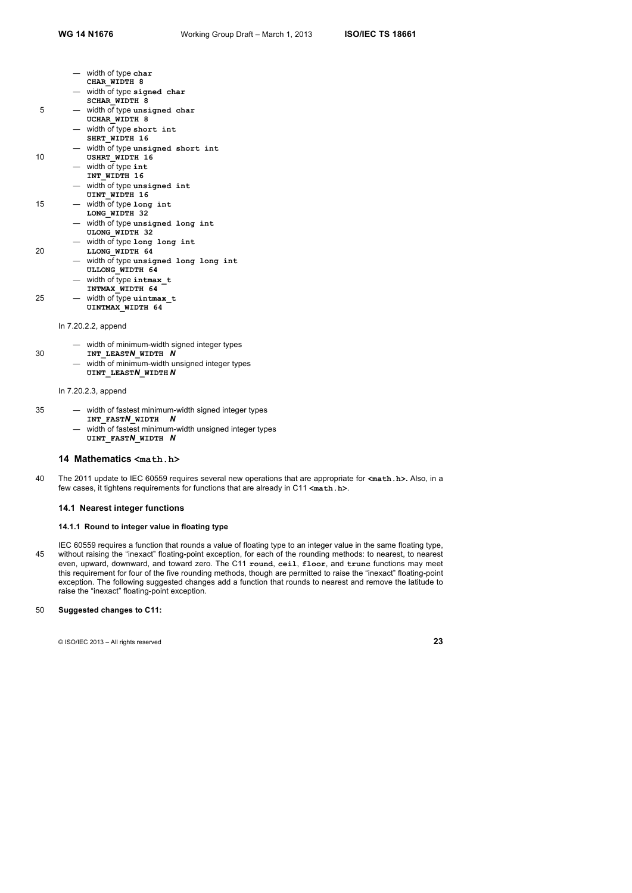- width of type **char**
- **CHAR\_WIDTH 8**
- width of type **signed char**
- **SCHAR\_WIDTH 8**
- 5 width of type **unsigned char UCHAR\_WIDTH 8** 
	- width of type **short int**
	- **SHRT\_WIDTH 16**
	- width of type **unsigned short int**
- 10 **USHRT\_WIDTH 16** 
	- width of type **int**
	- **INT\_WIDTH 16**
	- width of type **unsigned int**
	- **UINT WIDTH 16**
- 15 width of type **long int LONG\_WIDTH 32** 
	- width of type **unsigned long int ULONG\_WIDTH 32**
	- width of type **long long int**
- 20 **LLONG\_WIDTH 64** 
	- width of type **unsigned long long int ULLONG\_WIDTH 64**
	- width of type **intmax\_t**
	- **INTMAX\_WIDTH 64**
- 25 width of type **uintmax\_t UINTMAX\_WIDTH 64** 
	-
	- In 7.20.2.2, append
		- width of minimum-width signed integer types
- 30 **INT\_LEAST***N***\_WIDTH** *N*
	- width of minimum-width unsigned integer types **UINT\_LEAST***N***\_WIDTH** *N*

#### In 7.20.2.3, append

- 35 width of fastest minimum-width signed integer types
	- **INT\_FAST***N***\_WIDTH** *N*
	- width of fastest minimum-width unsigned integer types **UINT\_FAST***N***\_WIDTH** *N*

# **14 Mathematics <math.h>**

40 The 2011 update to IEC 60559 requires several new operations that are appropriate for **<math.h>.** Also, in a few cases, it tightens requirements for functions that are already in C11 **<math.h>**.

## **14.1 Nearest integer functions**

# **14.1.1 Round to integer value in floating type**

IEC 60559 requires a function that rounds a value of floating type to an integer value in the same floating type, 45 without raising the "inexact" floating-point exception, for each of the rounding methods: to nearest, to nearest even, upward, downward, and toward zero. The C11 **round**, **ceil**, **floor**, and **trunc** functions may meet this requirement for four of the five rounding methods, though are permitted to raise the "inexact" floating-point exception. The following suggested changes add a function that rounds to nearest and remove the latitude to raise the "inexact" floating-point exception.

# 50 **Suggested changes to C11:**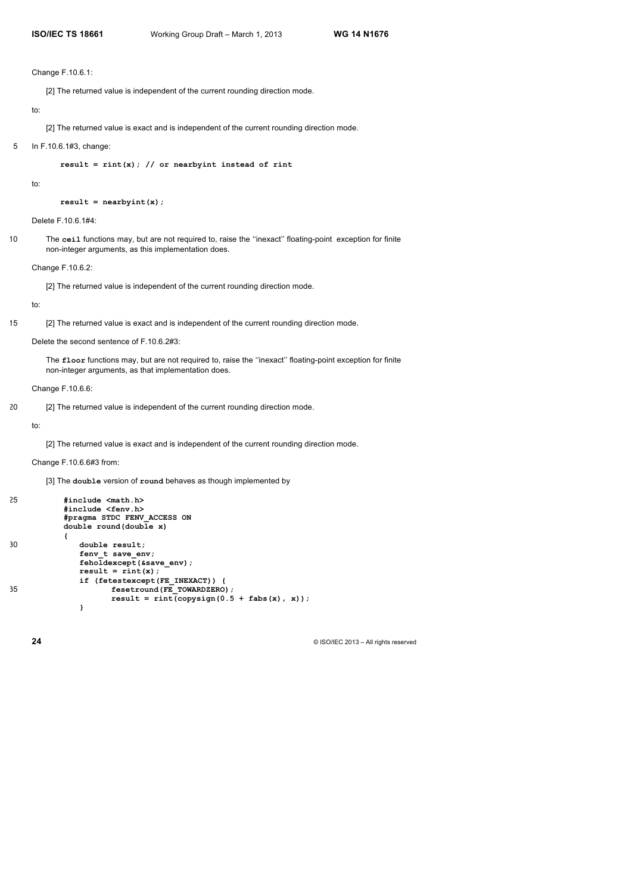#### Change F.10.6.1:

[2] The returned value is independent of the current rounding direction mode.

# to:

[2] The returned value is exact and is independent of the current rounding direction mode.

## 5 In F.10.6.1#3, change:

**result = rint(x); // or nearbyint instead of rint**

to:

**result = nearbyint(x);**

Delete F.10.6.1#4:

10 The **ceil** functions may, but are not required to, raise the ''inexact'' floating-point exception for finite non-integer arguments, as this implementation does.

Change F.10.6.2:

[2] The returned value is independent of the current rounding direction mode.

#### to:

15 [2] The returned value is exact and is independent of the current rounding direction mode.

Delete the second sentence of F.10.6.2#3:

The **floor** functions may, but are not required to, raise the ''inexact'' floating-point exception for finite non-integer arguments, as that implementation does.

Change F.10.6.6:

20 [2] The returned value is independent of the current rounding direction mode.

# to:

[2] The returned value is exact and is independent of the current rounding direction mode.

Change F.10.6.6#3 from:

[3] The **double** version of **round** behaves as though implemented by

```
25 #include <math.h>
          #include <fenv.h>
          #pragma STDC FENV_ACCESS ON
          double round(double x)
          {
30 double result;
             fenv t save env;
             feholdexcept(&save_env);
             result = rint(x);
             if (fetestexcept(FE_INEXACT)) {
35 fesetround(FE_TOWARDZERO);
                   result = rint(copysign(0.5 + fabs(x), x));}
```
**24**  $\bullet$  ISO/IEC 2013 – All rights reserved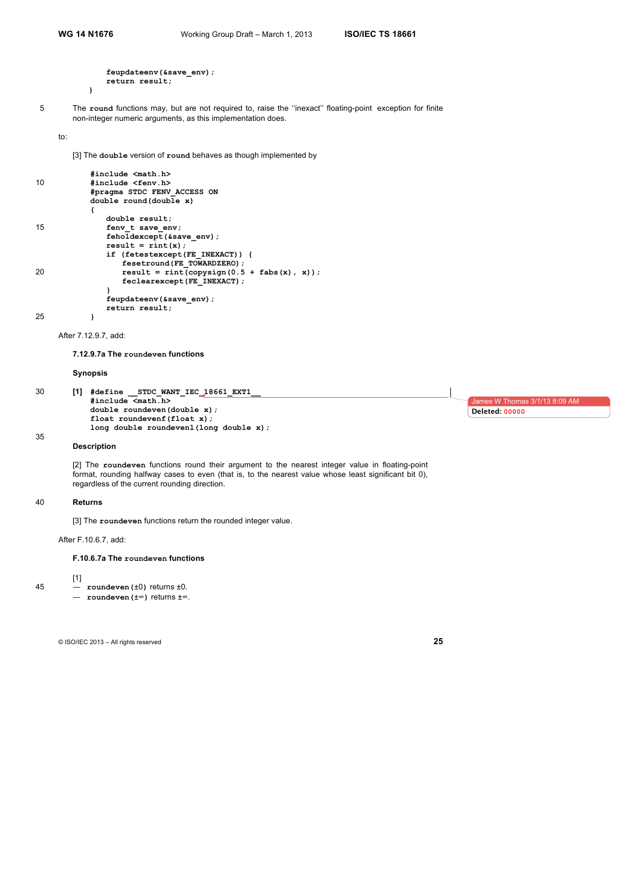**}** 

```
feupdateenv(&save_env);
return result;
```
5 The **round** functions may, but are not required to, raise the ''inexact'' floating-point exception for finite non-integer numeric arguments, as this implementation does.

to:

[3] The **double** version of **round** behaves as though implemented by

```
#include <math.h>
10 #include <fenv.h>
           #pragma STDC FENV_ACCESS ON
           double round(double x)
           {
              double result;
15 fenv_t save_env;
              feholdexcept(&save_env);
              result = rint(x);
              if (fetestexcept(FE_INEXACT)) {
                 fesetround(FE_TOWARDZERO);
20 result = rint(copysign(0.5 + fabs(x), x));
                 feclearexcept(FE_INEXACT);
              }
              feupdateenv(&save_env);
              return result;
```
25 **}** 

After 7.12.9.7, add:

**7.12.9.7a The roundeven functions** 

**Synopsis**

```
30 [1] #define __STDC_WANT_IEC_18661_EXT1__
            #include <math.h>
            double roundeven(double x);
            float roundevenf(float x);
            long double roundevenl(long double x);
                                                                                                 James W Thomas 3/1/13 8:09 AM
                                                                                                Deleted: 00000
```
35

**Description**

[2] The **roundeven** functions round their argument to the nearest integer value in floating-point format, rounding halfway cases to even (that is, to the nearest value whose least significant bit 0), regardless of the current rounding direction.

#### 40 **Returns**

[1]

[3] The **roundeven** functions return the rounded integer value.

After F.10.6.7, add:

#### **F.10.6.7a The roundeven functions**

 $45 -$  **roundeven** ( $\pm 0$ ) returns  $\pm 0$ . — **roundeven(**±∞**)** returns ±∞.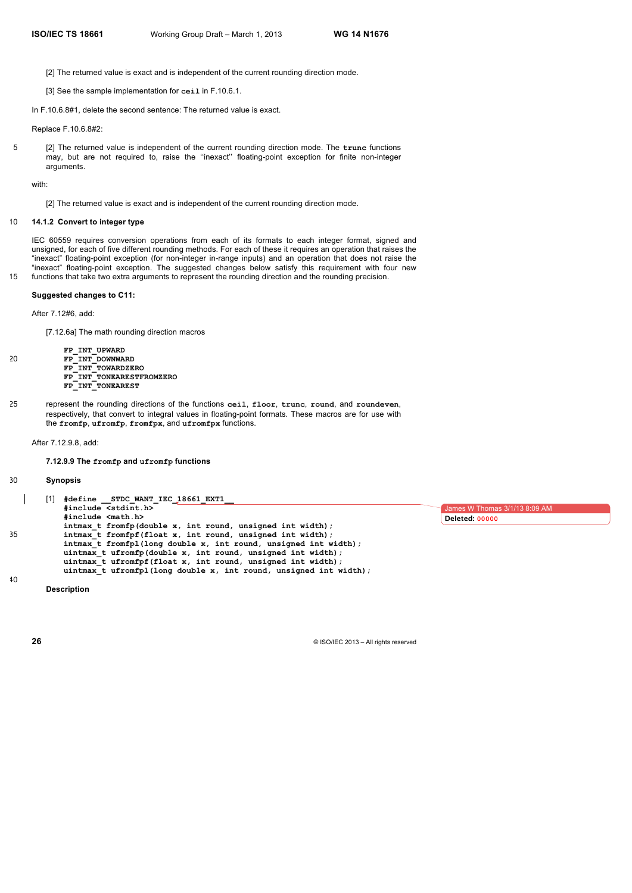[2] The returned value is exact and is independent of the current rounding direction mode.

[3] See the sample implementation for **ceil** in F.10.6.1.

In F.10.6.8#1, delete the second sentence: The returned value is exact.

Replace F.10.6.8#2:

5 [2] The returned value is independent of the current rounding direction mode. The **trunc** functions may, but are not required to, raise the ''inexact'' floating-point exception for finite non-integer arguments.

with:

[2] The returned value is exact and is independent of the current rounding direction mode.

# 10 **14.1.2 Convert to integer type**

IEC 60559 requires conversion operations from each of its formats to each integer format, signed and unsigned, for each of five different rounding methods. For each of these it requires an operation that raises the "inexact" floating-point exception (for non-integer in-range inputs) and an operation that does not raise the "inexact" floating-point exception. The suggested changes below satisfy this requirement with four new 15 functions that take two extra arguments to represent the rounding direction and the rounding precision.

# **Suggested changes to C11:**

After 7.12#6, add:

[7.12.6a] The math rounding direction macros

**FP\_INT\_UPWARD** 20 **FP\_INT\_DOWNWARD FP\_INT\_TOWARDZERO FP\_INT\_TONEARESTFROMZERO FP\_INT\_TONEAREST**

25 represent the rounding directions of the functions **ceil**, **floor**, **trunc**, **round**, and **roundeven**, respectively, that convert to integral values in floating-point formats. These macros are for use with the **fromfp**, **ufromfp**, **fromfpx**, and **ufromfpx** functions.

#### After 7.12.9.8, add:

**7.12.9.9 The fromfp and ufromfp functions**

# 30 **Synopsis**

|    | #define STDC WANT IEC 18661 EXT1                                  |                               |
|----|-------------------------------------------------------------------|-------------------------------|
|    | #include <stdint.h></stdint.h>                                    | James W Thomas 3/1/13 8:09 AM |
|    | #include <math.h></math.h>                                        | <b>Deleted: 00000</b>         |
|    | intmax t fromfp(double x, int round, unsigned int width);         |                               |
| 35 | intmax t fromfpf(float x, int round, unsigned int width);         |                               |
|    | intmax t fromfpl(long double x, int round, unsigned int width);   |                               |
|    | uintmax t ufromfp(double $x$ , int round, unsigned int width);    |                               |
|    | uintmax t ufromfpf(float x, int round, unsigned int width);       |                               |
|    | uintmax t ufromfpl(long double x, int round, unsigned int width); |                               |
| 40 |                                                                   |                               |

**Description**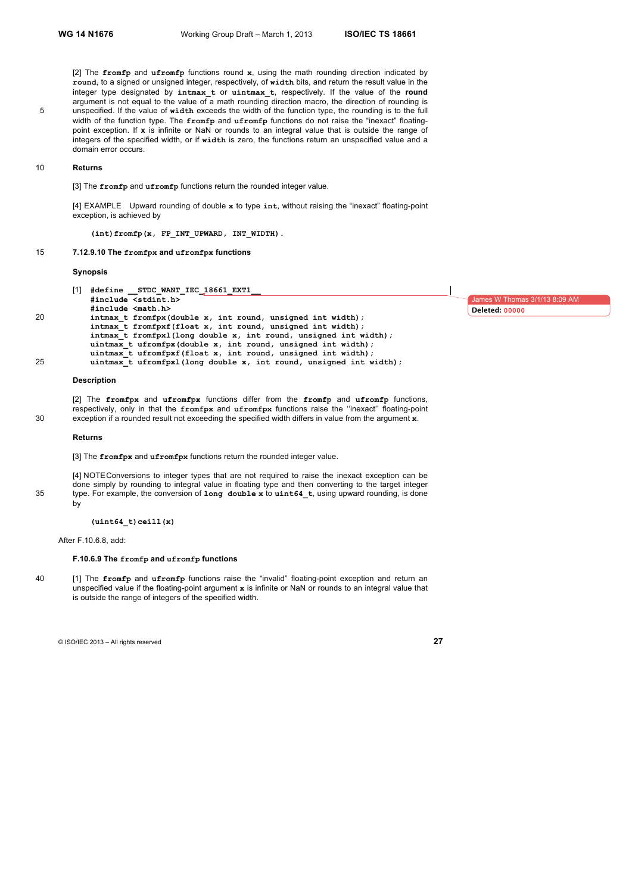[2] The **fromfp** and **ufromfp** functions round **x**, using the math rounding direction indicated by **round**, to a signed or unsigned integer, respectively, of **width** bits, and return the result value in the integer type designated by **intmax\_t** or **uintmax\_t**, respectively. If the value of the **round** argument is not equal to the value of a math rounding direction macro, the direction of rounding is 5 unspecified. If the value of **width** exceeds the width of the function type, the rounding is to the full width of the function type. The **fromfp** and **ufromfp** functions do not raise the "inexact" floatingpoint exception. If **x** is infinite or NaN or rounds to an integral value that is outside the range of integers of the specified width, or if **width** is zero, the functions return an unspecified value and a domain error occurs.

#### 10 **Returns**

[3] The **fromfp** and **ufromfp** functions return the rounded integer value.

[4] EXAMPLE Upward rounding of double **x** to type **int**, without raising the "inexact" floating-point exception, is achieved by

**(int)fromfp(x, FP\_INT\_UPWARD, INT\_WIDTH)**.

# 15 **7.12.9.10 The fromfpx and ufromfpx functions**

# **Synopsis**

|    | [1] | #define STDC WANT IEC 18661 EXT1                                   |
|----|-----|--------------------------------------------------------------------|
|    |     | #include <stdint.h></stdint.h>                                     |
|    |     | #include <math.h></math.h>                                         |
| 20 |     | intmax t fromfpx (double x, int round, unsigned int width);        |
|    |     | intmax t fromfpxf(float x, int round, unsigned int width);         |
|    |     | intmax t fromfpx1(long double x, int round, unsigned int width);   |
|    |     | uintmax t ufromfpx(double x, int round, unsigned int width);       |
|    |     | uintmax t ufromfpxf(float x, int round, unsigned int width);       |
| 25 |     | uintmax t ufromfpxl(long double x, int round, unsigned int width); |

# **Description**

[2] The **fromfpx** and **ufromfpx** functions differ from the **fromfp** and **ufromfp** functions, respectively, only in that the **fromfpx** and **ufromfpx** functions raise the ''inexact'' floating-point 30 exception if a rounded result not exceeding the specified width differs in value from the argument **x**.

#### **Returns**

[3] The **fromfpx** and **ufromfpx** functions return the rounded integer value.

[4] NOTEConversions to integer types that are not required to raise the inexact exception can be done simply by rounding to integral value in floating type and then converting to the target integer 35 type. For example, the conversion of **long double x** to **uint64\_t**, using upward rounding, is done by

**(uint64\_t)ceill(x)**

After F.10.6.8, add:

#### **F.10.6.9 The fromfp and ufromfp functions**

40 [1] The **fromfp** and **ufromfp** functions raise the "invalid" floating-point exception and return an unspecified value if the floating-point argument **x** is infinite or NaN or rounds to an integral value that is outside the range of integers of the specified width.

© ISO/IEC 2013 – All rights reserved **27**

mes W Thomas 3/1/13 8:09 **Deleted: 00000**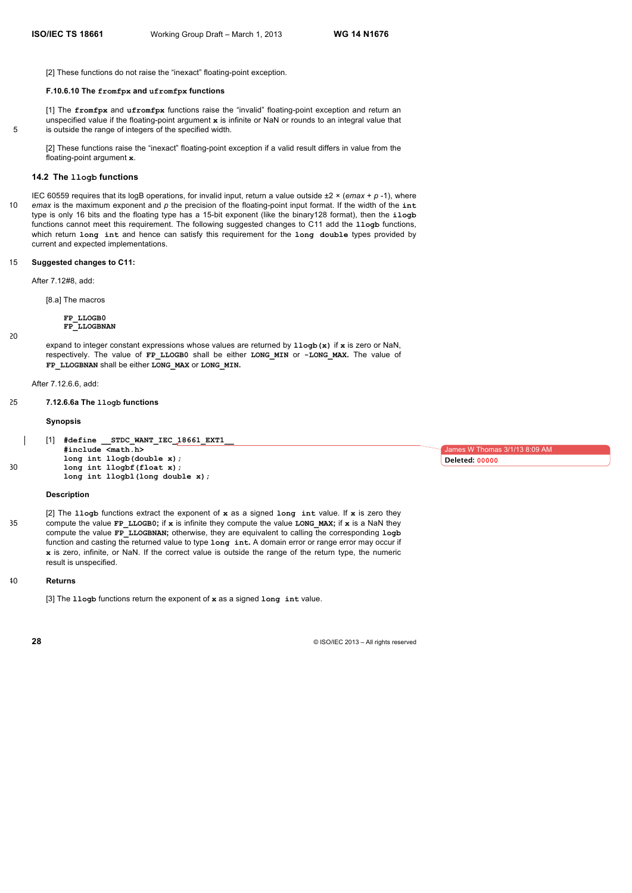[2] These functions do not raise the "inexact" floating-point exception.

#### **F.10.6.10 The fromfpx and ufromfpx functions**

[1] The **fromfpx** and **ufromfpx** functions raise the "invalid" floating-point exception and return an unspecified value if the floating-point argument **x** is infinite or NaN or rounds to an integral value that 5 is outside the range of integers of the specified width.

[2] These functions raise the "inexact" floating-point exception if a valid result differs in value from the floating-point argument **x**.

# **14.2 The llogb functions**

IEC 60559 requires that its logB operations, for invalid input, return a value outside ±2 × (*emax* + *p* -1), where 10 *emax* is the maximum exponent and *p* the precision of the floating-point input format. If the width of the **int** type is only 16 bits and the floating type has a 15-bit exponent (like the binary128 format), then the **ilogb** functions cannot meet this requirement. The following suggested changes to C11 add the **llogb** functions, which return **long int** and hence can satisfy this requirement for the **long double** types provided by current and expected implementations.

# 15 **Suggested changes to C11:**

After 7.12#8, add:

[8.a] The macros

**FP\_LLOGB0 FP\_LLOGBNAN**

20

expand to integer constant expressions whose values are returned by **llogb(x)** if **x** is zero or NaN, respectively. The value of **FP\_LLOGB0** shall be either **LONG\_MIN** or **-LONG\_MAX.** The value of **FP\_LLOGBNAN** shall be either **LONG\_MAX** or **LONG\_MIN.** 

After 7.12.6.6, add:

25 **7.12.6.6a The llogb functions** 

#### **Synopsis**

STDC WANT IEC 18661 EXT1 **#include <math.h> long int llogb(double x);** 30 **long int llogbf(float x); long int llogbl(long double x);**

# **Description**

[2] The **llogb** functions extract the exponent of **x** as a signed **long int** value. If **x** is zero they 35 compute the value **FP\_LLOGB0;** if **x** is infinite they compute the value **LONG\_MAX;** if **x** is a NaN they compute the value **FP\_LLOGBNAN;** otherwise, they are equivalent to calling the corresponding **logb** function and casting the returned value to type **long int.** A domain error or range error may occur if **x** is zero, infinite, or NaN. If the correct value is outside the range of the return type, the numeric result is unspecified.

#### 40 **Returns**

[3] The **llogb** functions return the exponent of **x** as a signed **long int** value.

ames W Thomas 3/1/13 8:09 AM **Deleted: 00000**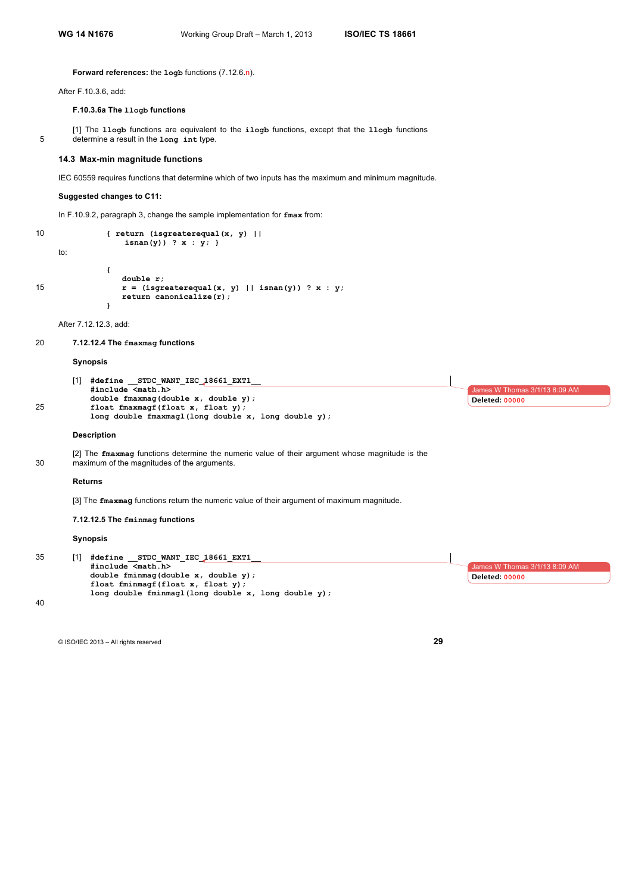# **Forward references:** the **logb** functions (7.12.6.n).

After F.10.3.6, add:

# **F.10.3.6a The llogb functions**

5 determine a result in the **long int** type. **14.3 Max-min magnitude functions**

10 **{ return (isgreaterequal(x, y) ||**

 **isnan(y)) ? x : y; }**

**Suggested changes to C11:**

to:

```
{
               double r;
15 r = (isgreenual(x, y) || isnan(y))? x : y;return canonicalize(r);
            }
```
In F.10.9.2, paragraph 3, change the sample implementation for **fmax** from:

[1] The **llogb** functions are equivalent to the **ilogb** functions, except that the **llogb** functions

IEC 60559 requires functions that determine which of two inputs has the maximum and minimum magnitude.

After 7.12.12.3, add:

# 20 **7.12.12.4 The fmaxmag functions**

#### **Synopsis**

|    | [1] | #define STDC WANT IEC 18661 EXT1                    |                               |
|----|-----|-----------------------------------------------------|-------------------------------|
|    |     | #include <math.h></math.h>                          | James W Thomas 3/1/13 8:09 AM |
|    |     | double fmaxmaq(double x, double y);                 | <b>Deleted: 00000</b>         |
| 25 |     | float fmaxmagf(float x, float y);                   |                               |
|    |     | long double fmaxmagl(long double x, long double y); |                               |
|    |     |                                                     |                               |

# **Description**

[2] The **fmaxmag** functions determine the numeric value of their argument whose magnitude is the 30 maximum of the magnitudes of the arguments.

#### **Returns**

[3] The **fmaxmag** functions return the numeric value of their argument of maximum magnitude.

#### **7.12.12.5 The fminmag functions**

# **Synopsis**

```
35 [1] #define __STDC_WANT_IEC_18661_EXT1__
            #include <math.h> 
            double fminmag(double x, double y);
            float fminmagf(float x, float y);
            long double fminmagl(long double x, long double y);
                                                                                                  James W Thomas 3/1/13 8:09 AM
                                                                                                 Deleted: 00000
```
40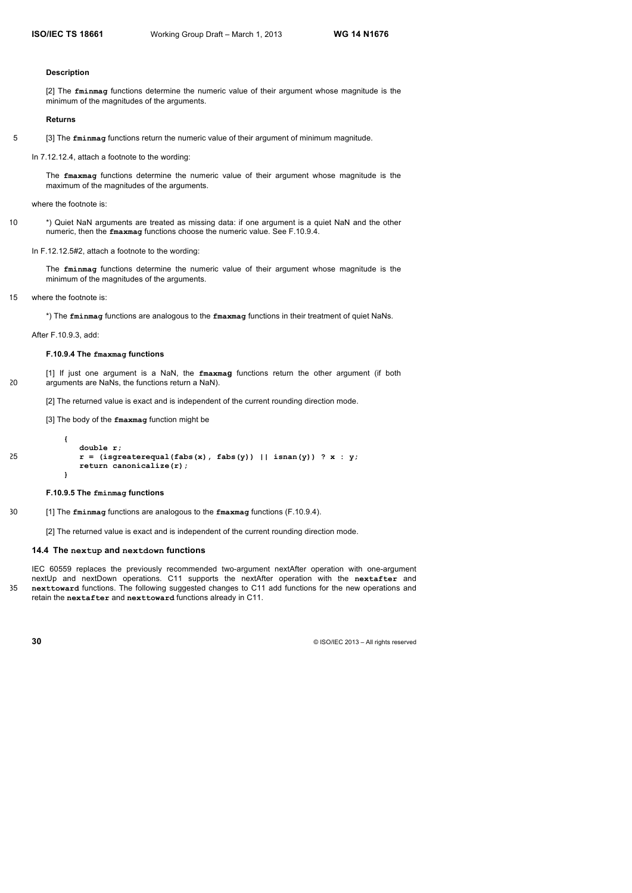#### **Description**

[2] The **fminmag** functions determine the numeric value of their argument whose magnitude is the minimum of the magnitudes of the arguments.

#### **Returns**

```
5 [3] The fminmag functions return the numeric value of their argument of minimum magnitude.
```
In 7.12.12.4, attach a footnote to the wording:

The **fmaxmag** functions determine the numeric value of their argument whose magnitude is the maximum of the magnitudes of the arguments.

where the footnote is:

10 \*) Quiet NaN arguments are treated as missing data: if one argument is a quiet NaN and the other numeric, then the **fmaxmag** functions choose the numeric value. See F.10.9.4.

In F.12.12.5#2, attach a footnote to the wording:

The **fminmag** functions determine the numeric value of their argument whose magnitude is the minimum of the magnitudes of the arguments.

15 where the footnote is:

\*) The **fminmag** functions are analogous to the **fmaxmag** functions in their treatment of quiet NaNs.

After F.10.9.3, add:

#### **F.10.9.4 The fmaxmag functions**

[1] If just one argument is a NaN, the **fmaxmag** functions return the other argument (if both 20 arguments are NaNs, the functions return a NaN).

[2] The returned value is exact and is independent of the current rounding direction mode.

[3] The body of the **fmaxmag** function might be

```
{ 
             double r;
25 r = (isgreaterequal(fabs(x), fabs(y)) || isnan(y)) ? x : y;return canonicalize(r);
          }
```
# **F.10.9.5 The fminmag functions**

30 [1] The **fminmag** functions are analogous to the **fmaxmag** functions (F.10.9.4).

[2] The returned value is exact and is independent of the current rounding direction mode.

# **14.4 The nextup and nextdown functions**

IEC 60559 replaces the previously recommended two-argument nextAfter operation with one-argument nextUp and nextDown operations. C11 supports the nextAfter operation with the **nextafter** and 35 **nexttoward** functions. The following suggested changes to C11 add functions for the new operations and retain the **nextafter** and **nexttoward** functions already in C11.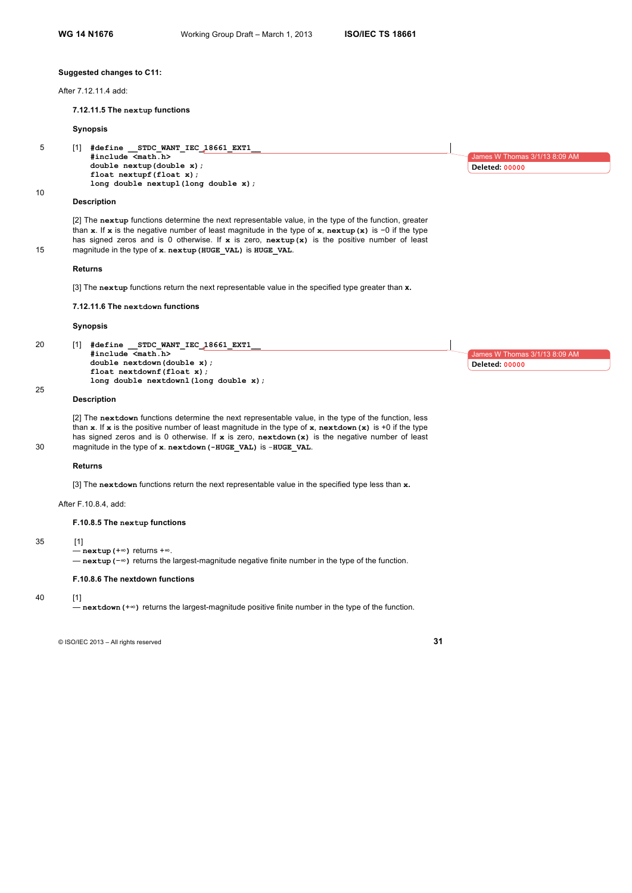#### **Suggested changes to C11:**

After 7.12.11.4 add:

**7.12.11.5 The nextup functions** 

#### **Synopsis**

5 [1] **#define \_\_STDC\_WANT\_IEC\_18661\_EXT1\_\_ #include <math.h> double nextup(double x); float nextupf(float x); long double nextupl(long double x);**

#### **Description**

10

[2] The **nextup** functions determine the next representable value, in the type of the function, greater than **x**. If **x** is the negative number of least magnitude in the type of **x**, **nextup(x)** is −0 if the type has signed zeros and is 0 otherwise. If **x** is zero, **nextup(x)** is the positive number of least 15 magnitude in the type of **x**. **nextup(HUGE\_VAL)** is **HUGE\_VAL**.

#### **Returns**

[3] The **nextup** functions return the next representable value in the specified type greater than **x.**

# **7.12.11.6 The nextdown functions**

#### **Synopsis**

| 20 | [1] | #define STDC WANT IEC 18661 EXT1      |
|----|-----|---------------------------------------|
|    |     | #include <math.h></math.h>            |
|    |     | double nextdown(double x);            |
|    |     | float nextdownf(float x);             |
|    |     | long double nextdownl(long double x); |
| 25 |     |                                       |

# **Description**

[2] The **nextdown** functions determine the next representable value, in the type of the function, less than **x**. If **x** is the positive number of least magnitude in the type of **x**, **nextdown(x)** is +0 if the type has signed zeros and is 0 otherwise. If **x** is zero, **nextdown(x)** is the negative number of least 30 magnitude in the type of **x**. **nextdown(-HUGE\_VAL)** is -**HUGE\_VAL**.

# **Returns**

[3] The **nextdown** functions return the next representable value in the specified type less than **x.**

After F.10.8.4, add:

#### **F.10.8.5 The nextup functions**

#### 35 [1]

— **nextup(**+∞**)** returns +∞. — **nextup(**−∞**)** returns the largest-magnitude negative finite number in the type of the function.

#### **F.10.8.6 The nextdown functions**

# 40 [1]

— **nextdown(**+∞**)** returns the largest-magnitude positive finite number in the type of the function.

© ISO/IEC 2013 – All rights reserved **31**

 $mes W$  Thomas  $3/1/13$  8:09 AM **Deleted: 00000**

James W Thomas

**Deleted: 00000**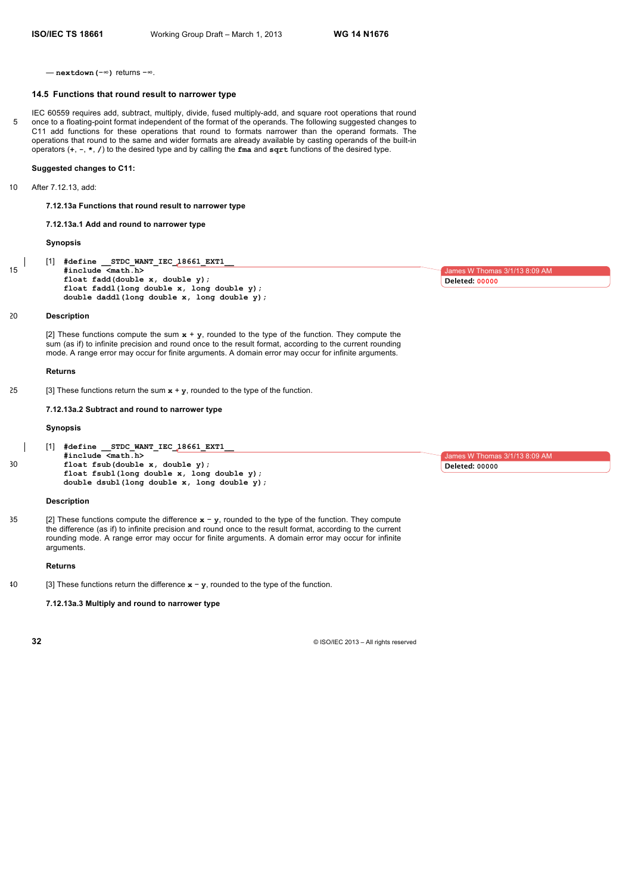— **nextdown(**−∞**)** returns −∞.

#### **14.5 Functions that round result to narrower type**

IEC 60559 requires add, subtract, multiply, divide, fused multiply-add, and square root operations that round 5 once to a floating-point format independent of the format of the operands. The following suggested changes to C11 add functions for these operations that round to formats narrower than the operand formats. The operations that round to the same and wider formats are already available by casting operands of the built-in operators (**+**, **-**, **\***, **/**) to the desired type and by calling the **fma** and **sqrt** functions of the desired type.

# **Suggested changes to C11:**

10 After 7.12.13, add:

**7.12.13a Functions that round result to narrower type**

**7.12.13a.1 Add and round to narrower type** 

#### **Synopsis**

[1] **#define \_\_STDC\_WANT\_IEC\_18661\_EXT1\_\_** 15 **#include <math.h> float fadd(double x, double y); float faddl(long double x, long double y); double daddl(long double x, long double y);**

#### 20 **Description**

[2] These functions compute the sum **x** + **y**, rounded to the type of the function. They compute the sum (as if) to infinite precision and round once to the result format, according to the current rounding mode. A range error may occur for finite arguments. A domain error may occur for infinite arguments.

#### **Returns**

25 [3] These functions return the sum  $x + y$ , rounded to the type of the function.

**7.12.13a.2 Subtract and round to narrower type** 

## **Synopsis**

[1] **#define \_\_STDC\_WANT\_IEC\_18661\_EXT1\_\_ #include <math.h>** 30 **float fsub(double x, double y); float fsubl(long double x, long double y); double dsubl(long double x, long double y);**

#### **Description**

35 [2] These functions compute the difference **x** − **y**, rounded to the type of the function. They compute the difference (as if) to infinite precision and round once to the result format, according to the current rounding mode. A range error may occur for finite arguments. A domain error may occur for infinite arguments.

## **Returns**

40 [3] These functions return the difference **x** − **y**, rounded to the type of the function.

**7.12.13a.3 Multiply and round to narrower type** 

**32** © ISO/IEC 2013 – All rights reserved

lames W Thomas 3/1/13 8:09 AM **Deleted: 00000**

mas 3/1/13 8:09 AM **Deleted: 00000**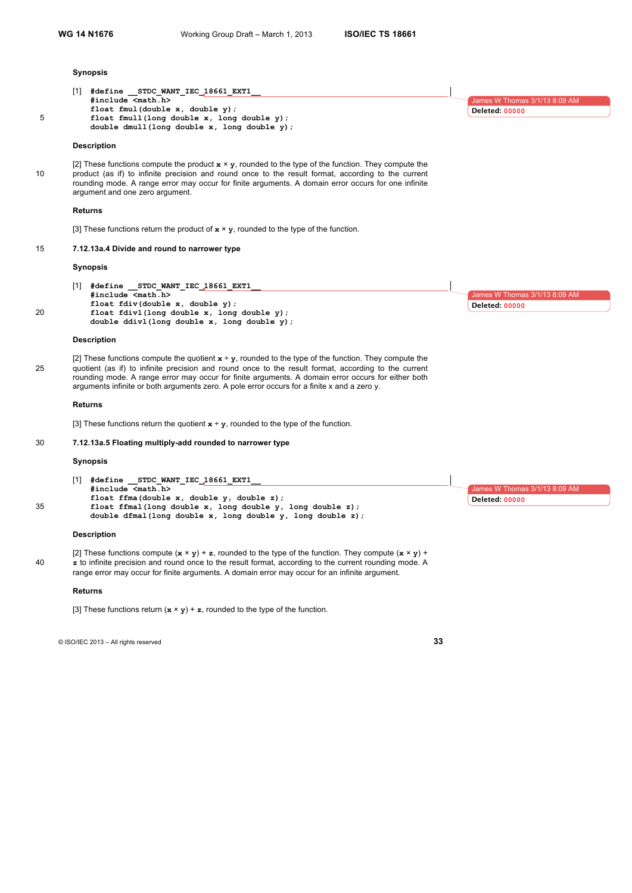# **Synopsis**

| #include <math.h><br/>James W Thomas 3/1/13 8:09 AM<br/>float fmul(double <math>x</math>, double <math>y</math>);<br/><b>Deleted: 00000</b><br/>5<br/>float fmull (long double x, long double y);<br/>double dmull (long double x, long double y);<br/><b>Description</b><br/>[2] These functions compute the product <math>x \times y</math>, rounded to the type of the function. They compute the<br/>product (as if) to infinite precision and round once to the result format, according to the current<br/>10<br/>rounding mode. A range error may occur for finite arguments. A domain error occurs for one infinite<br/>argument and one zero argument.<br/>Returns<br/>[3] These functions return the product of <math>x \times y</math>, rounded to the type of the function.<br/>15<br/>7.12.13a.4 Divide and round to narrower type<br/><b>Synopsis</b><br/><math>[1]</math> #define STDC WANT IEC 18661 EXT1<br/>#include <math.h><br/>James W Thomas 3/1/13 8:09 AM<br/>float fdiv(double x, double y);<br/><b>Deleted: 00000</b><br/>20<br/>float fdivl(long double x, long double y);<br/>double ddivl(long double x, long double y);<br/><b>Description</b><br/>[2] These functions compute the quotient <math>x \div y</math>, rounded to the type of the function. They compute the<br/>quotient (as if) to infinite precision and round once to the result format, according to the current<br/>25<br/>rounding mode. A range error may occur for finite arguments. A domain error occurs for either both<br/>arguments infinite or both arguments zero. A pole error occurs for a finite x and a zero y.<br/><b>Returns</b><br/>[3] These functions return the quotient <math>x \div y</math>, rounded to the type of the function.<br/>30<br/>7.12.13a.5 Floating multiply-add rounded to narrower type<br/>Synopsis<br/>[1] #define STDC WANT IEC 18661 EXT1<br/>#include <math.h><br/>James W Thomas 3/1/13 8:09 AM<br/>float ffma(double x, double y, double z);<br/><b>Deleted: 00000</b><br/>35<br/>float ffmal(long double x, long double y, long double z);<br/>double dfmal(long double x, long double y, long double z);<br/><b>Description</b><br/>[2] These functions compute <math>(x \times y) + z</math>, rounded to the type of the function. They compute <math>(x \times y) + z</math><br/>z to infinite precision and round once to the result format, according to the current rounding mode. A<br/>40<br/>range error may occur for finite arguments. A domain error may occur for an infinite argument.<br/><b>Returns</b><br/>[3] These functions return <math>(x \times y) + z</math>, rounded to the type of the function.</math.h></math.h></math.h> | [1] #define STDC WANT IEC 18661 EXT1 |  |
|-----------------------------------------------------------------------------------------------------------------------------------------------------------------------------------------------------------------------------------------------------------------------------------------------------------------------------------------------------------------------------------------------------------------------------------------------------------------------------------------------------------------------------------------------------------------------------------------------------------------------------------------------------------------------------------------------------------------------------------------------------------------------------------------------------------------------------------------------------------------------------------------------------------------------------------------------------------------------------------------------------------------------------------------------------------------------------------------------------------------------------------------------------------------------------------------------------------------------------------------------------------------------------------------------------------------------------------------------------------------------------------------------------------------------------------------------------------------------------------------------------------------------------------------------------------------------------------------------------------------------------------------------------------------------------------------------------------------------------------------------------------------------------------------------------------------------------------------------------------------------------------------------------------------------------------------------------------------------------------------------------------------------------------------------------------------------------------------------------------------------------------------------------------------------------------------------------------------------------------------------------------------------------------------------------------------------------------------------------------------------------------------------------------------------------------------------------------------------------------------------------------------------------------------------------------------------------------------------------------------------------------------------------------------------------------------------------|--------------------------------------|--|
|                                                                                                                                                                                                                                                                                                                                                                                                                                                                                                                                                                                                                                                                                                                                                                                                                                                                                                                                                                                                                                                                                                                                                                                                                                                                                                                                                                                                                                                                                                                                                                                                                                                                                                                                                                                                                                                                                                                                                                                                                                                                                                                                                                                                                                                                                                                                                                                                                                                                                                                                                                                                                                                                                                     |                                      |  |
|                                                                                                                                                                                                                                                                                                                                                                                                                                                                                                                                                                                                                                                                                                                                                                                                                                                                                                                                                                                                                                                                                                                                                                                                                                                                                                                                                                                                                                                                                                                                                                                                                                                                                                                                                                                                                                                                                                                                                                                                                                                                                                                                                                                                                                                                                                                                                                                                                                                                                                                                                                                                                                                                                                     |                                      |  |
|                                                                                                                                                                                                                                                                                                                                                                                                                                                                                                                                                                                                                                                                                                                                                                                                                                                                                                                                                                                                                                                                                                                                                                                                                                                                                                                                                                                                                                                                                                                                                                                                                                                                                                                                                                                                                                                                                                                                                                                                                                                                                                                                                                                                                                                                                                                                                                                                                                                                                                                                                                                                                                                                                                     |                                      |  |
|                                                                                                                                                                                                                                                                                                                                                                                                                                                                                                                                                                                                                                                                                                                                                                                                                                                                                                                                                                                                                                                                                                                                                                                                                                                                                                                                                                                                                                                                                                                                                                                                                                                                                                                                                                                                                                                                                                                                                                                                                                                                                                                                                                                                                                                                                                                                                                                                                                                                                                                                                                                                                                                                                                     |                                      |  |
|                                                                                                                                                                                                                                                                                                                                                                                                                                                                                                                                                                                                                                                                                                                                                                                                                                                                                                                                                                                                                                                                                                                                                                                                                                                                                                                                                                                                                                                                                                                                                                                                                                                                                                                                                                                                                                                                                                                                                                                                                                                                                                                                                                                                                                                                                                                                                                                                                                                                                                                                                                                                                                                                                                     |                                      |  |
|                                                                                                                                                                                                                                                                                                                                                                                                                                                                                                                                                                                                                                                                                                                                                                                                                                                                                                                                                                                                                                                                                                                                                                                                                                                                                                                                                                                                                                                                                                                                                                                                                                                                                                                                                                                                                                                                                                                                                                                                                                                                                                                                                                                                                                                                                                                                                                                                                                                                                                                                                                                                                                                                                                     |                                      |  |
|                                                                                                                                                                                                                                                                                                                                                                                                                                                                                                                                                                                                                                                                                                                                                                                                                                                                                                                                                                                                                                                                                                                                                                                                                                                                                                                                                                                                                                                                                                                                                                                                                                                                                                                                                                                                                                                                                                                                                                                                                                                                                                                                                                                                                                                                                                                                                                                                                                                                                                                                                                                                                                                                                                     |                                      |  |
|                                                                                                                                                                                                                                                                                                                                                                                                                                                                                                                                                                                                                                                                                                                                                                                                                                                                                                                                                                                                                                                                                                                                                                                                                                                                                                                                                                                                                                                                                                                                                                                                                                                                                                                                                                                                                                                                                                                                                                                                                                                                                                                                                                                                                                                                                                                                                                                                                                                                                                                                                                                                                                                                                                     |                                      |  |
|                                                                                                                                                                                                                                                                                                                                                                                                                                                                                                                                                                                                                                                                                                                                                                                                                                                                                                                                                                                                                                                                                                                                                                                                                                                                                                                                                                                                                                                                                                                                                                                                                                                                                                                                                                                                                                                                                                                                                                                                                                                                                                                                                                                                                                                                                                                                                                                                                                                                                                                                                                                                                                                                                                     |                                      |  |
|                                                                                                                                                                                                                                                                                                                                                                                                                                                                                                                                                                                                                                                                                                                                                                                                                                                                                                                                                                                                                                                                                                                                                                                                                                                                                                                                                                                                                                                                                                                                                                                                                                                                                                                                                                                                                                                                                                                                                                                                                                                                                                                                                                                                                                                                                                                                                                                                                                                                                                                                                                                                                                                                                                     |                                      |  |
|                                                                                                                                                                                                                                                                                                                                                                                                                                                                                                                                                                                                                                                                                                                                                                                                                                                                                                                                                                                                                                                                                                                                                                                                                                                                                                                                                                                                                                                                                                                                                                                                                                                                                                                                                                                                                                                                                                                                                                                                                                                                                                                                                                                                                                                                                                                                                                                                                                                                                                                                                                                                                                                                                                     |                                      |  |
|                                                                                                                                                                                                                                                                                                                                                                                                                                                                                                                                                                                                                                                                                                                                                                                                                                                                                                                                                                                                                                                                                                                                                                                                                                                                                                                                                                                                                                                                                                                                                                                                                                                                                                                                                                                                                                                                                                                                                                                                                                                                                                                                                                                                                                                                                                                                                                                                                                                                                                                                                                                                                                                                                                     |                                      |  |
|                                                                                                                                                                                                                                                                                                                                                                                                                                                                                                                                                                                                                                                                                                                                                                                                                                                                                                                                                                                                                                                                                                                                                                                                                                                                                                                                                                                                                                                                                                                                                                                                                                                                                                                                                                                                                                                                                                                                                                                                                                                                                                                                                                                                                                                                                                                                                                                                                                                                                                                                                                                                                                                                                                     |                                      |  |
|                                                                                                                                                                                                                                                                                                                                                                                                                                                                                                                                                                                                                                                                                                                                                                                                                                                                                                                                                                                                                                                                                                                                                                                                                                                                                                                                                                                                                                                                                                                                                                                                                                                                                                                                                                                                                                                                                                                                                                                                                                                                                                                                                                                                                                                                                                                                                                                                                                                                                                                                                                                                                                                                                                     |                                      |  |
|                                                                                                                                                                                                                                                                                                                                                                                                                                                                                                                                                                                                                                                                                                                                                                                                                                                                                                                                                                                                                                                                                                                                                                                                                                                                                                                                                                                                                                                                                                                                                                                                                                                                                                                                                                                                                                                                                                                                                                                                                                                                                                                                                                                                                                                                                                                                                                                                                                                                                                                                                                                                                                                                                                     |                                      |  |
|                                                                                                                                                                                                                                                                                                                                                                                                                                                                                                                                                                                                                                                                                                                                                                                                                                                                                                                                                                                                                                                                                                                                                                                                                                                                                                                                                                                                                                                                                                                                                                                                                                                                                                                                                                                                                                                                                                                                                                                                                                                                                                                                                                                                                                                                                                                                                                                                                                                                                                                                                                                                                                                                                                     |                                      |  |
|                                                                                                                                                                                                                                                                                                                                                                                                                                                                                                                                                                                                                                                                                                                                                                                                                                                                                                                                                                                                                                                                                                                                                                                                                                                                                                                                                                                                                                                                                                                                                                                                                                                                                                                                                                                                                                                                                                                                                                                                                                                                                                                                                                                                                                                                                                                                                                                                                                                                                                                                                                                                                                                                                                     |                                      |  |
|                                                                                                                                                                                                                                                                                                                                                                                                                                                                                                                                                                                                                                                                                                                                                                                                                                                                                                                                                                                                                                                                                                                                                                                                                                                                                                                                                                                                                                                                                                                                                                                                                                                                                                                                                                                                                                                                                                                                                                                                                                                                                                                                                                                                                                                                                                                                                                                                                                                                                                                                                                                                                                                                                                     |                                      |  |
|                                                                                                                                                                                                                                                                                                                                                                                                                                                                                                                                                                                                                                                                                                                                                                                                                                                                                                                                                                                                                                                                                                                                                                                                                                                                                                                                                                                                                                                                                                                                                                                                                                                                                                                                                                                                                                                                                                                                                                                                                                                                                                                                                                                                                                                                                                                                                                                                                                                                                                                                                                                                                                                                                                     |                                      |  |
|                                                                                                                                                                                                                                                                                                                                                                                                                                                                                                                                                                                                                                                                                                                                                                                                                                                                                                                                                                                                                                                                                                                                                                                                                                                                                                                                                                                                                                                                                                                                                                                                                                                                                                                                                                                                                                                                                                                                                                                                                                                                                                                                                                                                                                                                                                                                                                                                                                                                                                                                                                                                                                                                                                     |                                      |  |
|                                                                                                                                                                                                                                                                                                                                                                                                                                                                                                                                                                                                                                                                                                                                                                                                                                                                                                                                                                                                                                                                                                                                                                                                                                                                                                                                                                                                                                                                                                                                                                                                                                                                                                                                                                                                                                                                                                                                                                                                                                                                                                                                                                                                                                                                                                                                                                                                                                                                                                                                                                                                                                                                                                     |                                      |  |
|                                                                                                                                                                                                                                                                                                                                                                                                                                                                                                                                                                                                                                                                                                                                                                                                                                                                                                                                                                                                                                                                                                                                                                                                                                                                                                                                                                                                                                                                                                                                                                                                                                                                                                                                                                                                                                                                                                                                                                                                                                                                                                                                                                                                                                                                                                                                                                                                                                                                                                                                                                                                                                                                                                     |                                      |  |
|                                                                                                                                                                                                                                                                                                                                                                                                                                                                                                                                                                                                                                                                                                                                                                                                                                                                                                                                                                                                                                                                                                                                                                                                                                                                                                                                                                                                                                                                                                                                                                                                                                                                                                                                                                                                                                                                                                                                                                                                                                                                                                                                                                                                                                                                                                                                                                                                                                                                                                                                                                                                                                                                                                     |                                      |  |
|                                                                                                                                                                                                                                                                                                                                                                                                                                                                                                                                                                                                                                                                                                                                                                                                                                                                                                                                                                                                                                                                                                                                                                                                                                                                                                                                                                                                                                                                                                                                                                                                                                                                                                                                                                                                                                                                                                                                                                                                                                                                                                                                                                                                                                                                                                                                                                                                                                                                                                                                                                                                                                                                                                     |                                      |  |
|                                                                                                                                                                                                                                                                                                                                                                                                                                                                                                                                                                                                                                                                                                                                                                                                                                                                                                                                                                                                                                                                                                                                                                                                                                                                                                                                                                                                                                                                                                                                                                                                                                                                                                                                                                                                                                                                                                                                                                                                                                                                                                                                                                                                                                                                                                                                                                                                                                                                                                                                                                                                                                                                                                     |                                      |  |
|                                                                                                                                                                                                                                                                                                                                                                                                                                                                                                                                                                                                                                                                                                                                                                                                                                                                                                                                                                                                                                                                                                                                                                                                                                                                                                                                                                                                                                                                                                                                                                                                                                                                                                                                                                                                                                                                                                                                                                                                                                                                                                                                                                                                                                                                                                                                                                                                                                                                                                                                                                                                                                                                                                     |                                      |  |
|                                                                                                                                                                                                                                                                                                                                                                                                                                                                                                                                                                                                                                                                                                                                                                                                                                                                                                                                                                                                                                                                                                                                                                                                                                                                                                                                                                                                                                                                                                                                                                                                                                                                                                                                                                                                                                                                                                                                                                                                                                                                                                                                                                                                                                                                                                                                                                                                                                                                                                                                                                                                                                                                                                     |                                      |  |
|                                                                                                                                                                                                                                                                                                                                                                                                                                                                                                                                                                                                                                                                                                                                                                                                                                                                                                                                                                                                                                                                                                                                                                                                                                                                                                                                                                                                                                                                                                                                                                                                                                                                                                                                                                                                                                                                                                                                                                                                                                                                                                                                                                                                                                                                                                                                                                                                                                                                                                                                                                                                                                                                                                     |                                      |  |
|                                                                                                                                                                                                                                                                                                                                                                                                                                                                                                                                                                                                                                                                                                                                                                                                                                                                                                                                                                                                                                                                                                                                                                                                                                                                                                                                                                                                                                                                                                                                                                                                                                                                                                                                                                                                                                                                                                                                                                                                                                                                                                                                                                                                                                                                                                                                                                                                                                                                                                                                                                                                                                                                                                     |                                      |  |
|                                                                                                                                                                                                                                                                                                                                                                                                                                                                                                                                                                                                                                                                                                                                                                                                                                                                                                                                                                                                                                                                                                                                                                                                                                                                                                                                                                                                                                                                                                                                                                                                                                                                                                                                                                                                                                                                                                                                                                                                                                                                                                                                                                                                                                                                                                                                                                                                                                                                                                                                                                                                                                                                                                     |                                      |  |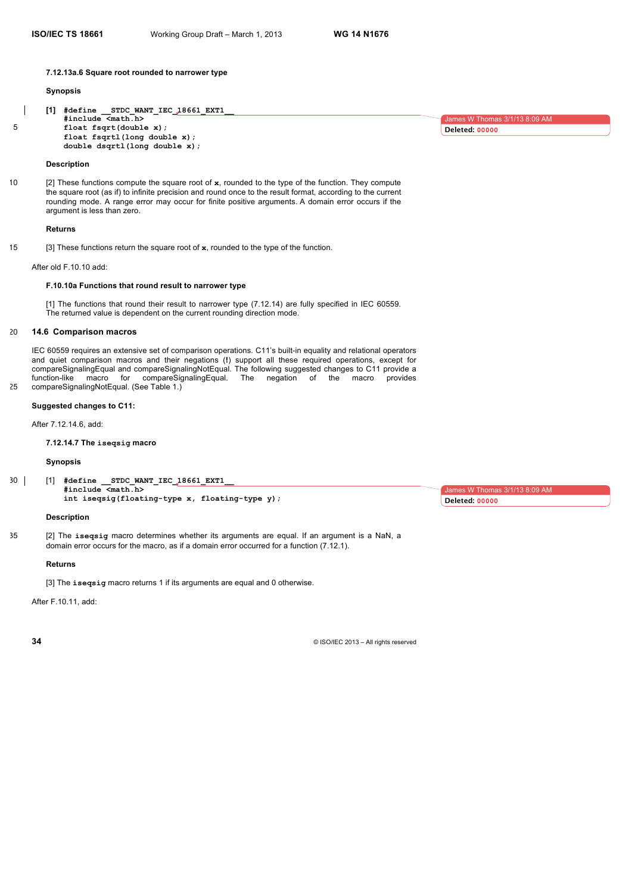#### **7.12.13a.6 Square root rounded to narrower type**

#### **Synopsis**

**[1] #define \_\_STDC\_WANT\_IEC\_18661\_EXT1\_\_ #include <math.h>** 5 **float fsqrt(double x); float fsqrtl(long double x); double dsqrtl(long double x);**

# **Description**

10 [2] These functions compute the square root of **x**, rounded to the type of the function. They compute the square root (as if) to infinite precision and round once to the result format, according to the current rounding mode. A range error may occur for finite positive arguments. A domain error occurs if the argument is less than zero.

#### **Returns**

15 [3] These functions return the square root of **x**, rounded to the type of the function.

After old F.10.10 add:

# **F.10.10a Functions that round result to narrower type**

[1] The functions that round their result to narrower type (7.12.14) are fully specified in IEC 60559. The returned value is dependent on the current rounding direction mode.

#### 20 **14.6 Comparison macros**

IEC 60559 requires an extensive set of comparison operations. C11's built-in equality and relational operators and quiet comparison macros and their negations (**!**) support all these required operations, except for compareSignalingEqual and compareSignalingNotEqual. The following suggested changes to C11 provide a<br>function-like macro for compareSignalingEqual. The negation of the macro provides compareSignalingEqual. The negation of the macro provides 25 compareSignalingNotEqual. (See Table 1.)

#### **Suggested changes to C11:**

After 7.12.14.6, add:

#### **7.12.14.7 The iseqsig macro**

# **Synopsis**

30 [1] **#define \_\_STDC\_WANT\_IEC\_18661\_EXT1\_\_ #include <math.h> int iseqsig(floating-type x, floating-type y);** 

#### **Description**

35 [2] The **iseqsig** macro determines whether its arguments are equal. If an argument is a NaN, a domain error occurs for the macro, as if a domain error occurred for a function (7.12.1).

#### **Returns**

[3] The **iseqsig** macro returns 1 if its arguments are equal and 0 otherwise.

After F.10.11, add:

**34** © ISO/IEC 2013 – All rights reserved

es W Thom **Deleted: 00000**

James W Thomas 3/1/13 8:09 AM

**Deleted: 00000**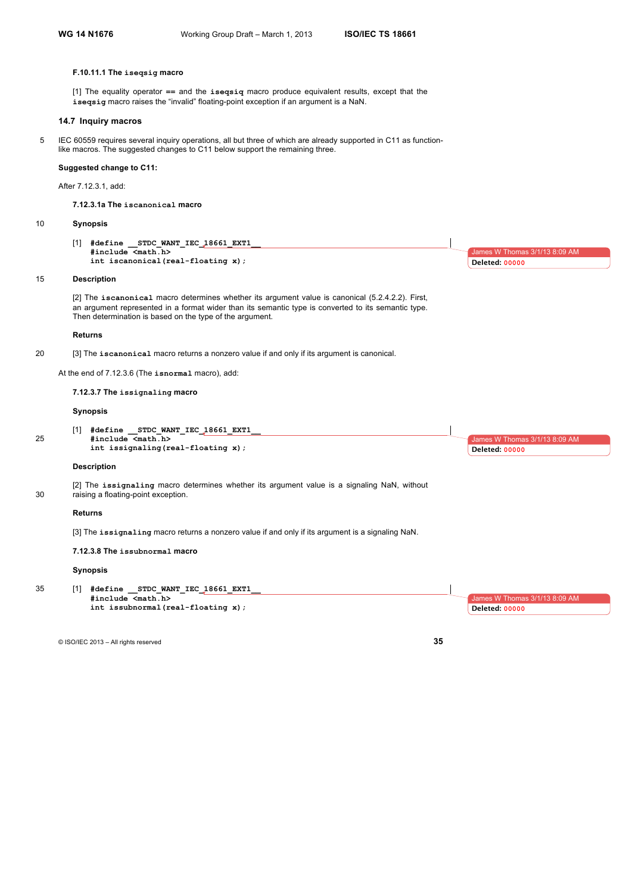# **F.10.11.1 The iseqsig macro**

[1] The equality operator **==** and the **iseqsiq** macro produce equivalent results, except that the **iseqsig** macro raises the "invalid" floating-point exception if an argument is a NaN.

# **14.7 Inquiry macros**

5 IEC 60559 requires several inquiry operations, all but three of which are already supported in C11 as functionlike macros. The suggested changes to C11 below support the remaining three.

#### **Suggested change to C11:**

After 7.12.3.1, add:

**7.12.3.1a The iscanonical macro**

## 10 **Synopsis**

[1] **#define \_\_STDC\_WANT\_IEC\_18661\_EXT1\_\_ #include <math.h> int iscanonical(real-floating x);**

#### 15 **Description**

[2] The **iscanonical** macro determines whether its argument value is canonical (5.2.4.2.2). First, an argument represented in a format wider than its semantic type is converted to its semantic type. Then determination is based on the type of the argument.

#### **Returns**

20 [3] The **iscanonical** macro returns a nonzero value if and only if its argument is canonical.

At the end of 7.12.3.6 (The **isnormal** macro), add:

## **7.12.3.7 The issignaling macro**

# **Synopsis**

[1] **#define \_\_STDC\_WANT\_IEC\_18661\_EXT1\_\_** 25 **#include <math.h> int issignaling(real-floating x);**

#### **Description**

[2] The **issignaling** macro determines whether its argument value is a signaling NaN, without 30 raising a floating-point exception.

#### **Returns**

[3] The **issignaling** macro returns a nonzero value if and only if its argument is a signaling NaN.

# **7.12.3.8 The issubnormal macro**

#### **Synopsis**

35 [1] **#define \_\_STDC\_WANT\_IEC\_18661\_EXT1\_\_ #include <math.h> int issubnormal(real-floating x);**

© ISO/IEC 2013 – All rights reserved **35**



# nes W Thomas 3/1/13 8:09 AM **Deleted: 00000**

 $3$ mes W Thomas  $3/1/13$  8:09 AM

**Deleted: 00000**

James W Thomas 3/1/13 8:09 AM

**Deleted: 00000**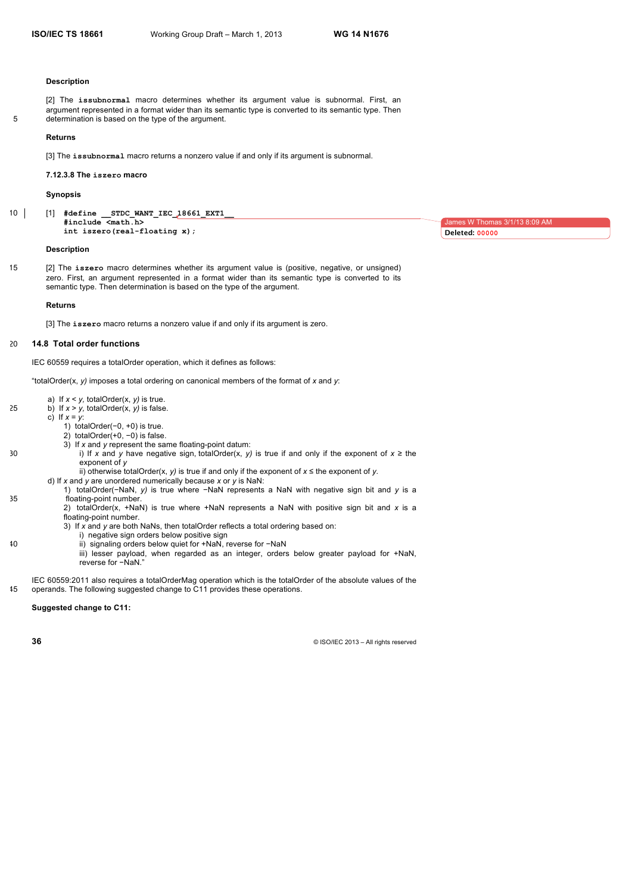#### **Description**

[2] The **issubnormal** macro determines whether its argument value is subnormal. First, an argument represented in a format wider than its semantic type is converted to its semantic type. Then 5 determination is based on the type of the argument.

#### **Returns**

[3] The **issubnormal** macro returns a nonzero value if and only if its argument is subnormal.

**7.12.3.8 The iszero macro**

#### **Synopsis**

10 [1] **#define \_\_STDC\_WANT\_IEC\_18661\_EXT1\_\_ #include <math.h> int iszero(real-floating x);**

#### **Description**

15 [2] The **iszero** macro determines whether its argument value is (positive, negative, or unsigned) zero. First, an argument represented in a format wider than its semantic type is converted to its semantic type. Then determination is based on the type of the argument.

#### **Returns**

[3] The **iszero** macro returns a nonzero value if and only if its argument is zero.

# 20 **14.8 Total order functions**

IEC 60559 requires a totalOrder operation, which it defines as follows:

"totalOrder(x, *y)* imposes a total ordering on canonical members of the format of *x* and *y*:

- a) If *x* < *y,* totalOrder(x, *y)* is true.
- 25 b) If  $x > y$ , totalOrder(x,  $y$ ) is false.
	- c) If  $x = y$ :
		- 1) totalOrder(−0, +0) is true.
		- 2) totalOrder(+0, −0) is false.
		- 3) If *x* and *y* represent the same floating-point datum:
- 30 i) If *x* and *y* have negative sign, totalOrder(x, *y)* is true if and only if the exponent of *x* ≥ the exponent of *y*
	- ii) otherwise totalOrder(x, *y)* is true if and only if the exponent of *x* ≤ the exponent of *y.*
	- d) If *x* and *y* are unordered numerically because *x* or *y* is NaN:
- 1) totalOrder(−NaN, *y)* is true where −NaN represents a NaN with negative sign bit and *y* is a 35 floating-point number.
	- 2) totalOrder(x, +NaN) is true where +NaN represents a NaN with positive sign bit and *x* is a floating-point number.
	- 3) If *x* and *y* are both NaNs, then totalOrder reflects a total ordering based on:
		- i) negative sign orders below positive sign
- 40 ii) signaling orders below quiet for +NaN, reverse for −NaN
	- iii) lesser payload, when regarded as an integer, orders below greater payload for +NaN, reverse for −NaN."
- IEC 60559:2011 also requires a totalOrderMag operation which is the totalOrder of the absolute values of the 45 operands. The following suggested change to C11 provides these operations.

#### **Suggested change to C11:**

**36** © ISO/IEC 2013 – All rights reserved

James W Thomas 3/1/13 8:09 AM **Deleted: 00000**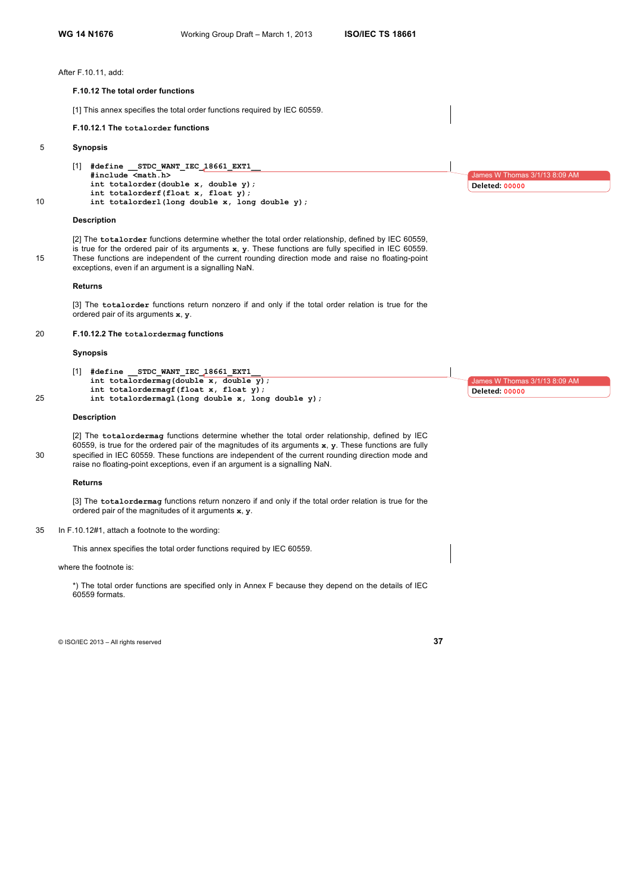After F.10.11, add:

#### **F.10.12 The total order functions**

[1] This annex specifies the total order functions required by IEC 60559.

# **F.10.12.1 The totalorder functions**

# 5 **Synopsis**

[1] **#define \_\_STDC\_WANT\_IEC\_18661\_EXT1\_\_ #include <math.h> int totalorder(double x, double y); int totalorderf(float x, float y);**

10 **int totalorderl(long double x, long double y);**

#### **Description**

[2] The **totalorder** functions determine whether the total order relationship, defined by IEC 60559, is true for the ordered pair of its arguments **x**, **y**. These functions are fully specified in IEC 60559. 15 These functions are independent of the current rounding direction mode and raise no floating-point exceptions, even if an argument is a signalling NaN.

#### **Returns**

[3] The **totalorder** functions return nonzero if and only if the total order relation is true for the ordered pair of its arguments **x**, **y**.

#### 20 **F.10.12.2 The totalordermag functions**

#### **Synopsis**

[1] **#define \_\_STDC\_WANT\_IEC\_18661\_EXT1\_\_ int totalordermag(double x, double y); int totalordermagf(float x, float y);** 25 **int totalordermagl(long double x, long double y);**

#### **Description**

[2] The **totalordermag** functions determine whether the total order relationship, defined by IEC 60559, is true for the ordered pair of the magnitudes of its arguments **x**, **y**. These functions are fully 30 specified in IEC 60559. These functions are independent of the current rounding direction mode and raise no floating-point exceptions, even if an argument is a signalling NaN.

#### **Returns**

[3] The **totalordermag** functions return nonzero if and only if the total order relation is true for the ordered pair of the magnitudes of it arguments **x**, **y**.

35 In F.10.12#1, attach a footnote to the wording:

This annex specifies the total order functions required by IEC 60559.

#### where the footnote is:

\*) The total order functions are specified only in Annex F because they depend on the details of IEC 60559 formats.

© ISO/IEC 2013 – All rights reserved **37**

es W Thom **Deleted: 00000**

ames W Thomas

**Deleted: 00000**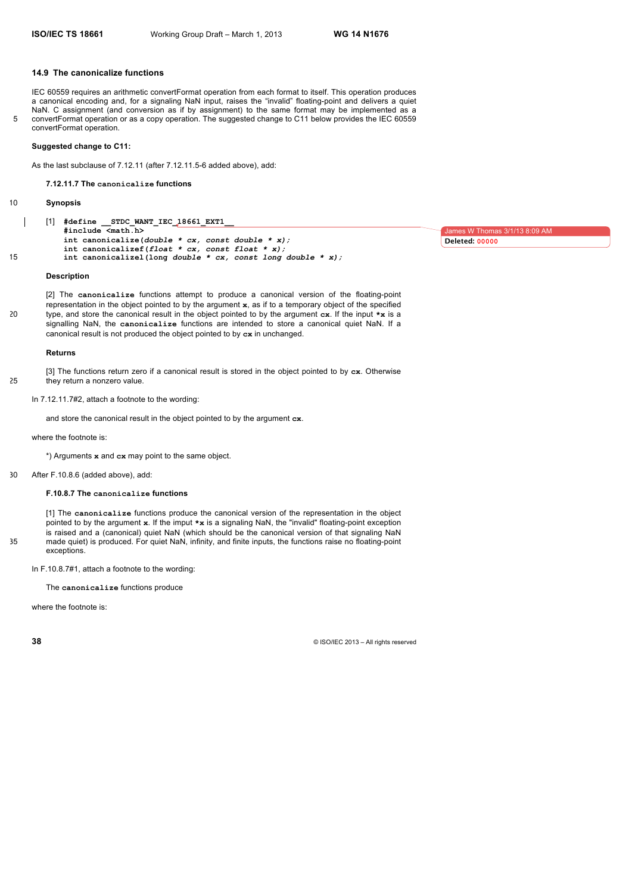#### **14.9 The canonicalize functions**

IEC 60559 requires an arithmetic convertFormat operation from each format to itself. This operation produces a canonical encoding and, for a signaling NaN input, raises the "invalid" floating-point and delivers a quiet NaN. C assignment (and conversion as if by assignment) to the same format may be implemented as a 5 convertFormat operation or as a copy operation. The suggested change to C11 below provides the IEC 60559 convertFormat operation.

#### **Suggested change to C11:**

As the last subclause of 7.12.11 (after 7.12.11.5-6 added above), add:

**7.12.11.7 The canonicalize functions**

# 10 **Synopsis**

[1] **#define \_\_STDC\_WANT\_IEC\_18661\_EXT1\_\_ #include <math.h> int canonicalize(***double \* cx, const double \* x);* **int canonicalizef(***float \* cx, const float \* x);* 15 **int canonicalizel(long** *double \* cx, const long double \* x);*

#### **Description**

[2] The **canonicalize** functions attempt to produce a canonical version of the floating-point representation in the object pointed to by the argument **x**, as if to a temporary object of the specified 20 type, and store the canonical result in the object pointed to by the argument **cx**. If the input **\*x** is a signalling NaN, the **canonicalize** functions are intended to store a canonical quiet NaN. If a canonical result is not produced the object pointed to by **cx** in unchanged.

#### **Returns**

[3] The functions return zero if a canonical result is stored in the object pointed to by **cx**. Otherwise 25 they return a nonzero value.

In 7.12.11.7#2, attach a footnote to the wording:

and store the canonical result in the object pointed to by the argument **cx**.

#### where the footnote is:

\*) Arguments **x** and **cx** may point to the same object.

30 After F.10.8.6 (added above), add:

## **F.10.8.7 The canonicalize functions**

[1] The **canonicalize** functions produce the canonical version of the representation in the object pointed to by the argument **x**. If the imput **\*x** is a signaling NaN, the "invalid" floating-point exception is raised and a (canonical) quiet NaN (which should be the canonical version of that signaling NaN 35 made quiet) is produced. For quiet NaN, infinity, and finite inputs, the functions raise no floating-point exceptions.

In F.10.8.7#1, attach a footnote to the wording:

The **canonicalize** functions produce

where the footnote is:

**38** © ISO/IEC 2013 – All rights reserved

James W Thomas 3/1/13 8:09 AM **Deleted: 00000**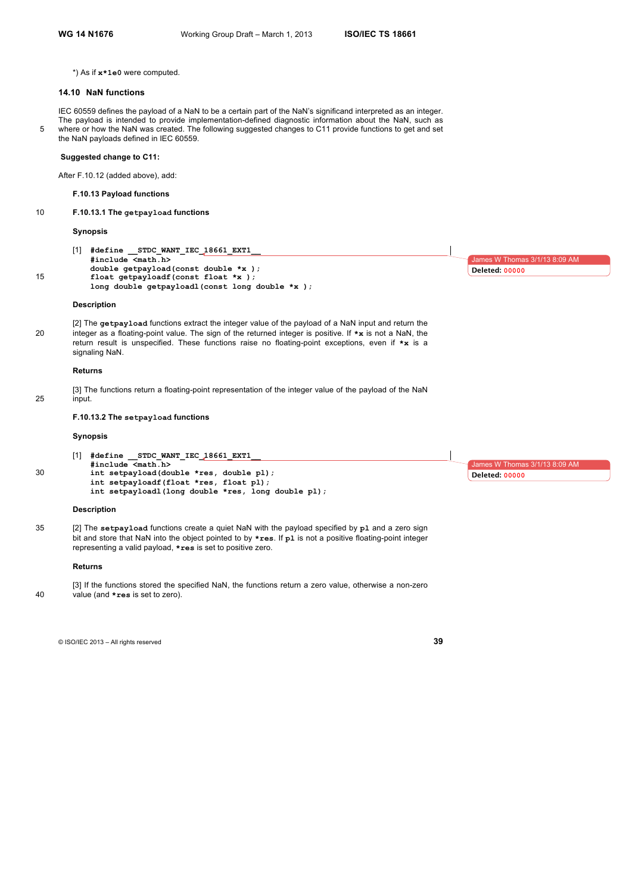\*) As if **x\*1e0** were computed.

#### **14.10 NaN functions**

IEC 60559 defines the payload of a NaN to be a certain part of the NaN's significand interpreted as an integer. The payload is intended to provide implementation-defined diagnostic information about the NaN, such as 5 where or how the NaN was created. The following suggested changes to C11 provide functions to get and set the NaN payloads defined in IEC 60559.

# **Suggested change to C11:**

After F.10.12 (added above), add:

# **F.10.13 Payload functions**

# 10 **F.10.13.1 The getpayload functions**

## **Synopsis**

[1] **#define \_\_STDC\_WANT\_IEC\_18661\_EXT1\_\_ #include <math.h> double getpayload(const double \*x );** 15 **float getpayloadf(const float \*x ); long double getpayloadl(const long double \*x );**

#### **Description**

[2] The **getpayload** functions extract the integer value of the payload of a NaN input and return the 20 integer as a floating-point value. The sign of the returned integer is positive. If **\*x** is not a NaN, the return result is unspecified. These functions raise no floating-point exceptions, even if **\*x** is a signaling NaN.

#### **Returns**

[3] The functions return a floating-point representation of the integer value of the payload of the NaN 25 input.

# **F.10.13.2 The setpayload functions**

# **Synopsis**

[1] **#define \_\_STDC\_WANT\_IEC\_18661\_EXT1\_\_ #include <math.h>** 30 **int setpayload(double \*res, double pl); int setpayloadf(float \*res, float pl); int setpayloadl(long double \*res, long double pl);**

#### **Description**

35 [2] The **setpayload** functions create a quiet NaN with the payload specified by **pl** and a zero sign bit and store that NaN into the object pointed to by **\*res**. If **pl** is not a positive floating-point integer representing a valid payload, **\*res** is set to positive zero.

#### **Returns**

[3] If the functions stored the specified NaN, the functions return a zero value, otherwise a non-zero 40 value (and **\*res** is set to zero).

© ISO/IEC 2013 – All rights reserved **39**

James W Thomas 3/1/13 8:09 AM **Deleted: 00000**

James W Thomas 3/1/13 8:09 AM

**Deleted: 00000**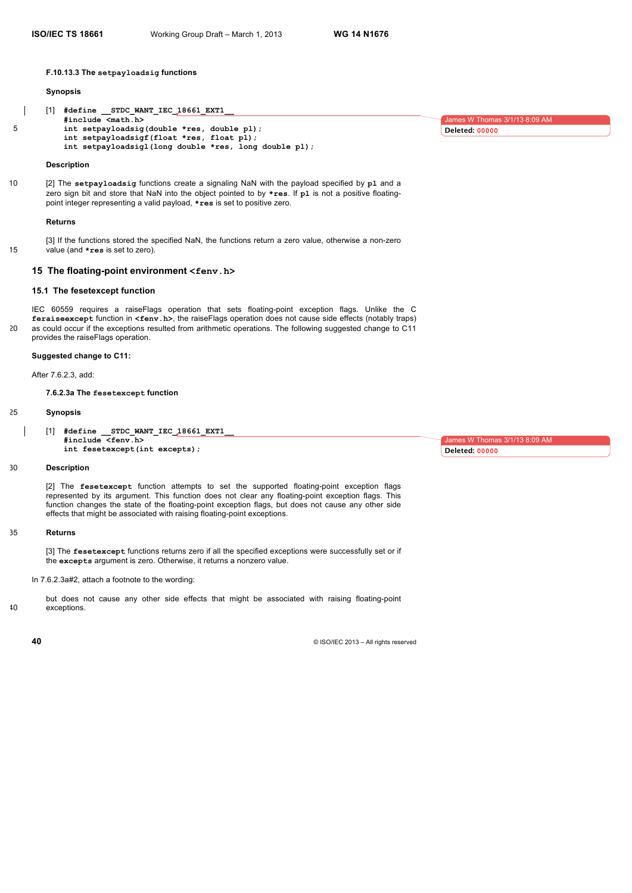**F.10.13.3 The setpayloadsig functions**

#### **Synopsis**

```
[1] #define __STDC_WANT_IEC_18661_EXT1__
          #include <math.h>
5 int setpayloadsig(double *res, double pl);
          int setpayloadsigf(float *res, float pl);
          int setpayloadsigl(long double *res, long double pl);
```
#### **Description**

10 [2] The **setpayloadsig** functions create a signaling NaN with the payload specified by **pl** and a zero sign bit and store that NaN into the object pointed to by **\*res**. If **pl** is not a positive floatingpoint integer representing a valid payload, **\*res** is set to positive zero.

#### **Returns**

[3] If the functions stored the specified NaN, the functions return a zero value, otherwise a non-zero 15 value (and **\*res** is set to zero).

# **15 The floating-point environment <fenv.h>**

# **15.1 The fesetexcept function**

IEC 60559 requires a raiseFlags operation that sets floating-point exception flags. Unlike the C **feraiseexcept** function in **<fenv.h>**, the raiseFlags operation does not cause side effects (notably traps) 20 as could occur if the exceptions resulted from arithmetic operations. The following suggested change to C11 provides the raiseFlags operation.

## **Suggested change to C11:**

After 7.6.2.3, add:

**7.6.2.3a The fesetexcept function**

# 25 **Synopsis**

[1] **#define \_\_STDC\_WANT\_IEC\_18661\_EXT1\_\_ #include <fenv.h> int fesetexcept(int excepts);**

#### 30 **Description**

[2] The **fesetexcept** function attempts to set the supported floating-point exception flags represented by its argument. This function does not clear any floating-point exception flags. This function changes the state of the floating-point exception flags, but does not cause any other side effects that might be associated with raising floating-point exceptions.

#### 35 **Returns**

[3] The **fesetexcept** functions returns zero if all the specified exceptions were successfully set or if the **excepts** argument is zero. Otherwise, it returns a nonzero value.

In 7.6.2.3a#2, attach a footnote to the wording:

but does not cause any other side effects that might be associated with raising floating-point 40 exceptions.

**40** © ISO/IEC 2013 – All rights reserved

 $1/13$   $8.09$  AM **Deleted: 00000**

James W Thomas 3/1/13 8:09 AM **Deleted: 00000**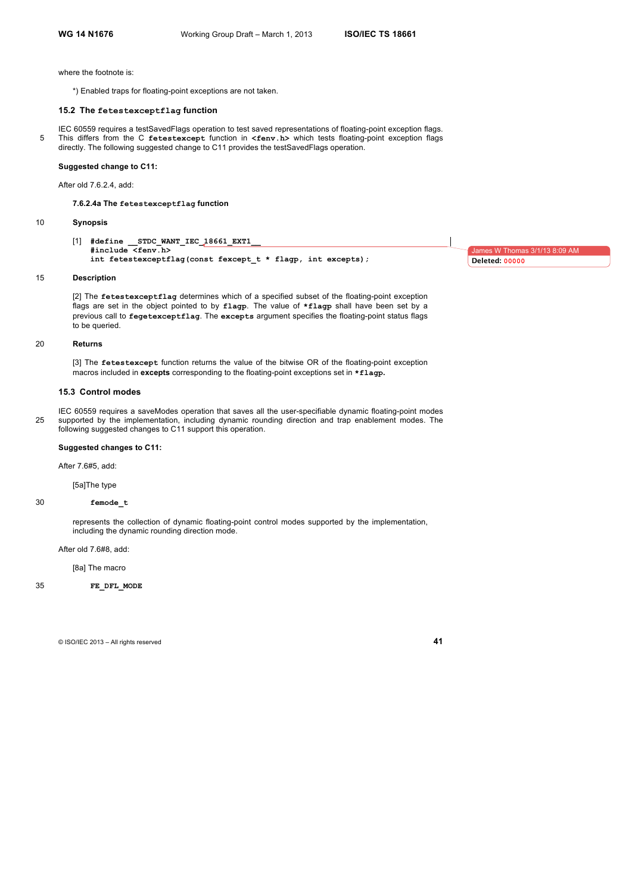where the footnote is:

\*) Enabled traps for floating-point exceptions are not taken.

#### **15.2 The fetestexceptflag function**

IEC 60559 requires a testSavedFlags operation to test saved representations of floating-point exception flags. 5 This differs from the C **fetestexcept** function in **<fenv.h>** which tests floating-point exception flags directly. The following suggested change to C11 provides the testSavedFlags operation.

#### **Suggested change to C11:**

After old 7.6.2.4, add:

**7.6.2.4a The fetestexceptflag function**

#### 10 **Synopsis**

[1] **#define \_\_STDC\_WANT\_IEC\_18661\_EXT1\_\_ #include <fenv.h> int fetestexceptflag(const fexcept\_t \* flagp, int excepts);**

James W Thomas 3/1/13 8:09 AM **Deleted: 00000**

#### 15 **Description**

[2] The **fetestexceptflag** determines which of a specified subset of the floating-point exception flags are set in the object pointed to by **flagp**. The value of **\*flagp** shall have been set by a previous call to **fegetexceptflag**. The **excepts** argument specifies the floating-point status flags to be queried.

#### 20 **Returns**

[3] The **fetestexcept** function returns the value of the bitwise OR of the floating-point exception macros included in **excepts** corresponding to the floating-point exceptions set in **\*flagp.**

#### **15.3 Control modes**

IEC 60559 requires a saveModes operation that saves all the user-specifiable dynamic floating-point modes 25 supported by the implementation, including dynamic rounding direction and trap enablement modes. The following suggested changes to C11 support this operation.

# **Suggested changes to C11:**

After 7.6#5, add:

[5a]The type

## 30 **femode\_t**

represents the collection of dynamic floating-point control modes supported by the implementation, including the dynamic rounding direction mode.

After old 7.6#8, add:

[8a] The macro

#### 35 **FE\_DFL\_MODE**

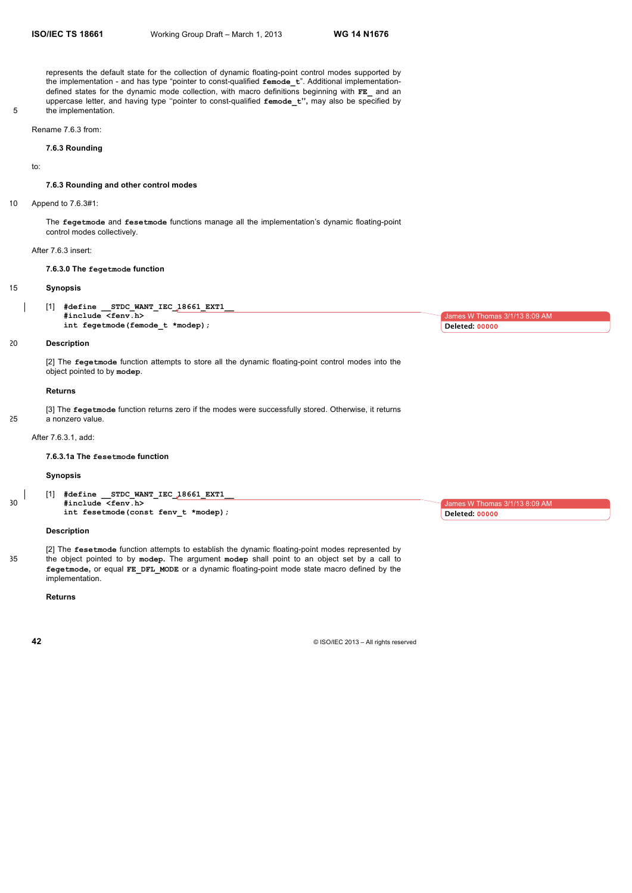represents the default state for the collection of dynamic floating-point control modes supported by the implementation - and has type "pointer to const-qualified **femode\_t**". Additional implementationdefined states for the dynamic mode collection, with macro definitions beginning with **FE\_** and an uppercase letter, and having type ''pointer to const-qualified **femode\_t'',** may also be specified by 5 the implementation.

Rename 7.6.3 from:

#### **7.6.3 Rounding**

to:

#### **7.6.3 Rounding and other control modes**

10 Append to 7.6.3#1:

The **fegetmode** and **fesetmode** functions manage all the implementation's dynamic floating-point control modes collectively.

# After 7.6.3 insert:

#### **7.6.3.0 The fegetmode function**

#### 15 **Synopsis**

[1] **#define \_\_STDC\_WANT\_IEC\_18661\_EXT1\_\_ #include <fenv.h> int fegetmode(femode\_t \*modep);** 

## 20 **Description**

[2] The **fegetmode** function attempts to store all the dynamic floating-point control modes into the object pointed to by **modep**.

# **Returns**

[3] The **fegetmode** function returns zero if the modes were successfully stored. Otherwise, it returns

25 a nonzero value.

# After 7.6.3.1, add:

**7.6.3.1a The fesetmode function** 

#### **Synopsis**

[1] **#define \_\_STDC\_WANT\_IEC\_18661\_EXT1\_\_** 30 **#include <fenv.h> int fesetmode(const fenv\_t \*modep);**

## **Description**

[2] The **fesetmode** function attempts to establish the dynamic floating-point modes represented by 35 the object pointed to by **modep.** The argument **modep** shall point to an object set by a call to **fegetmode,** or equal **FE\_DFL\_MODE** or a dynamic floating-point mode state macro defined by the implementation.

# **Returns**

**42**  $\bullet$  ISO/IEC 2013 – All rights reserved

 $W$  Thomas 3/1/13 8:09 AM **Deleted: 00000**

 $as 3/1/13 8:09 AN$ 

**Deleted: 00000**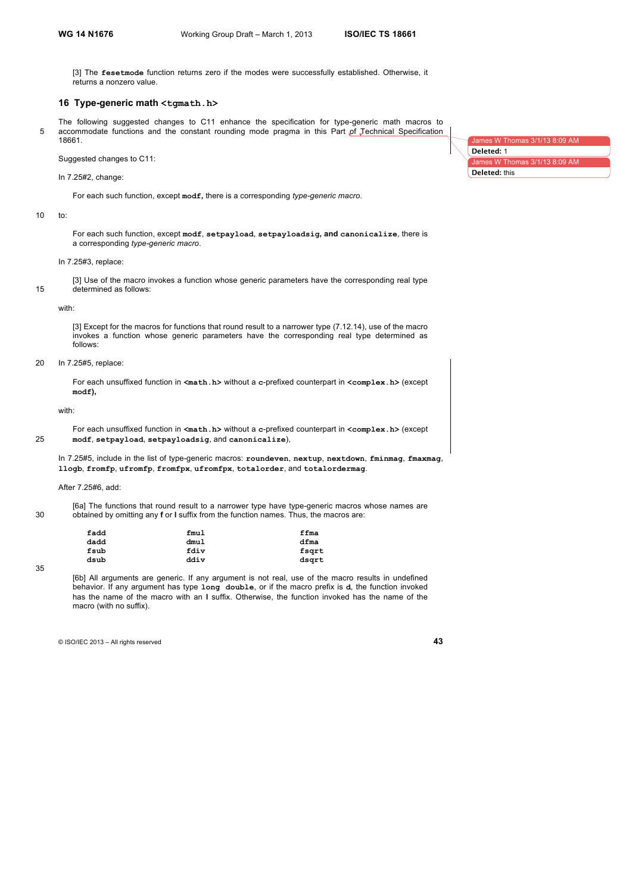[3] The **fesetmode** function returns zero if the modes were successfully established. Otherwise, it returns a nonzero value.

# **16 Type-generic math <tgmath.h>**

The following suggested changes to C11 enhance the specification for type-generic math macros to 5 accommodate functions and the constant rounding mode pragma in this Part of Technical Specification 18661.

Suggested changes to C11:

In 7.25#2, change:

For each such function, except **modf,** there is a corresponding *type-generic macro*.

#### 10 to:

For each such function, except **modf**, **setpayload**, **setpayloadsig, and canonicalize**, there is a corresponding *type-generic macro*.

In 7.25#3, replace:

[3] Use of the macro invokes a function whose generic parameters have the corresponding real type 15 determined as follows:

with:

[3] Except for the macros for functions that round result to a narrower type (7.12.14), use of the macro invokes a function whose generic parameters have the corresponding real type determined as follows:

#### 20 In 7.25#5, replace:

For each unsuffixed function in  $\leq_{\text{match}}$ .h> without a c-prefixed counterpart in  $\leq_{\text{complex}}$ .h> (except **modf),**

with:

For each unsuffixed function in **<math.h>** without a **c**-prefixed counterpart in **<complex.h>** (except 25 **modf**, **setpayload**, **setpayloadsig**, and **canonicalize**),

In 7.25#5, include in the list of type-generic macros: **roundeven**, **nextup**, **nextdown**, **fminmag**, **fmaxmag**, **llogb**, **fromfp**, **ufromfp**, **fromfpx**, **ufromfpx**, **totalorder**, and **totalordermag**.

After 7.25#6, add:

[6a] The functions that round result to a narrower type have type-generic macros whose names are 30 obtained by omitting any **f** or **l** suffix from the function names. Thus, the macros are:

| fmul | ffma  |
|------|-------|
| dmul | dfma  |
| fdiv | fsart |
| ddiv | dsart |
|      |       |

[6b] All arguments are generic. If any argument is not real, use of the macro results in undefined behavior. If any argument has type **long double**, or if the macro prefix is **d**, the function invoked has the name of the macro with an **l** suffix. Otherwise, the function invoked has the name of the macro (with no suffix).

© ISO/IEC 2013 – All rights reserved **43**

James W Thomas 3/1/13 8:09 AM James W Thomas 3/1/13 8:09 AM **Deleted:** 1 **Deleted:** this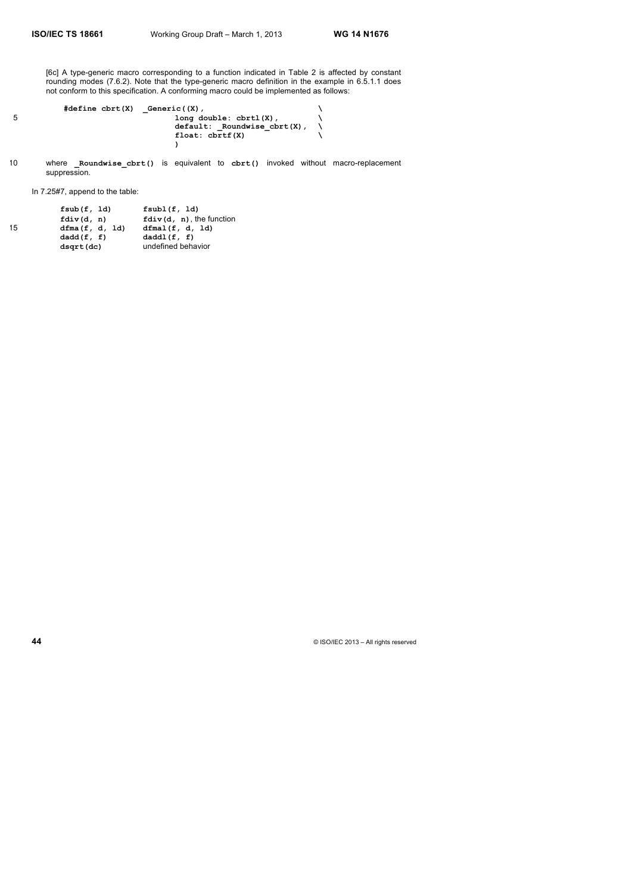[6c] A type-generic macro corresponding to a function indicated in Table 2 is affected by constant rounding modes (7.6.2). Note that the type-generic macro definition in the example in 6.5.1.1 does not conform to this specification. A conforming macro could be implemented as follows:

|   | $#define$ c $brt(X)$ | Generic((X),                     |  |
|---|----------------------|----------------------------------|--|
| 5 |                      | $long double: chrt1(X)$ ,        |  |
|   |                      | $default:$ Roundwise $cbrt(X)$ , |  |
|   |                      | float: chrtf(X)                  |  |
|   |                      |                                  |  |

10 where **Roundwise cbrt()** is equivalent to cbrt() invoked without macro-replacement suppression.

In 7.25#7, append to the table:

| 15 | fsub(f, Id)<br>fdiv(d, n)<br>dfma(f, d, Id) | fsub1(f, 1d)<br>$fdiv(d, n)$ , the function<br>dfmal(f, d, 1d) |
|----|---------------------------------------------|----------------------------------------------------------------|
|    | dadd(f, f)                                  | daddl(f, f)                                                    |
|    | dsqrt(dc)                                   | undefined behavior                                             |